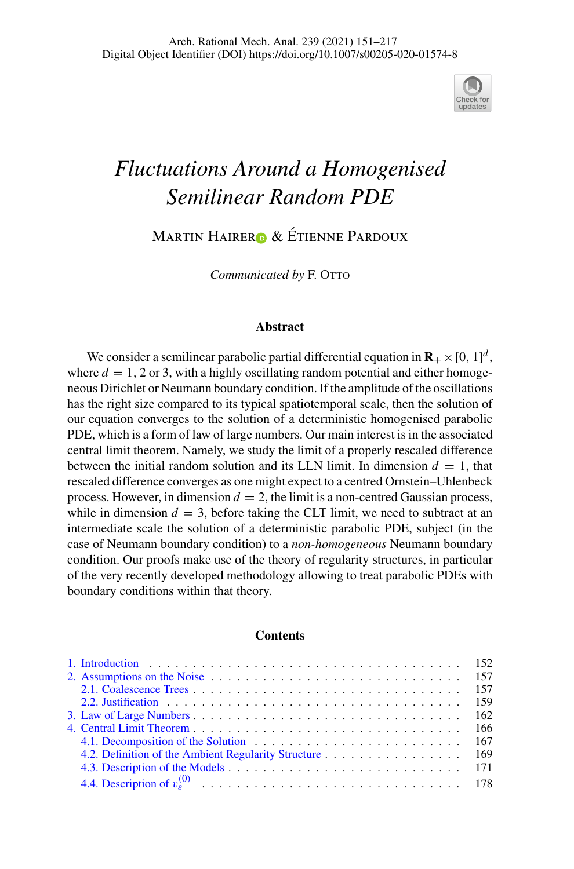

# *Fluctuations Around a Homogenised Semilinear Random PDE*

MARTIN HAIRERO & ÉTIENNE PARDOUX

*Communicated by* F. OTTO

#### **Abstract**

We consider a semilinear parabolic partial differential equation in  $\mathbf{R}_+ \times [0, 1]^d$ , where  $d = 1, 2$  or 3, with a highly oscillating random potential and either homogeneous Dirichlet or Neumann boundary condition. If the amplitude of the oscillations has the right size compared to its typical spatiotemporal scale, then the solution of our equation converges to the solution of a deterministic homogenised parabolic PDE, which is a form of law of large numbers. Our main interest is in the associated central limit theorem. Namely, we study the limit of a properly rescaled difference between the initial random solution and its LLN limit. In dimension  $d = 1$ , that rescaled difference converges as one might expect to a centred Ornstein–Uhlenbeck process. However, in dimension  $d = 2$ , the limit is a non-centred Gaussian process, while in dimension  $d = 3$ , before taking the CLT limit, we need to subtract at an intermediate scale the solution of a deterministic parabolic PDE, subject (in the case of Neumann boundary condition) to a *non-homogeneous* Neumann boundary condition. Our proofs make use of the theory of regularity structures, in particular of the very recently developed methodology allowing to treat parabolic PDEs with boundary conditions within that theory.

#### **Contents**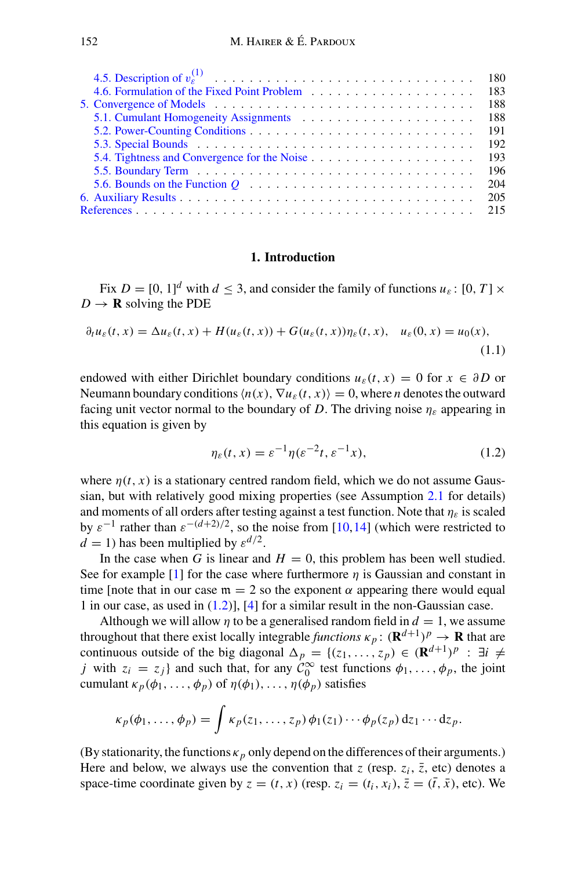| 183                                                                                                      |  |
|----------------------------------------------------------------------------------------------------------|--|
| 188                                                                                                      |  |
| 188                                                                                                      |  |
| 191                                                                                                      |  |
| 192                                                                                                      |  |
| 193                                                                                                      |  |
| 196                                                                                                      |  |
| 204<br>5.6. Bounds on the Function $Q_1, \ldots, \ldots, \ldots, \ldots, \ldots, \ldots, \ldots, \ldots$ |  |
| 205                                                                                                      |  |
|                                                                                                          |  |

## **1. Introduction**

<span id="page-1-0"></span>Fix  $D = [0, 1]^d$  with  $d \le 3$ , and consider the family of functions  $u_{\varepsilon}$ :  $[0, T] \times$  $D \rightarrow \mathbf{R}$  solving the PDE

<span id="page-1-2"></span>
$$
\partial_t u_{\varepsilon}(t,x) = \Delta u_{\varepsilon}(t,x) + H(u_{\varepsilon}(t,x)) + G(u_{\varepsilon}(t,x))\eta_{\varepsilon}(t,x), \quad u_{\varepsilon}(0,x) = u_0(x),\tag{1.1}
$$

endowed with either Dirichlet boundary conditions  $u_{\varepsilon}(t, x) = 0$  for  $x \in \partial D$  or Neumann boundary conditions  $\langle n(x), \nabla u_{\varepsilon}(t, x) \rangle = 0$ , where *n* denotes the outward facing unit vector normal to the boundary of *D*. The driving noise  $\eta_{\varepsilon}$  appearing in this equation is given by

<span id="page-1-1"></span>
$$
\eta_{\varepsilon}(t,x) = \varepsilon^{-1} \eta(\varepsilon^{-2}t, \varepsilon^{-1}x), \tag{1.2}
$$

where  $\eta(t, x)$  is a stationary centred random field, which we do not assume Gaussian, but with relatively good mixing properties (see Assumption [2.1](#page-7-0) for details) and moments of all orders after testing against a test function. Note that  $\eta_{\varepsilon}$  is scaled by  $\varepsilon^{-1}$  rather than  $\varepsilon^{-(d+2)/2}$ , so the noise from [\[10,](#page-65-0)[14\]](#page-65-1) (which were restricted to  $d = 1$ ) has been multiplied by  $\varepsilon^{d/2}$ .

In the case when *G* is linear and  $H = 0$ , this problem has been well studied. See for example [\[1](#page-64-1)] for the case where furthermore  $\eta$  is Gaussian and constant in time [note that in our case  $m = 2$  so the exponent  $\alpha$  appearing there would equal 1 in our case, as used in  $(1.2)$ ], [\[4\]](#page-65-2) for a similar result in the non-Gaussian case.

Although we will allow  $\eta$  to be a generalised random field in  $d = 1$ , we assume throughout that there exist locally integrable *functions*  $\kappa_p$ :  $(\mathbf{R}^{d+1})^p \to \mathbf{R}$  that are continuous outside of the big diagonal  $\Delta_p = \{(z_1, \ldots, z_p) \in (\mathbf{R}^{d+1})^p : \exists i \neq p \}$ *j* with  $z_i = z_j$  and such that, for any  $C_0^{\infty}$  test functions  $\phi_1, \ldots, \phi_p$ , the joint cumulant  $\kappa_p(\phi_1,\ldots,\phi_p)$  of  $\eta(\phi_1),\ldots,\eta(\phi_p)$  satisfies

$$
\kappa_p(\phi_1,\ldots,\phi_p)=\int \kappa_p(z_1,\ldots,z_p)\,\phi_1(z_1)\cdots\phi_p(z_p)\,\mathrm{d} z_1\cdots\mathrm{d} z_p.
$$

(By stationarity, the functions  $\kappa_p$  only depend on the differences of their arguments.) Here and below, we always use the convention that *z* (resp.  $z_i$ ,  $\overline{z}$ , etc) denotes a space-time coordinate given by  $z = (t, x)$  (resp.  $z_i = (t_i, x_i)$ ,  $\overline{z} = (\overline{t}, \overline{x})$ , etc). We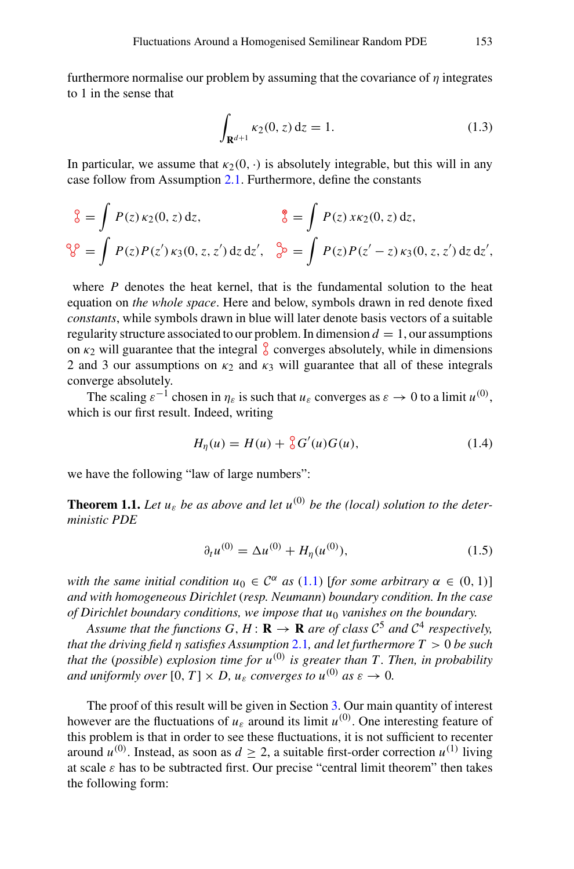furthermore normalise our problem by assuming that the covariance of  $\eta$  integrates to 1 in the sense that

<span id="page-2-4"></span>
$$
\int_{\mathbf{R}^{d+1}} \kappa_2(0, z) dz = 1.
$$
\n(1.3)

In particular, we assume that  $\kappa_2(0, \cdot)$  is absolutely integrable, but this will in any case follow from Assumption [2.1.](#page-7-0) Furthermore, define the constants

$$
\begin{aligned}\n\frac{\partial}{\partial \theta} &= \int P(z) \, \kappa_2(0, z) \, \mathrm{d}z, & \frac{\partial}{\partial \theta} &= \int P(z) \, \kappa_2(0, z) \, \mathrm{d}z, \\
\frac{\partial}{\partial \theta} &= \int P(z) P(z') \, \kappa_3(0, z, z') \, \mathrm{d}z \, \mathrm{d}z', & \frac{\partial}{\partial \theta} &= \int P(z) P(z' - z) \, \kappa_3(0, z, z') \, \mathrm{d}z \, \mathrm{d}z',\n\end{aligned}
$$

where *P* denotes the heat kernel, that is the fundamental solution to the heat equation on *the whole space*. Here and below, symbols drawn in red denote fixed *constants*, while symbols drawn in blue will later denote basis vectors of a suitable regularity structure associated to our problem. In dimension  $d = 1$ , our assumptions on  $\kappa_2$  will guarantee that the integral  $\frac{8}{2}$  converges absolutely, while in dimensions 2 and 3 our assumptions on  $\kappa_2$  and  $\kappa_3$  will guarantee that all of these integrals converge absolutely.

The scaling  $\varepsilon^{-1}$  chosen in  $\eta_{\varepsilon}$  is such that  $u_{\varepsilon}$  converges as  $\varepsilon \to 0$  to a limit  $u^{(0)}$ , which is our first result. Indeed, writing

<span id="page-2-3"></span>
$$
H_{\eta}(u) = H(u) + \frac{9}{6}G'(u)G(u), \qquad (1.4)
$$

<span id="page-2-0"></span>we have the following "law of large numbers":

**Theorem 1.1.** Let  $u_{\varepsilon}$  be as above and let  $u^{(0)}$  be the (local) solution to the deter*ministic PDE*

<span id="page-2-2"></span>
$$
\partial_t u^{(0)} = \Delta u^{(0)} + H_\eta(u^{(0)}), \tag{1.5}
$$

*with the same initial condition*  $u_0 \in C^\alpha$  *as* [\(1.1\)](#page-1-2) [*for some arbitrary*  $\alpha \in (0, 1)$ ] *and with homogeneous Dirichlet* (*resp. Neumann*) *boundary condition. In the case of Dirichlet boundary conditions, we impose that u*<sup>0</sup> *vanishes on the boundary.*

*Assume that the functions G, H :*  $\mathbf{R} \to \mathbf{R}$  *are of class*  $C^5$  *and*  $C^4$  *respectively, that the driving field* η *satisfies Assumption* [2.1](#page-7-0)*, and let furthermore T* > 0 *be such that the* (*possible*) *explosion time for*  $u^{(0)}$  *is greater than T. Then, in probability and uniformly over*  $[0, T] \times D$ ,  $u_{\varepsilon}$  *converges to*  $u^{(0)}$  *as*  $\varepsilon \to 0$ .

<span id="page-2-1"></span>The proof of this result will be given in Section [3.](#page-11-0) Our main quantity of interest however are the fluctuations of  $u_{\varepsilon}$  around its limit  $u^{(0)}$ . One interesting feature of this problem is that in order to see these fluctuations, it is not sufficient to recenter around  $u^{(0)}$ . Instead, as soon as  $d \ge 2$ , a suitable first-order correction  $u^{(1)}$  living at scale  $\varepsilon$  has to be subtracted first. Our precise "central limit theorem" then takes the following form: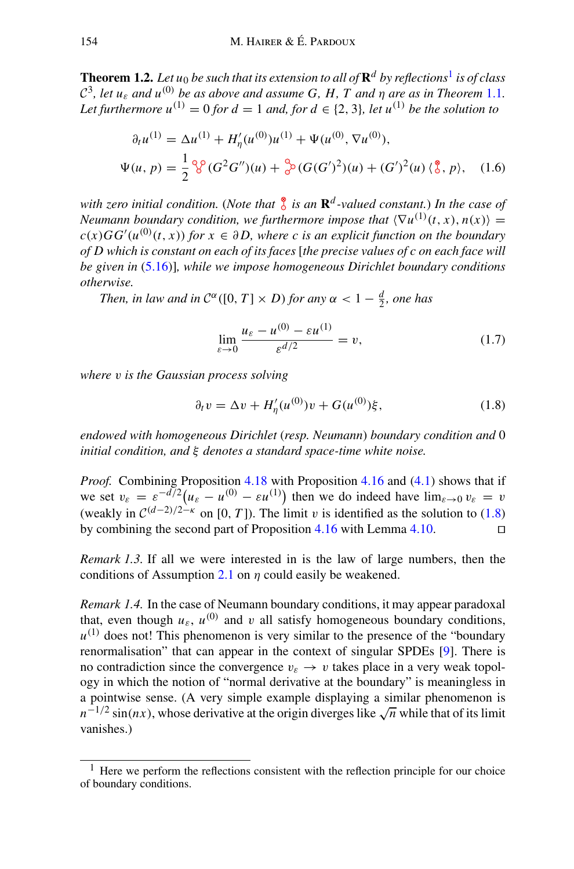**Theorem [1](#page-3-0).2.** *Let u*<sub>0</sub> *be such that its extension to all of*  $\mathbb{R}^d$  *by reflections*<sup>1</sup> *is of class*  $C^3$ , let  $u_{\varepsilon}$  and  $u^{(0)}$  be as above and assume G, H, T and  $\eta$  are as in Theorem [1.1](#page-2-0). *Let furthermore*  $u^{(1)} = 0$  *for d* = 1 *and, for d*  $\in \{2, 3\}$ *, let*  $u^{(1)}$  *be the solution to* 

<span id="page-3-4"></span>
$$
\partial_t u^{(1)} = \Delta u^{(1)} + H'_\eta(u^{(0)})u^{(1)} + \Psi(u^{(0)}, \nabla u^{(0)}),
$$
  

$$
\Psi(u, p) = \frac{1}{2} \sqrt[9]{(G^2 G'')(u) + \sqrt[9]{(G(G')^2)(u) + (G')^2(u) \langle \sqrt[8]{(g, p)} \rangle}}, \quad (1.6)
$$

*with zero initial condition.* (*Note that is an* **R***<sup>d</sup> -valued constant.*) *In the case of Neumann boundary condition, we furthermore impose that*  $\langle \nabla u^{(1)}(t, x), n(x) \rangle =$  $c(x)GG'(u^{(0)}(t, x))$  *for*  $x \in \partial D$ , where c is an explicit function on the boundary *of D which is constant on each of its faces* [*the precise values of c on each face will be given in* [\(5.16\)](#page-45-1)]*, while we impose homogeneous Dirichlet boundary conditions otherwise.*

*Then, in law and in*  $C^{\alpha}([0, T] \times D)$  *for any*  $\alpha < 1 - \frac{d}{2}$ *, one has* 

<span id="page-3-2"></span>
$$
\lim_{\varepsilon \to 0} \frac{u_{\varepsilon} - u^{(0)} - \varepsilon u^{(1)}}{\varepsilon^{d/2}} = v,\tag{1.7}
$$

*where* v *is the Gaussian process solving*

<span id="page-3-1"></span>
$$
\partial_t v = \Delta v + H'_{\eta}(u^{(0)})v + G(u^{(0)})\xi,
$$
\n(1.8)

*endowed with homogeneous Dirichlet* (*resp. Neumann*) *boundary condition and* 0 *initial condition, and* ξ *denotes a standard space-time white noise.*

*Proof.* Combining Proposition [4.18](#page-34-0) with Proposition [4.16](#page-33-0) and [\(4.1\)](#page-15-1) shows that if we set  $v_{\varepsilon} = \varepsilon^{-d/2} (u_{\varepsilon} - u^{(0)} - \varepsilon u^{(1)})$  then we do indeed have  $\lim_{\varepsilon \to 0} v_{\varepsilon} = v_{\varepsilon}$ (weakly in  $C^{(d-2)/2-\kappa}$  on [0, *T*]). The limit v is identified as the solution to [\(1.8\)](#page-3-1) by combining the second part of Proposition 4.16 with Lemma 4.10. by combining the second part of Proposition [4.16](#page-33-0) with Lemma [4.10.](#page-28-0)

*Remark 1.3.* If all we were interested in is the law of large numbers, then the conditions of Assumption [2.1](#page-7-0) on  $\eta$  could easily be weakened.

*Remark 1.4.* In the case of Neumann boundary conditions, it may appear paradoxal that, even though  $u_{\varepsilon}$ ,  $u^{(0)}$  and v all satisfy homogeneous boundary conditions,  $u^{(1)}$  does not! This phenomenon is very similar to the presence of the "boundary" renormalisation" that can appear in the context of singular SPDEs [\[9\]](#page-65-3). There is no contradiction since the convergence  $v_{\varepsilon} \to v$  takes place in a very weak topology in which the notion of "normal derivative at the boundary" is meaningless in a pointwise sense. (A very simple example displaying a similar phenomenon is  $n^{-1/2}$  sin(*nx*), whose derivative at the origin diverges like  $\sqrt{n}$  while that of its limit vanishes.)

<span id="page-3-3"></span><span id="page-3-0"></span> $<sup>1</sup>$  Here we perform the reflections consistent with the reflection principle for our choice</sup> of boundary conditions.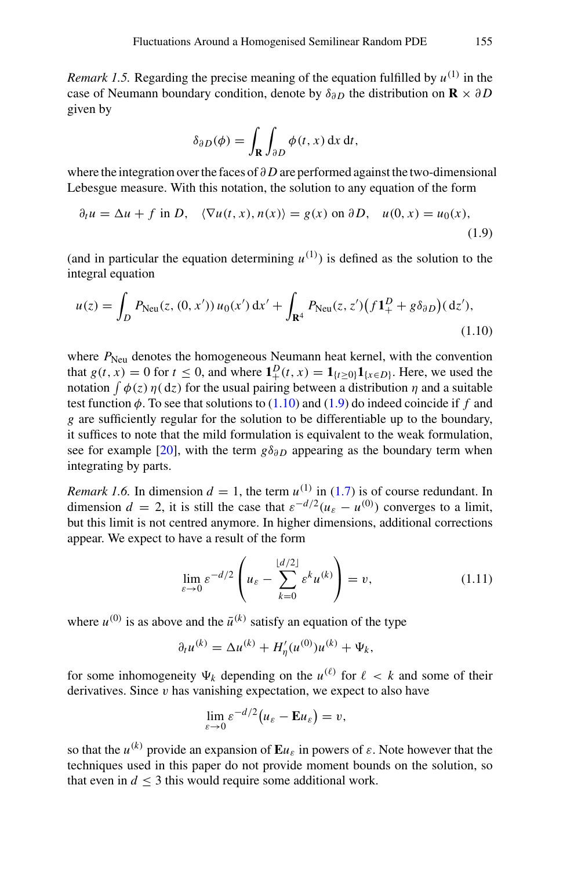*Remark 1.5.* Regarding the precise meaning of the equation fulfilled by  $u^{(1)}$  in the case of Neumann boundary condition, denote by  $\delta_{\partial D}$  the distribution on **R** ×  $\partial D$ given by

$$
\delta_{\partial D}(\phi) = \int_{\mathbf{R}} \int_{\partial D} \phi(t, x) \, dx \, dt,
$$

where the integration over the faces of ∂D are performed against the two-dimensional Lebesgue measure. With this notation, the solution to any equation of the form

<span id="page-4-1"></span>
$$
\partial_t u = \Delta u + f \text{ in } D, \quad \langle \nabla u(t, x), n(x) \rangle = g(x) \text{ on } \partial D, \quad u(0, x) = u_0(x), \tag{1.9}
$$

(and in particular the equation determining  $u^{(1)}$ ) is defined as the solution to the integral equation

<span id="page-4-0"></span>
$$
u(z) = \int_{D} P_{\text{Neu}}(z, (0, x')) u_0(x') dx' + \int_{\mathbf{R}^4} P_{\text{Neu}}(z, z') (f \mathbf{1}_+^D + g \delta_{\partial D}) (dz'),
$$
\n(1.10)

where  $P_{\text{Neu}}$  denotes the homogeneous Neumann heat kernel, with the convention that  $g(t, x) = 0$  for  $t \le 0$ , and where  $\mathbf{1}_+^D(t, x) = \mathbf{1}_{\{t \ge 0\}} \mathbf{1}_{\{x \in D\}}$ . Here, we used the notation  $\int \phi(z) \eta(dz)$  for the usual pairing between a distribution  $\eta$  and a suitable test function  $\phi$ . To see that solutions to [\(1.10\)](#page-4-0) and [\(1.9\)](#page-4-1) do indeed coincide if f and *g* are sufficiently regular for the solution to be differentiable up to the boundary, it suffices to note that the mild formulation is equivalent to the weak formulation, see for example [\[20\]](#page-65-4), with the term  $g\delta_{\partial D}$  appearing as the boundary term when integrating by parts.

*Remark 1.6.* In dimension  $d = 1$ , the term  $u^{(1)}$  in [\(1.7\)](#page-3-2) is of course redundant. In dimension *d* = 2, it is still the case that  $\varepsilon^{-d/2}(u_{\varepsilon} - u^{(0)})$  converges to a limit, but this limit is not centred anymore. In higher dimensions, additional corrections appear. We expect to have a result of the form

<span id="page-4-2"></span>
$$
\lim_{\varepsilon \to 0} \varepsilon^{-d/2} \left( u_{\varepsilon} - \sum_{k=0}^{\lfloor d/2 \rfloor} \varepsilon^k u^{(k)} \right) = v,
$$
\n(1.11)

where  $u^{(0)}$  is as above and the  $\bar{u}^{(k)}$  satisfy an equation of the type

$$
\partial_t u^{(k)} = \Delta u^{(k)} + H'_\eta(u^{(0)})u^{(k)} + \Psi_k,
$$

for some inhomogeneity  $\Psi_k$  depending on the  $u^{(\ell)}$  for  $\ell \leq k$  and some of their derivatives. Since  $\nu$  has vanishing expectation, we expect to also have

$$
\lim_{\varepsilon\to 0}\varepsilon^{-d/2}\big(u_\varepsilon-\mathbf{E} u_\varepsilon\big)=v,
$$

so that the  $u^{(k)}$  provide an expansion of  $\mathbf{E} u_{\varepsilon}$  in powers of  $\varepsilon$ . Note however that the techniques used in this paper do not provide moment bounds on the solution, so that even in  $d \leq 3$  this would require some additional work.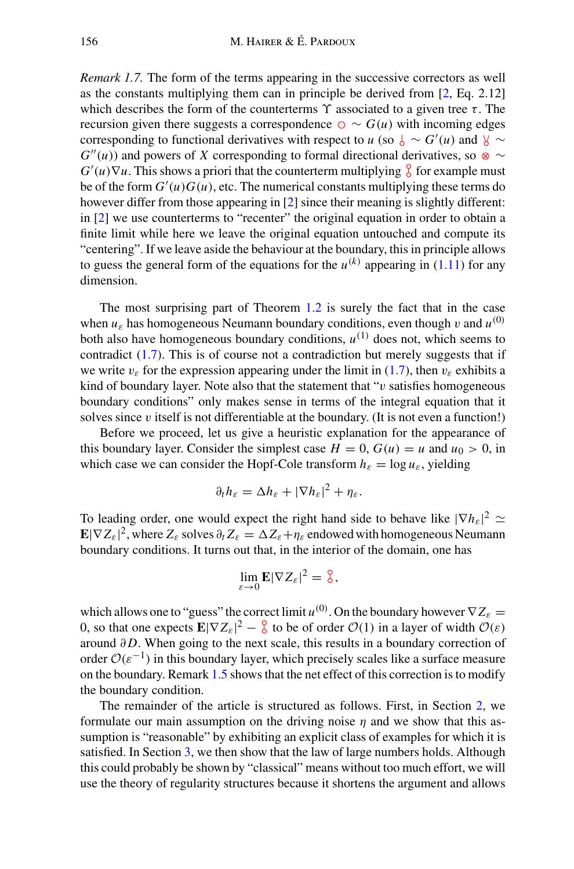*Remark 1.7.* The form of the terms appearing in the successive correctors as well as the constants multiplying them can in principle be derived from [\[2](#page-64-2), Eq. 2.12] which describes the form of the counterterms  $\Upsilon$  associated to a given tree  $\tau$ . The recursion given there suggests a correspondence  $\circ \sim G(u)$  with incoming edges corresponding to functional derivatives with respect to *u* (so  $\frac{1}{6} \sim G'(u)$  and  $\frac{1}{6} \sim \frac{1}{2}$  $G''(u)$ ) and powers of *X* corresponding to formal directional derivatives, so ⊗ ∼  $G'(u)\nabla u$ . This shows a priori that the counterterm multiplying  $\delta$  for example must be of the form  $G'(u)G(u)$ , etc. The numerical constants multiplying these terms do however differ from those appearing in [\[2](#page-64-2)] since their meaning is slightly different: in [\[2](#page-64-2)] we use counterterms to "recenter" the original equation in order to obtain a finite limit while here we leave the original equation untouched and compute its "centering". If we leave aside the behaviour at the boundary, this in principle allows to guess the general form of the equations for the  $u^{(k)}$  appearing in [\(1.11\)](#page-4-2) for any dimension.

The most surprising part of Theorem  $1.2$  is surely the fact that in the case when  $u_{\varepsilon}$  has homogeneous Neumann boundary conditions, even though v and  $u^{(0)}$ both also have homogeneous boundary conditions,  $u^{(1)}$  does not, which seems to contradict [\(1.7\)](#page-3-2). This is of course not a contradiction but merely suggests that if we write  $v_{\varepsilon}$  for the expression appearing under the limit in [\(1.7\)](#page-3-2), then  $v_{\varepsilon}$  exhibits a kind of boundary layer. Note also that the statement that " $v$  satisfies homogeneous boundary conditions" only makes sense in terms of the integral equation that it solves since  $\nu$  itself is not differentiable at the boundary. (It is not even a function!)

Before we proceed, let us give a heuristic explanation for the appearance of this boundary layer. Consider the simplest case  $H = 0$ ,  $G(u) = u$  and  $u_0 > 0$ , in which case we can consider the Hopf-Cole transform  $h_{\varepsilon} = \log u_{\varepsilon}$ , yielding

$$
\partial_t h_{\varepsilon} = \Delta h_{\varepsilon} + |\nabla h_{\varepsilon}|^2 + \eta_{\varepsilon}.
$$

To leading order, one would expect the right hand side to behave like  $|\nabla h_{\varepsilon}|^2 \simeq$  $\mathbf{E}|\nabla Z_{\varepsilon}|^2$ , where  $Z_{\varepsilon}$  solves  $\partial_t Z_{\varepsilon} = \Delta Z_{\varepsilon} + \eta_{\varepsilon}$  endowed with homogeneous Neumann boundary conditions. It turns out that, in the interior of the domain, one has

$$
\lim_{\varepsilon\to 0} \mathbf{E} |\nabla Z_{\varepsilon}|^2 = \delta,
$$

which allows one to "guess" the correct limit  $u^{(0)}$ . On the boundary however  $\nabla Z_{\varepsilon} =$ 0, so that one expects  $\mathbf{E}|\nabla Z_{\varepsilon}|^2 - \frac{8}{6}$  to be of order  $\mathcal{O}(1)$  in a layer of width  $\mathcal{O}(\varepsilon)$ around ∂ *D*. When going to the next scale, this results in a boundary correction of order  $O(\varepsilon^{-1})$  in this boundary layer, which precisely scales like a surface measure on the boundary. Remark [1.5](#page-3-3) shows that the net effect of this correction is to modify the boundary condition.

The remainder of the article is structured as follows. First, in Section [2,](#page-6-0) we formulate our main assumption on the driving noise  $\eta$  and we show that this assumption is "reasonable" by exhibiting an explicit class of examples for which it is satisfied. In Section [3,](#page-11-0) we then show that the law of large numbers holds. Although this could probably be shown by "classical" means without too much effort, we will use the theory of regularity structures because it shortens the argument and allows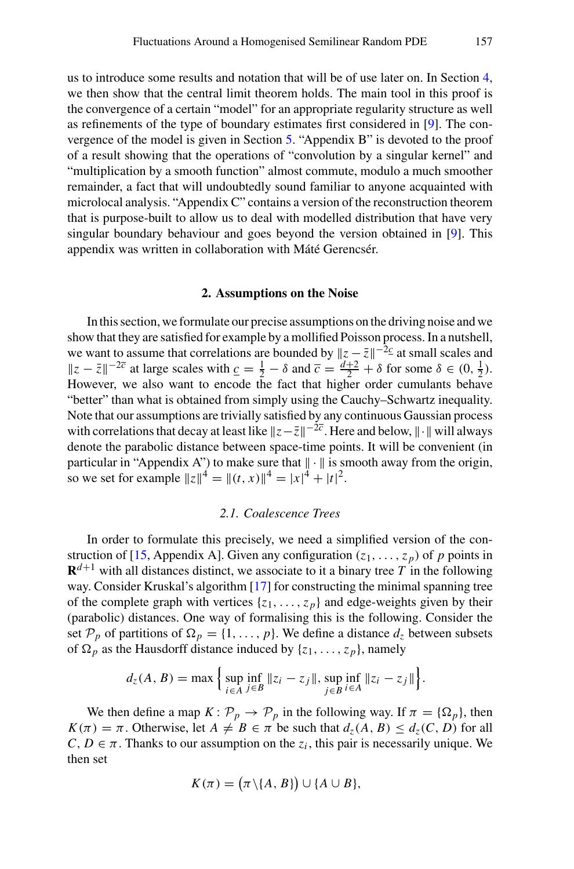us to introduce some results and notation that will be of use later on. In Section [4,](#page-15-0) we then show that the central limit theorem holds. The main tool in this proof is the convergence of a certain "model" for an appropriate regularity structure as well as refinements of the type of boundary estimates first considered in [\[9\]](#page-65-3). The convergence of the model is given in Section [5.](#page-37-0) "Appendix B" is devoted to the proof of a result showing that the operations of "convolution by a singular kernel" and "multiplication by a smooth function" almost commute, modulo a much smoother remainder, a fact that will undoubtedly sound familiar to anyone acquainted with microlocal analysis. "Appendix C" contains a version of the reconstruction theorem that is purpose-built to allow us to deal with modelled distribution that have very singular boundary behaviour and goes beyond the version obtained in [\[9](#page-65-3)]. This appendix was written in collaboration with Máté Gerencsér.

#### **2. Assumptions on the Noise**

<span id="page-6-0"></span>In this section, we formulate our precise assumptions on the driving noise and we show that they are satisfied for example by a mollified Poisson process. In a nutshell, we want to assume that correlations are bounded by  $\|z - \bar{z}\|^{-2c}$  at small scales and  $\|z - \bar{z}\|^{-2\bar{c}}$  at large scales with  $\underline{c} = \frac{1}{2} - \delta$  and  $\overline{c} = \frac{d+2}{2} + \delta$  for some  $\delta \in (0, \frac{1}{2})$ . However, we also want to encode the fact that higher order cumulants behave "better" than what is obtained from simply using the Cauchy–Schwartz inequality. Note that our assumptions are trivially satisfied by any continuous Gaussian process with correlations that decay at least like  $\|z-\overline{z}\|^{-2\overline{c}}$ . Here and below,  $\|\cdot\|$  will always denote the parabolic distance between space-time points. It will be convenient (in particular in "Appendix A") to make sure that  $\|\cdot\|$  is smooth away from the origin, so we set for example  $||z||^4 = ||(t, x)||^4 = |x|^4 + |t|^2$ .

#### *2.1. Coalescence Trees*

<span id="page-6-1"></span>In order to formulate this precisely, we need a simplified version of the con-struction of [\[15,](#page-65-5) Appendix A]. Given any configuration  $(z_1, \ldots, z_n)$  of p points in  $\mathbf{R}^{d+1}$  with all distances distinct, we associate to it a binary tree *T* in the following way. Consider Kruskal's algorithm [\[17](#page-65-6)] for constructing the minimal spanning tree of the complete graph with vertices  $\{z_1, \ldots, z_p\}$  and edge-weights given by their (parabolic) distances. One way of formalising this is the following. Consider the set  $P_p$  of partitions of  $\Omega_p = \{1, \ldots, p\}$ . We define a distance  $d_z$  between subsets of  $\Omega_p$  as the Hausdorff distance induced by  $\{z_1, \ldots, z_p\}$ , namely

$$
d_z(A, B) = \max \Big\{ \sup_{i \in A} \inf_{j \in B} ||z_i - z_j||, \sup_{j \in B} \inf_{i \in A} ||z_i - z_j|| \Big\}.
$$

We then define a map  $K: \mathcal{P}_p \to \mathcal{P}_p$  in the following way. If  $\pi = {\Omega_p}$ , then  $K(\pi) = \pi$ . Otherwise, let  $A \neq B \in \pi$  be such that  $d_z(A, B) \leq d_z(C, D)$  for all *C*,  $D \in \pi$ . Thanks to our assumption on the  $z_i$ , this pair is necessarily unique. We then set

$$
K(\pi) = (\pi \setminus \{A, B\}) \cup \{A \cup B\},\
$$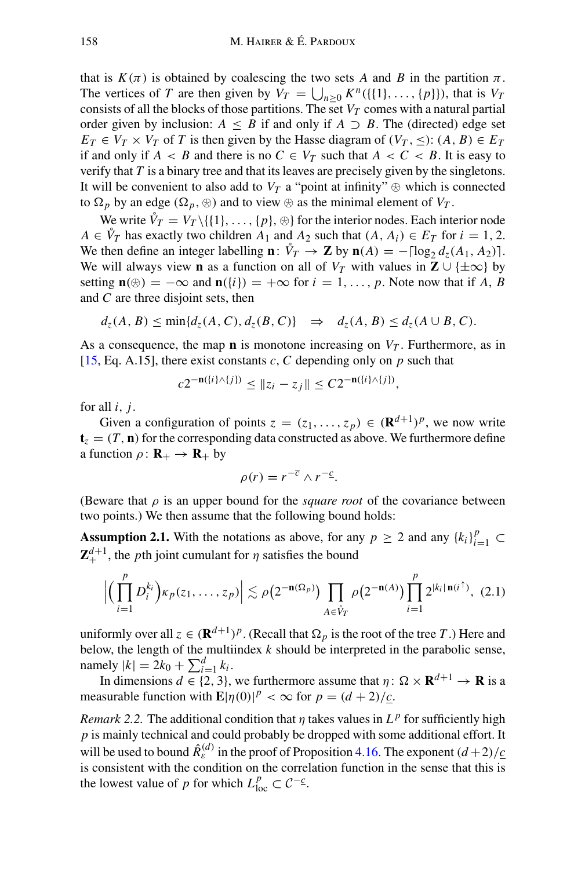that is  $K(\pi)$  is obtained by coalescing the two sets *A* and *B* in the partition  $\pi$ . The vertices of *T* are then given by  $V_T = \bigcup_{n \geq 0} K^n(\{\{1\}, \ldots, \{p\}\})$ , that is  $V_T$ consists of all the blocks of those partitions. The set  $V_T$  comes with a natural partial order given by inclusion:  $A \leq B$  if and only if  $A \supset B$ . The (directed) edge set  $E_T \in V_T \times V_T$  of *T* is then given by the Hasse diagram of  $(V_T, \leq)$ :  $(A, B) \in E_T$ if and only if  $A \leq B$  and there is no  $C \in V_T$  such that  $A \leq C \leq B$ . It is easy to verify that *T* is a binary tree and that its leaves are precisely given by the singletons. It will be convenient to also add to  $V_T$  a "point at infinity"  $\otimes$  which is connected to  $\Omega_p$  by an edge  $(\Omega_p, \otimes)$  and to view  $\otimes$  as the minimal element of  $V_T$ .

We write  $\mathring{V}_T = V_T \setminus \{ \{1\}, \ldots, \{p\}, \bigcirc \}$  for the interior nodes. Each interior node *A* ∈  $\hat{V}_T$  has exactly two children *A*<sub>1</sub> and *A*<sub>2</sub> such that  $(A, A_i) \in E_T$  for  $i = 1, 2$ . We then define an integer labelling  $\mathbf{n}$ :  $\mathring{V}_T \to \mathbf{Z}$  by  $\mathbf{n}(A) = -[\log_2 d_z(A_1, A_2)].$ We will always view **n** as a function on all of  $V_T$  with values in  $\mathbb{Z} \cup \{\pm \infty\}$  by setting  $\mathbf{n}(\circledast) = -\infty$  and  $\mathbf{n}(\{i\}) = +\infty$  for  $i = 1, \ldots, p$ . Note now that if *A*, *B* and *C* are three disjoint sets, then

$$
d_{z}(A, B) \leq \min\{d_{z}(A, C), d_{z}(B, C)\} \Rightarrow d_{z}(A, B) \leq d_{z}(A \cup B, C).
$$

As a consequence, the map **n** is monotone increasing on  $V_T$ . Furthermore, as in  $[15, Eq. A.15]$  $[15, Eq. A.15]$ , there exist constants *c*, *C* depending only on *p* such that

$$
c2^{-\mathbf{n}(\{i\}\wedge\{j\})}\leq \|z_i-z_j\|\leq C2^{-\mathbf{n}(\{i\}\wedge\{j\})},
$$

for all *i*, *j*.

Given a configuration of points  $z = (z_1, \ldots, z_p) \in (\mathbf{R}^{d+1})^p$ , we now write  $\mathbf{t}_z = (T, \mathbf{n})$  for the corresponding data constructed as above. We furthermore define a function  $\rho: \mathbf{R}_+ \to \mathbf{R}_+$  by

<span id="page-7-0"></span>
$$
\rho(r) = r^{-\overline{c}} \wedge r^{-\underline{c}}.
$$

(Beware that  $\rho$  is an upper bound for the *square root* of the covariance between two points.) We then assume that the following bound holds:

**Assumption 2.1.** With the notations as above, for any  $p \ge 2$  and any  $\{k_i\}_{i=1}^p \subset$  $\mathbf{Z}_{+}^{d+1}$ , the *p*th joint cumulant for  $\eta$  satisfies the bound

<span id="page-7-1"></span>
$$
\left| \Big(\prod_{i=1}^p D_i^{k_i}\Big) \kappa_p(z_1,\ldots,z_p) \right| \lesssim \rho\big(2^{-\mathbf{n}(\Omega_p)}\big) \prod_{A \in \mathring{V}_T} \rho\big(2^{-\mathbf{n}(A)}\big) \prod_{i=1}^p 2^{|k_i| \mathbf{n}(i^{\uparrow})}, \tag{2.1}
$$

uniformly over all  $z \in (\mathbf{R}^{d+1})^p$ . (Recall that  $\Omega_p$  is the root of the tree *T*.) Here and below, the length of the multiindex *k* should be interpreted in the parabolic sense,  $\text{namely } |k| = 2k_0 + \sum_{i=1}^{d} k_i.$ 

In dimensions  $d \in \{2, 3\}$ , we furthermore assume that  $\eta : \Omega \times \mathbf{R}^{d+1} \to \mathbf{R}$  is a measurable function with  $\mathbf{E}|\eta(0)|^p < \infty$  for  $p = (d+2)/c$ .

*Remark 2.2.* The additional condition that  $\eta$  takes values in  $L^p$  for sufficiently high *p* is mainly technical and could probably be dropped with some additional effort. It will be used to bound  $\hat{R}^{(d)}_{\varepsilon}$  in the proof of Proposition [4.16.](#page-33-0) The exponent  $(d+2)/c$ is consistent with the condition on the correlation function in the sense that this is the lowest value of *p* for which  $L_{\text{loc}}^p \subset C^{-\frac{c}{2}}$ .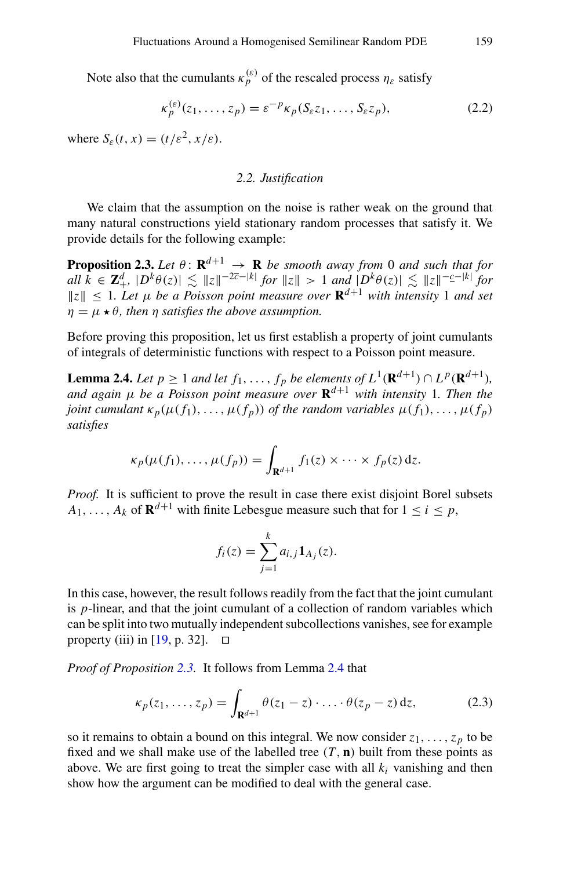Note also that the cumulants  $\kappa_p^{(\varepsilon)}$  of the rescaled process  $\eta_{\varepsilon}$  satisfy

$$
\kappa_p^{(\varepsilon)}(z_1,\ldots,z_p) = \varepsilon^{-p} \kappa_p(S_\varepsilon z_1,\ldots,S_\varepsilon z_p),\tag{2.2}
$$

<span id="page-8-0"></span>where  $S_{\varepsilon}(t, x) = (t/\varepsilon^2, x/\varepsilon).$ 

#### <span id="page-8-2"></span><span id="page-8-1"></span>*2.2. Justification*

We claim that the assumption on the noise is rather weak on the ground that many natural constructions yield stationary random processes that satisfy it. We provide details for the following example:

**Proposition 2.3.** *Let*  $\theta$ :  $\mathbb{R}^{d+1} \rightarrow \mathbb{R}$  *be smooth away from* 0 *and such that for*  $all \ k \in \mathbb{Z}_+^d, \ |D^k\theta(z)| \lesssim ||z||^{-2\overline{c}-|k|} \ \text{for} \ ||z|| > 1 \ \text{and} \ |D^k\theta(z)| \lesssim ||z||^{-c-|k|} \ \text{for}$  $||z|| < 1$ . Let  $\mu$  be a Poisson point measure over  $\mathbb{R}^{d+1}$  with intensity 1 and set  $\eta = \mu \star \theta$ , then  $\eta$  satisfies the above assumption.

Before proving this proposition, let us first establish a property of joint cumulants of integrals of deterministic functions with respect to a Poisson point measure.

**Lemma 2.4.** *Let*  $p \geq 1$  *and let*  $f_1, \ldots, f_p$  *be elements of*  $L^1(\mathbf{R}^{d+1}) \cap L^p(\mathbf{R}^{d+1})$ *, and again* μ *be a Poisson point measure over* **R***d*+<sup>1</sup> *with intensity* 1*. Then the joint cumulant*  $\kappa_p(\mu(f_1), \ldots, \mu(f_p))$  *of the random variables*  $\mu(f_1), \ldots, \mu(f_p)$ *satisfies*

$$
\kappa_p(\mu(f_1),\ldots,\mu(f_p))=\int_{\mathbf{R}^{d+1}}f_1(z)\times\cdots\times f_p(z)\,\mathrm{d} z.
$$

*Proof.* It is sufficient to prove the result in case there exist disjoint Borel subsets  $A_1, \ldots, A_k$  of  $\mathbb{R}^{d+1}$  with finite Lebesgue measure such that for  $1 \le i \le p$ ,

$$
f_i(z) = \sum_{j=1}^k a_{i,j} \mathbf{1}_{A_j}(z).
$$

In this case, however, the result follows readily from the fact that the joint cumulant is *p*-linear, and that the joint cumulant of a collection of random variables which can be split into two mutually independent subcollections vanishes, see for example property (iii) in [\[19,](#page-65-7) p. 32].  $\Box$ 

*Proof of Proposition [2.3.](#page-8-1)* It follows from Lemma [2.4](#page-8-2) that

<span id="page-8-3"></span>
$$
\kappa_p(z_1,\ldots,z_p) = \int_{\mathbf{R}^{d+1}} \theta(z_1 - z) \cdot \ldots \cdot \theta(z_p - z) \, \mathrm{d}z,\tag{2.3}
$$

so it remains to obtain a bound on this integral. We now consider  $z_1, \ldots, z_p$  to be fixed and we shall make use of the labelled tree  $(T, n)$  built from these points as above. We are first going to treat the simpler case with all  $k_i$  vanishing and then show how the argument can be modified to deal with the general case.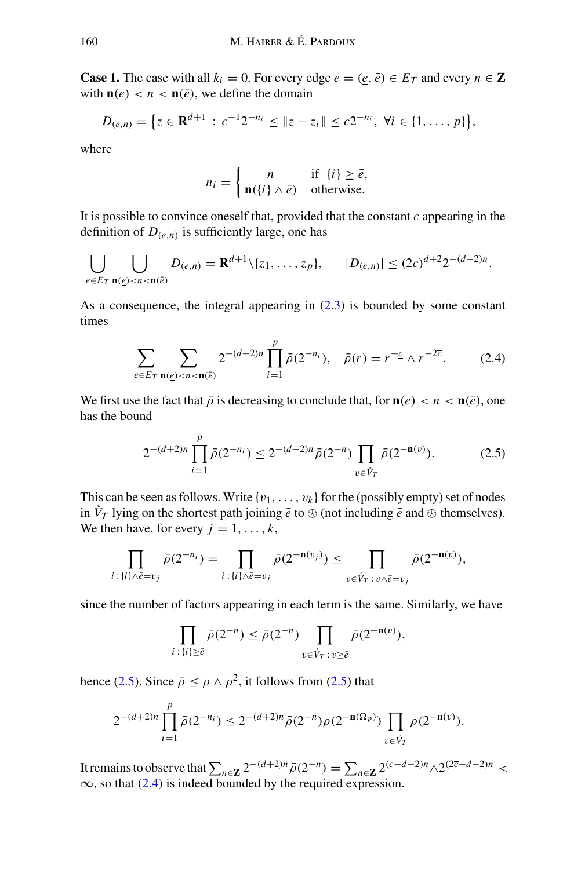**Case 1.** The case with all  $k_i = 0$ . For every edge  $e = (e, \bar{e}) \in E_T$  and every  $n \in \mathbb{Z}$ with  $\mathbf{n}(e) < n < \mathbf{n}(\bar{e})$ , we define the domain

$$
D_{(e,n)} = \{ z \in \mathbf{R}^{d+1} : c^{-1}2^{-n_i} \le ||z - z_i|| \le c2^{-n_i}, \ \forall i \in \{1, ..., p\} \},\
$$

where

$$
n_i = \begin{cases} n & \text{if } \{i\} \ge \bar{e}, \\ \mathbf{n}(\{i\} \wedge \bar{e}) & \text{otherwise.} \end{cases}
$$

It is possible to convince oneself that, provided that the constant *c* appearing in the definition of  $D_{(e,n)}$  is sufficiently large, one has

$$
\bigcup_{e \in E_T} \bigcup_{\mathbf{n}(e) < n < \mathbf{n}(\bar{e})} D_{(e,n)} = \mathbf{R}^{d+1} \setminus \{z_1, \ldots, z_p\}, \qquad |D_{(e,n)}| \leq (2c)^{d+2} 2^{-(d+2)n}.
$$

As a consequence, the integral appearing in  $(2.3)$  is bounded by some constant times

<span id="page-9-1"></span>
$$
\sum_{e \in E_T} \sum_{\mathbf{n}(e) < n < \mathbf{n}(\bar{e})} 2^{-(d+2)n} \prod_{i=1}^p \bar{\rho}(2^{-n_i}), \quad \bar{\rho}(r) = r^{-\epsilon} \wedge r^{-2\bar{c}}. \tag{2.4}
$$

We first use the fact that  $\bar{\rho}$  is decreasing to conclude that, for  $\mathbf{n}(e) < n < \mathbf{n}(\bar{e})$ , one has the bound

<span id="page-9-0"></span>
$$
2^{-(d+2)n} \prod_{i=1}^{p} \bar{\rho}(2^{-n_i}) \le 2^{-(d+2)n} \bar{\rho}(2^{-n}) \prod_{v \in \mathring{V}_T} \bar{\rho}(2^{-n(v)}).
$$
 (2.5)

This can be seen as follows. Write  $\{v_1, \ldots, v_k\}$  for the (possibly empty) set of nodes in  $\mathring{V}_T$  lying on the shortest path joining  $\bar{e}$  to  $\otimes$  (not including  $\bar{e}$  and  $\otimes$  themselves). We then have, for every  $j = 1, \ldots, k$ ,

$$
\prod_{i:\{i\}\wedge\bar{e}=v_j}\bar{\rho}(2^{-n_i})=\prod_{i:\{i\}\wedge\bar{e}=v_j}\bar{\rho}(2^{-\mathbf{n}(v_j)})\leq \prod_{v\in\mathring{V}_T\colon v\wedge\bar{e}=v_j}\bar{\rho}(2^{-\mathbf{n}(v)}),
$$

since the number of factors appearing in each term is the same. Similarly, we have

$$
\prod_{i\;:\; \{i\}\geq \bar{e}} \bar{\rho}(2^{-n}) \leq \bar{\rho}(2^{-n}) \prod_{v\in \mathring{V}_T\;:\; v\geq \bar{e}} \bar{\rho}(2^{-\mathbf{n}(v)}),
$$

hence [\(2.5\)](#page-9-0). Since  $\bar{\rho} \le \rho \wedge \rho^2$ , it follows from (2.5) that

$$
2^{-(d+2)n} \prod_{i=1}^p \bar{\rho}(2^{-n_i}) \le 2^{-(d+2)n} \bar{\rho}(2^{-n}) \rho(2^{-n(\Omega_p)}) \prod_{v \in \mathring{V}_T} \rho(2^{-n(v)}).
$$

It remains to observe that  $\sum_{n \in \mathbb{Z}} 2^{-(d+2)n} \bar{\rho}(2^{-n}) = \sum_{n \in \mathbb{Z}} 2^{(c-d-2)n} \sqrt{2^{(2\bar{c}-d-2)n}} <$  $\infty$ , so that [\(2.4\)](#page-9-1) is indeed bounded by the required expression.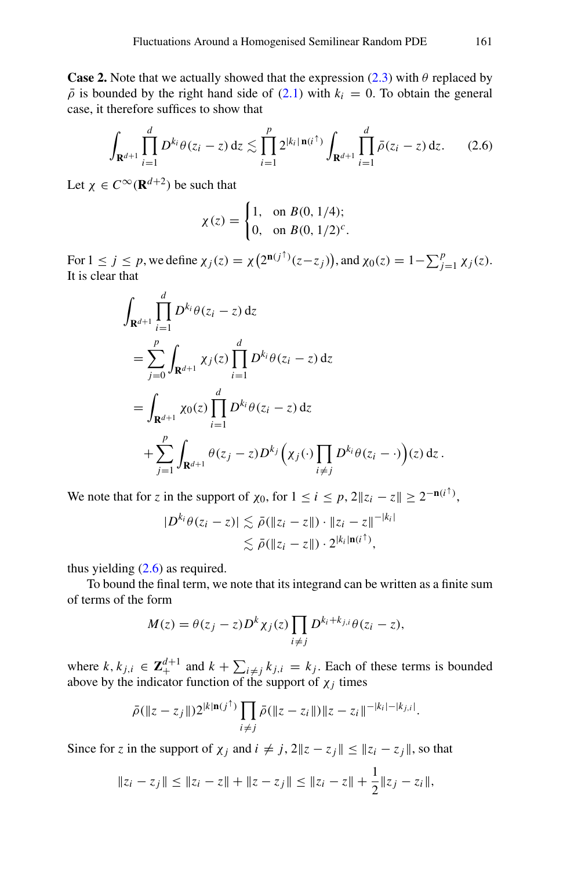**Case 2.** Note that we actually showed that the expression  $(2.3)$  with  $\theta$  replaced by  $\bar{\rho}$  is bounded by the right hand side of [\(2.1\)](#page-7-1) with  $k_i = 0$ . To obtain the general case, it therefore suffices to show that

<span id="page-10-0"></span>
$$
\int_{\mathbf{R}^{d+1}} \prod_{i=1}^{d} D^{k_i} \theta(z_i - z) dz \lesssim \prod_{i=1}^{p} 2^{|k_i|} \mathbf{n}(i^{\uparrow}) \int_{\mathbf{R}^{d+1}} \prod_{i=1}^{d} \bar{\rho}(z_i - z) dz.
$$
 (2.6)

Let  $\chi \in C^{\infty}(\mathbf{R}^{d+2})$  be such that

$$
\chi(z) = \begin{cases} 1, & \text{on } B(0, 1/4); \\ 0, & \text{on } B(0, 1/2)^c. \end{cases}
$$

For  $1 \le j \le p$ , we define  $\chi_j(z) = \chi(2^{\mathbf{n}(j^{\dagger})}(z-z_j))$ , and  $\chi_0(z) = 1 - \sum_{j=1}^p \chi_j(z)$ . It is clear that

$$
\int_{\mathbf{R}^{d+1}} \prod_{i=1}^{d} D^{k_i} \theta(z_i - z) dz
$$
\n  
\n
$$
= \sum_{j=0}^{p} \int_{\mathbf{R}^{d+1}} \chi_j(z) \prod_{i=1}^{d} D^{k_i} \theta(z_i - z) dz
$$
\n  
\n
$$
= \int_{\mathbf{R}^{d+1}} \chi_0(z) \prod_{i=1}^{d} D^{k_i} \theta(z_i - z) dz
$$
\n  
\n
$$
+ \sum_{j=1}^{p} \int_{\mathbf{R}^{d+1}} \theta(z_j - z) D^{k_j} \Big(\chi_j(\cdot) \prod_{i \neq j} D^{k_i} \theta(z_i - \cdot)\Big)(z) dz.
$$

We note that for *z* in the support of  $\chi_0$ , for  $1 \le i \le p$ ,  $2\|z_i - z\| \ge 2^{-\mathbf{n}(i^{\top})}$ ,

$$
|D^{k_i}\theta(z_i-z)| \lesssim \bar{\rho}(\|z_i-z\|)\cdot \|z_i-z\|^{-|k_i|}
$$
  

$$
\lesssim \bar{\rho}(\|z_i-z\|)\cdot 2^{|k_i|\mathbf{n}(i^{\uparrow})},
$$

thus yielding  $(2.6)$  as required.

To bound the final term, we note that its integrand can be written as a finite sum of terms of the form

$$
M(z) = \theta(z_j - z)D^k \chi_j(z) \prod_{i \neq j} D^{k_i + k_{j,i}} \theta(z_i - z),
$$

where  $k, k_{j,i} \in \mathbb{Z}_+^{d+1}$  and  $k + \sum_{i \neq j} k_{j,i} = k_j$ . Each of these terms is bounded above by the indicator function of the support of  $\chi_j$  times

$$
\bar{\rho}(\|z-z_j\|)2^{|k|\mathbf{n}(j^{\uparrow})}\prod_{i\neq j}\bar{\rho}(\|z-z_i\|)\|z-z_i\|^{-|k_i|-|k_{j,i}|}.
$$

Since for *z* in the support of  $\chi_i$  and  $i \neq j$ ,  $2||z - z_i|| \leq ||z_i - z_j||$ , so that

$$
||z_i - z_j|| \le ||z_i - z|| + ||z - z_j|| \le ||z_i - z|| + \frac{1}{2}||z_j - z_i||,
$$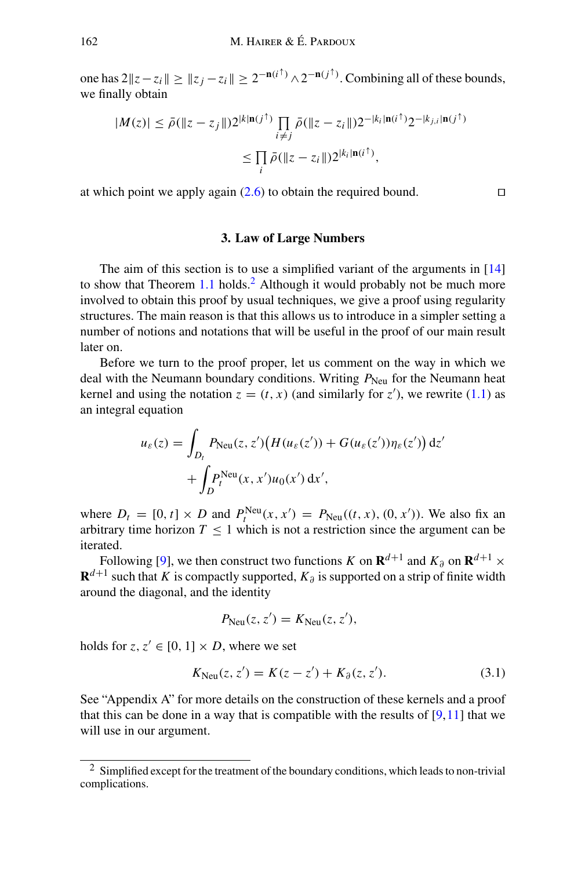one has  $2||z - z_i|| \ge ||z_j - z_i|| \ge 2^{-n(i^+)} \wedge 2^{-n(j^+)}$ . Combining all of these bounds, we finally obtain

$$
|M(z)| \le \bar{\rho}(\|z - z_j\|) 2^{|k| \mathbf{n}(j^{\dagger})} \prod_{i \neq j} \bar{\rho}(\|z - z_i\|) 2^{-|k_i| \mathbf{n}(i^{\dagger})} 2^{-|k_{j,i}| \mathbf{n}(j^{\dagger})}
$$
  

$$
\le \prod_i \bar{\rho}(\|z - z_i\|) 2^{|k_i| \mathbf{n}(i^{\dagger})},
$$

<span id="page-11-0"></span>at which point we apply again  $(2.6)$  to obtain the required bound.

## **3. Law of Large Numbers**

The aim of this section is to use a simplified variant of the arguments in [\[14\]](#page-65-1) to show that Theorem  $1.1$  holds.<sup>[2](#page-11-1)</sup> Although it would probably not be much more involved to obtain this proof by usual techniques, we give a proof using regularity structures. The main reason is that this allows us to introduce in a simpler setting a number of notions and notations that will be useful in the proof of our main result later on.

Before we turn to the proof proper, let us comment on the way in which we deal with the Neumann boundary conditions. Writing  $P_{\text{Neu}}$  for the Neumann heat kernel and using the notation  $z = (t, x)$  (and similarly for  $z'$ ), we rewrite [\(1.1\)](#page-1-2) as an integral equation

$$
u_{\varepsilon}(z) = \int_{D_t} P_{\text{Neu}}(z, z') \big( H(u_{\varepsilon}(z')) + G(u_{\varepsilon}(z')) \eta_{\varepsilon}(z') \big) \, \mathrm{d}z'
$$

$$
+ \int_{D} P_t^{\text{Neu}}(x, x') u_0(x') \, \mathrm{d}x',
$$

where  $D_t = [0, t] \times D$  and  $P_t^{\text{Neu}}(x, x') = P_{\text{Neu}}((t, x), (0, x'))$ . We also fix an arbitrary time horizon  $T \leq 1$  which is not a restriction since the argument can be iterated.

Following [\[9\]](#page-65-3), we then construct two functions *K* on  $\mathbf{R}^{d+1}$  and  $K_{\partial}$  on  $\mathbf{R}^{d+1}$  ×  $\mathbf{R}^{d+1}$  such that *K* is compactly supported,  $K_{\partial}$  is supported on a strip of finite width around the diagonal, and the identity

$$
P_{\text{Neu}}(z, z') = K_{\text{Neu}}(z, z'),
$$

holds for *z*,  $z' \in [0, 1] \times D$ , where we set

<span id="page-11-2"></span>
$$
K_{\text{Neu}}(z, z') = K(z - z') + K_{\partial}(z, z'). \tag{3.1}
$$

See "Appendix A" for more details on the construction of these kernels and a proof that this can be done in a way that is compatible with the results of  $[9,11]$  $[9,11]$  $[9,11]$  that we will use in our argument.

<span id="page-11-1"></span><sup>2</sup> Simplified except for the treatment of the boundary conditions, which leads to non-trivial complications.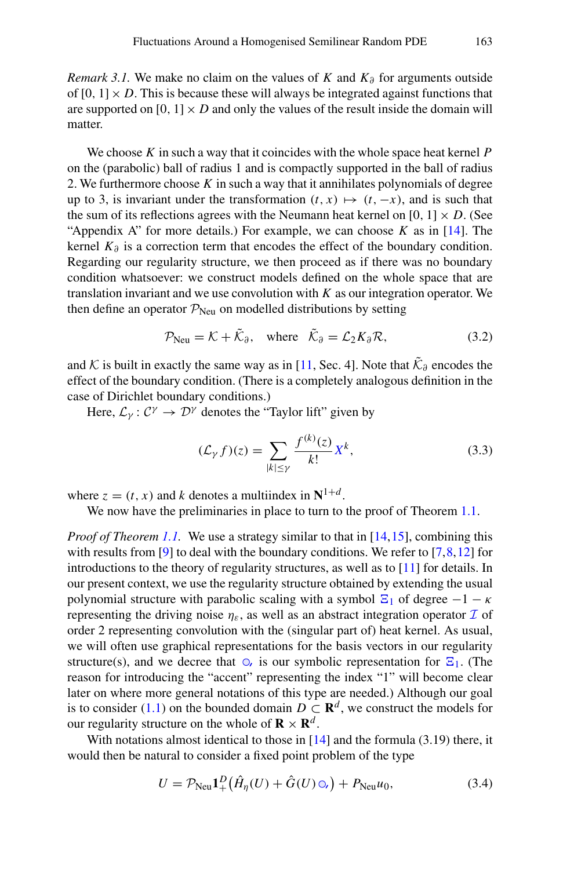*Remark 3.1.* We make no claim on the values of *K* and  $K_{\partial}$  for arguments outside of  $[0, 1] \times D$ . This is because these will always be integrated against functions that are supported on  $[0, 1] \times D$  and only the values of the result inside the domain will matter.

We choose *K* in such a way that it coincides with the whole space heat kernel *P* on the (parabolic) ball of radius 1 and is compactly supported in the ball of radius 2. We furthermore choose *K* in such a way that it annihilates polynomials of degree up to 3, is invariant under the transformation  $(t, x) \mapsto (t, -x)$ , and is such that the sum of its reflections agrees with the Neumann heat kernel on  $[0, 1] \times D$ . (See "Appendix A" for more details.) For example, we can choose  $K$  as in [\[14\]](#page-65-1). The kernel  $K_{\theta}$  is a correction term that encodes the effect of the boundary condition. Regarding our regularity structure, we then proceed as if there was no boundary condition whatsoever: we construct models defined on the whole space that are translation invariant and we use convolution with *K* as our integration operator. We then define an operator  $P_{\text{Neu}}$  on modelled distributions by setting

<span id="page-12-2"></span>
$$
\mathcal{P}_{\text{Neu}} = \mathcal{K} + \tilde{\mathcal{K}}_{\partial}, \quad \text{where} \quad \tilde{\mathcal{K}}_{\partial} = \mathcal{L}_2 K_{\partial} \mathcal{R}, \tag{3.2}
$$

and *K* is built in exactly the same way as in [\[11,](#page-65-8) Sec. 4]. Note that  $K_{\partial}$  encodes the effect of the boundary condition. (There is a completely analogous definition in the case of Dirichlet boundary conditions.)

Here,  $\mathcal{L}_{\gamma}: \mathcal{C}^{\gamma} \to \mathcal{D}^{\gamma}$  denotes the "Taylor lift" given by

<span id="page-12-1"></span>
$$
(\mathcal{L}_{\gamma} f)(z) = \sum_{|k| \le \gamma} \frac{f^{(k)}(z)}{k!} X^{k},
$$
\n(3.3)

where  $z = (t, x)$  and *k* denotes a multiindex in  $N^{1+d}$ .

We now have the preliminaries in place to turn to the proof of Theorem [1.1.](#page-2-0)

*Proof of Theorem [1.1.](#page-2-0)* We use a strategy similar to that in [\[14,](#page-65-1)[15\]](#page-65-5), combining this with results from [\[9\]](#page-65-3) to deal with the boundary conditions. We refer to  $[7,8,12]$  $[7,8,12]$  $[7,8,12]$  $[7,8,12]$  for introductions to the theory of regularity structures, as well as to [\[11\]](#page-65-8) for details. In our present context, we use the regularity structure obtained by extending the usual polynomial structure with parabolic scaling with a symbol  $\Xi_1$  of degree  $-1 - \kappa$ representing the driving noise  $\eta_{\varepsilon}$ , as well as an abstract integration operator  $\mathcal I$  of order 2 representing convolution with the (singular part of) heat kernel. As usual, we will often use graphical representations for the basis vectors in our regularity structure(s), and we decree that  $\circ$ , is our symbolic representation for  $\Xi_1$ . (The reason for introducing the "accent" representing the index "1" will become clear later on where more general notations of this type are needed.) Although our goal is to consider [\(1.1\)](#page-1-2) on the bounded domain  $D \subset \mathbf{R}^d$ , we construct the models for our regularity structure on the whole of  $\mathbf{R} \times \mathbf{R}^d$ .

With notations almost identical to those in [\[14\]](#page-65-1) and the formula (3.19) there, it would then be natural to consider a fixed point problem of the type

<span id="page-12-0"></span>
$$
U = \mathcal{P}_{\text{Neu}} \mathbf{1}_+^D \big( \hat{H}_{\eta}(U) + \hat{G}(U) \circ \big) + P_{\text{Neu}} u_0, \tag{3.4}
$$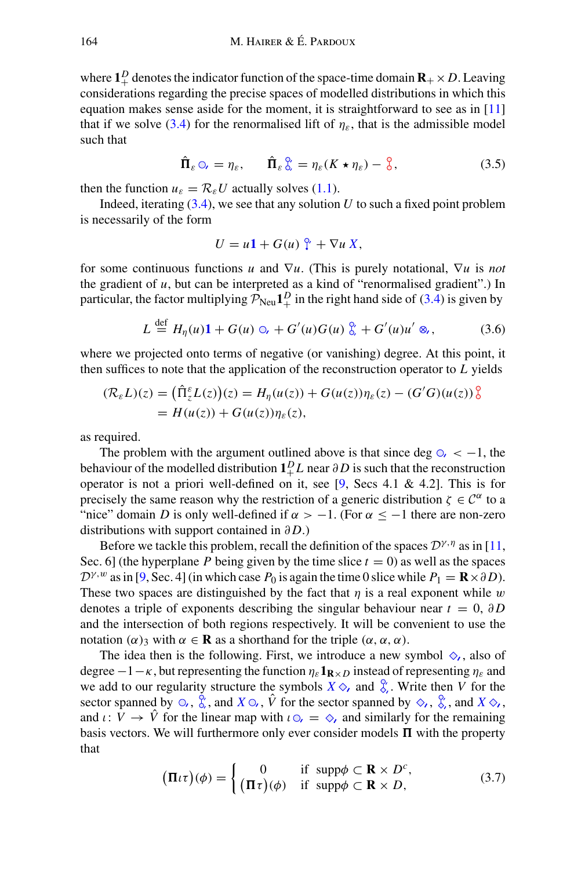where  $\mathbf{1}_+^D$  denotes the indicator function of the space-time domain  $\mathbf{R}_+ \times D$ . Leaving considerations regarding the precise spaces of modelled distributions in which this equation makes sense aside for the moment, it is straightforward to see as in [\[11\]](#page-65-8) that if we solve [\(3.4\)](#page-12-0) for the renormalised lift of  $\eta_{\varepsilon}$ , that is the admissible model such that

<span id="page-13-1"></span>
$$
\hat{\Pi}_{\varepsilon} \circlearrowright_{\varepsilon} = \eta_{\varepsilon}, \qquad \hat{\Pi}_{\varepsilon} \, \frac{\circlearrowright}{\circlearrowright} = \eta_{\varepsilon} (K \star \eta_{\varepsilon}) - \, \frac{\circlearrowright}{\circlearrowright}, \tag{3.5}
$$

then the function  $u_{\varepsilon} = \mathcal{R}_{\varepsilon} U$  actually solves [\(1.1\)](#page-1-2).

Indeed, iterating  $(3.4)$ , we see that any solution *U* to such a fixed point problem is necessarily of the form

$$
U = u\mathbf{1} + G(u) \sqrt[0]{u} + \nabla u X,
$$

for some continuous functions *u* and ∇*u*. (This is purely notational, ∇*u* is *not* the gradient of  $u$ , but can be interpreted as a kind of "renormalised gradient".) In particular, the factor multiplying  $P_{\text{Neu}}\mathbf{1}_{+}^{D}$  in the right hand side of [\(3.4\)](#page-12-0) is given by

$$
L \stackrel{\text{def}}{=} H_{\eta}(u)\mathbf{1} + G(u) \odot_{\epsilon} + G'(u)G(u) \stackrel{\odot}{\otimes}_{\epsilon} + G'(u)u' \otimes_{\epsilon}, \tag{3.6}
$$

where we projected onto terms of negative (or vanishing) degree. At this point, it then suffices to note that the application of the reconstruction operator to *L* yields

$$
(\mathcal{R}_{\varepsilon}L)(z) = \left(\hat{\Pi}_{z}^{\varepsilon}L(z)\right)(z) = H_{\eta}(u(z)) + G(u(z))\eta_{\varepsilon}(z) - (G'G)(u(z))\delta
$$
  
=  $H(u(z)) + G(u(z))\eta_{\varepsilon}(z),$ 

as required.

The problem with the argument outlined above is that since deg  $\circ$ , < -1, the behaviour of the modelled distribution  $\mathbf{1}_{+}^{D}L$  near  $\partial D$  is such that the reconstruction operator is not a priori well-defined on it, see  $[9, \text{Secs } 4.1 \& 4.2]$  $[9, \text{Secs } 4.1 \& 4.2]$ . This is for precisely the same reason why the restriction of a generic distribution  $\zeta \in C^{\alpha}$  to a "nice" domain *D* is only well-defined if  $\alpha > -1$ . (For  $\alpha \le -1$  there are non-zero distributions with support contained in ∂ *D*.)

Before we tackle this problem, recall the definition of the spaces  $\mathcal{D}^{\gamma,\eta}$  as in [\[11,](#page-65-8) Sec. 6] (the hyperplane *P* being given by the time slice  $t = 0$ ) as well as the spaces  $\mathcal{D}^{\gamma,w}$  as in [\[9,](#page-65-3) Sec. 4] (in which case  $P_0$  is again the time 0 slice while  $P_1 = \mathbf{R} \times \partial D$ ). These two spaces are distinguished by the fact that  $\eta$  is a real exponent while w denotes a triple of exponents describing the singular behaviour near  $t = 0$ ,  $\partial D$ and the intersection of both regions respectively. It will be convenient to use the notation  $(\alpha)$ <sub>3</sub> with  $\alpha \in \mathbf{R}$  as a shorthand for the triple  $(\alpha, \alpha, \alpha)$ .

The idea then is the following. First, we introduce a new symbol  $\diamondsuit$ , also of degree  $-1-\kappa$ , but representing the function  $\eta_{\varepsilon} \mathbf{1}_{\mathbf{R} \times D}$  instead of representing  $\eta_{\varepsilon}$  and we add to our regularity structure the symbols  $X \diamondsuit$ , and  $\frac{\diamondsuit}{\diamondsuit}$ . Write then *V* for the sector spanned by  $\circ$ ,  $\circ$ ,  $\circ$ , and *X* $\circ$ ,  $\circ$  for the sector spanned by  $\circ$ ,  $\circ$ , and *X* $\circ$ , and  $\iota: V \to \hat{V}$  for the linear map with  $\iota \circ \phi = \diamond$ , and similarly for the remaining basis vectors. We will furthermore only ever consider models  $\Pi$  with the property that

<span id="page-13-0"></span>
$$
(\Pi \iota \tau)(\phi) = \begin{cases} 0 & \text{if } \operatorname{supp} \phi \subset \mathbf{R} \times D^c, \\ (\Pi \tau)(\phi) & \text{if } \operatorname{supp} \phi \subset \mathbf{R} \times D, \end{cases}
$$
(3.7)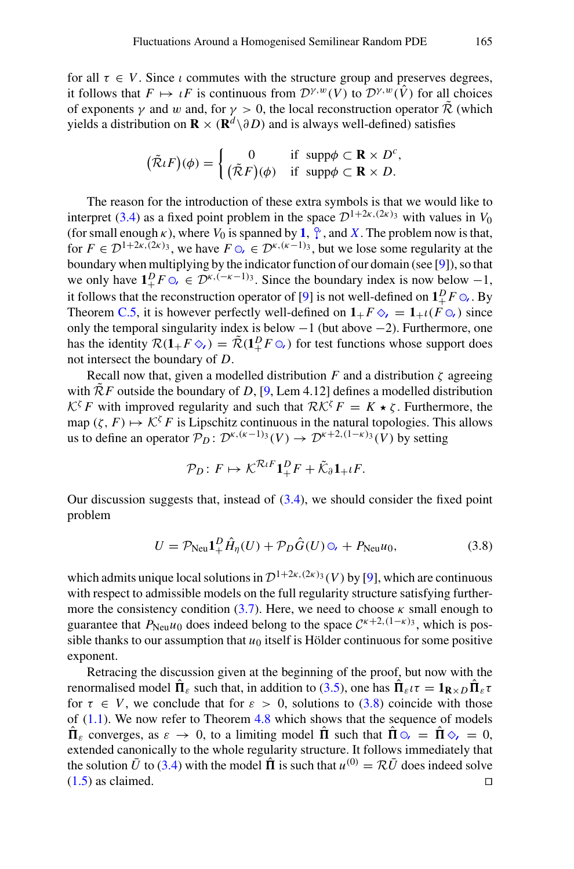for all  $\tau \in V$ . Since *i* commutes with the structure group and preserves degrees, it follows that  $F \mapsto \iota F$  is continuous from  $\mathcal{D}^{\gamma,w}(V)$  to  $\mathcal{D}^{\gamma,w}(\hat{V})$  for all choices of exponents  $\gamma$  and w and, for  $\gamma > 0$ , the local reconstruction operator  $\tilde{\mathcal{R}}$  (which yields a distribution on  $\mathbf{R} \times (\mathbf{R}^d \setminus \partial D)$  and is always well-defined) satisfies

$$
(\tilde{\mathcal{R}} \iota F)(\phi) = \begin{cases} 0 & \text{if } \operatorname{supp} \phi \subset \mathbf{R} \times D^c, \\ (\tilde{\mathcal{R}} F)(\phi) & \text{if } \operatorname{supp} \phi \subset \mathbf{R} \times D. \end{cases}
$$

The reason for the introduction of these extra symbols is that we would like to interpret [\(3.4\)](#page-12-0) as a fixed point problem in the space  $\mathcal{D}^{1+2\kappa,(2\kappa)}$  with values in  $V_0$ (for small enough  $\kappa$ ), where  $V_0$  is spanned by **1**,  $\gamma$ , and *X*. The problem now is that, for  $F \in \mathcal{D}^{1+2\kappa, (2\kappa)}$ <sub>3</sub>, we have  $F \circledcirc_{\kappa} \in \mathcal{D}^{\kappa, (\kappa-1)}$ <sub>3</sub>, but we lose some regularity at the boundary when multiplying by the indicator function of our domain (see [\[9](#page-65-3)]), so that we only have  $\mathbf{1}_+^D F \odot \in \mathcal{D}^{\kappa, (-\kappa - 1)3}$ . Since the boundary index is now below  $-1$ , it follows that the reconstruction operator of [\[9\]](#page-65-3) is not well-defined on  $\mathbf{1}_F^D F \circ \cdot$ . By Theorem [C.5,](#page-61-0) it is however perfectly well-defined on  $1 + F \otimes_{\ell} = 1 + \ell(F \otimes_{\ell})$  since only the temporal singularity index is below  $-1$  (but above  $-2$ ). Furthermore, one has the identity  $\mathcal{R}(\mathbf{1}_+ F \otimes_t) = \mathcal{R}(\mathbf{1}_+^D F \otimes_t)$  for test functions whose support does not intersect the boundary of *D*.

Recall now that, given a modelled distribution  $F$  and a distribution  $\zeta$  agreeing with  $\overline{\mathcal{R}}F$  outside the boundary of *D*, [\[9](#page-65-3), Lem 4.12] defines a modelled distribution *K*<sup>ζ</sup> *F* with improved regularity and such that  $R$ *K*<sup>ζ</sup> *F* = *K*  $\star$  ζ. Furthermore, the map  $(\zeta, F) \mapsto \mathcal{K}^{\zeta} F$  is Lipschitz continuous in the natural topologies. This allows us to define an operator  $\mathcal{P}_D$ :  $\mathcal{D}^{\kappa,(\kappa-1)}$ <sub>3</sub>(*V*)  $\rightarrow \mathcal{D}^{\kappa+2,(1-\kappa)}$ <sub>3</sub>(*V*) by setting

$$
\mathcal{P}_D\colon F\mapsto \mathcal{K}^{\mathcal{R}\iota F}\mathbf{1}_+^DF+\tilde{\mathcal{K}}_\partial\mathbf{1}_+\iota F.
$$

Our discussion suggests that, instead of  $(3.4)$ , we should consider the fixed point problem

<span id="page-14-0"></span>
$$
U = \mathcal{P}_{\text{Neu}} \mathbf{1}_{+}^{D} \hat{H}_{\eta}(U) + \mathcal{P}_{D} \hat{G}(U) \odot_{\ell} + P_{\text{Neu}} u_{0}, \tag{3.8}
$$

which admits unique local solutions in  $\mathcal{D}^{1+2\kappa,(2\kappa)}(V)$  by [\[9](#page-65-3)], which are continuous with respect to admissible models on the full regularity structure satisfying further-more the consistency condition [\(3.7\)](#page-13-0). Here, we need to choose  $\kappa$  small enough to guarantee that  $P_{\text{Neu}}u_0$  does indeed belong to the space  $C^{\kappa+2,(1-\kappa)}$ <sup>3</sup>, which is possible thanks to our assumption that  $u_0$  itself is Hölder continuous for some positive exponent.

Retracing the discussion given at the beginning of the proof, but now with the renormalised model  $\Pi_{\varepsilon}$  such that, in addition to [\(3.5\)](#page-13-1), one has  $\Pi_{\varepsilon} \iota \tau = 1_{\mathbf{R} \times D} \Pi_{\varepsilon} \tau$ for  $\tau \in V$ , we conclude that for  $\varepsilon > 0$ , solutions to [\(3.8\)](#page-14-0) coincide with those of  $(1.1)$ . We now refer to Theorem [4.8](#page-26-0) which shows that the sequence of models  $\Pi_{\varepsilon}$  converges, as  $\varepsilon \to 0$ , to a limiting model  $\Pi$  such that  $\Pi \circ \Psi = \Pi \circ \Psi = 0$ , extended canonically to the whole regularity structure. It follows immediately that the solution  $\bar{U}$  to [\(3.4\)](#page-12-0) with the model  $\hat{\Pi}$  is such that  $u^{(0)} = \mathcal{R}\bar{U}$  does indeed solve  $(1.5)$  as claimed.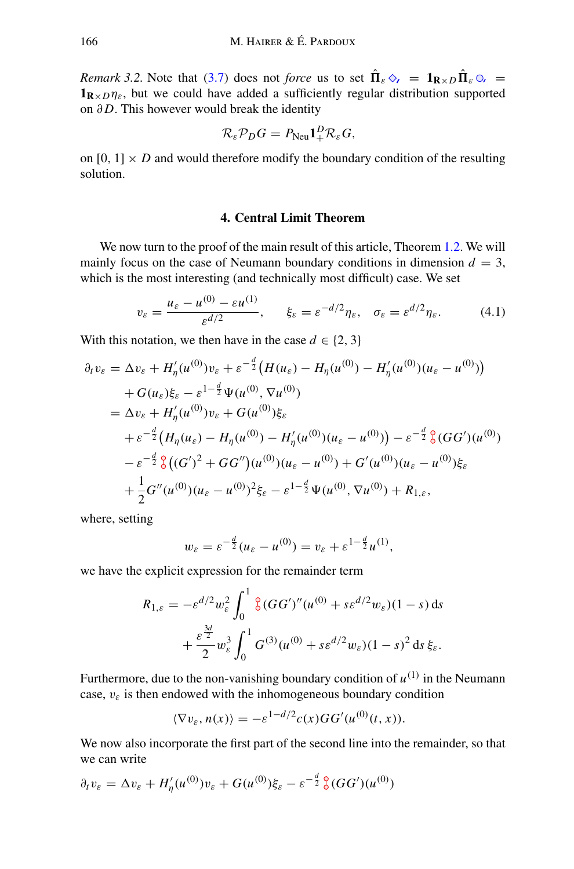*Remark 3.2.* Note that [\(3.7\)](#page-13-0) does not *force* us to set  $\Pi_{\varepsilon} \otimes_{\iota} = 1_{R \times D} \Pi_{\varepsilon} \otimes_{\iota} =$  $\mathbf{1}_{\mathbf{R}\times D}\eta_{\varepsilon}$ , but we could have added a sufficiently regular distribution supported on ∂ *D*. This however would break the identity

$$
\mathcal{R}_{\varepsilon}\mathcal{P}_D G = P_{\text{Neu}}\mathbf{1}_+^D \mathcal{R}_{\varepsilon} G,
$$

<span id="page-15-0"></span>on  $[0, 1] \times D$  and would therefore modify the boundary condition of the resulting solution.

## **4. Central Limit Theorem**

We now turn to the proof of the main result of this article, Theorem [1.2.](#page-2-1) We will mainly focus on the case of Neumann boundary conditions in dimension  $d = 3$ , which is the most interesting (and technically most difficult) case. We set

<span id="page-15-1"></span>
$$
v_{\varepsilon} = \frac{u_{\varepsilon} - u^{(0)} - \varepsilon u^{(1)}}{\varepsilon^{d/2}}, \qquad \xi_{\varepsilon} = \varepsilon^{-d/2} \eta_{\varepsilon}, \quad \sigma_{\varepsilon} = \varepsilon^{d/2} \eta_{\varepsilon}.
$$
 (4.1)

With this notation, we then have in the case  $d \in \{2, 3\}$ 

$$
\partial_t v_{\varepsilon} = \Delta v_{\varepsilon} + H'_{\eta}(u^{(0)})v_{\varepsilon} + \varepsilon^{-\frac{d}{2}} \big( H(u_{\varepsilon}) - H_{\eta}(u^{(0)}) - H'_{\eta}(u^{(0)}) (u_{\varepsilon} - u^{(0)}) \big) \n+ G(u_{\varepsilon})\xi_{\varepsilon} - \varepsilon^{1-\frac{d}{2}} \Psi(u^{(0)}, \nabla u^{(0)}) \n= \Delta v_{\varepsilon} + H'_{\eta}(u^{(0)})v_{\varepsilon} + G(u^{(0)})\xi_{\varepsilon} \n+ \varepsilon^{-\frac{d}{2}} \big( H_{\eta}(u_{\varepsilon}) - H_{\eta}(u^{(0)}) - H'_{\eta}(u^{(0)}) (u_{\varepsilon} - u^{(0)}) \big) - \varepsilon^{-\frac{d}{2}} \delta(GG')(u^{(0)}) \n- \varepsilon^{-\frac{d}{2}} \delta((G')^2 + GG'')(u^{(0)}) (u_{\varepsilon} - u^{(0)}) + G'(u^{(0)}) (u_{\varepsilon} - u^{(0)})\xi_{\varepsilon} \n+ \frac{1}{2} G''(u^{(0)}) (u_{\varepsilon} - u^{(0)})^2 \xi_{\varepsilon} - \varepsilon^{1-\frac{d}{2}} \Psi(u^{(0)}, \nabla u^{(0)}) + R_{1,\varepsilon},
$$

where, setting

$$
w_{\varepsilon} = \varepsilon^{-\frac{d}{2}} (u_{\varepsilon} - u^{(0)}) = v_{\varepsilon} + \varepsilon^{1 - \frac{d}{2}} u^{(1)},
$$

we have the explicit expression for the remainder term

$$
R_{1,\varepsilon} = -\varepsilon^{d/2} w_{\varepsilon}^2 \int_0^1 \frac{\partial}{\partial} (GG')''(u^{(0)} + s\varepsilon^{d/2} w_{\varepsilon}) (1 - s) ds + \frac{\varepsilon^{\frac{3d}{2}}}{2} w_{\varepsilon}^3 \int_0^1 G^{(3)}(u^{(0)} + s\varepsilon^{d/2} w_{\varepsilon}) (1 - s)^2 ds \, \xi_{\varepsilon}.
$$

Furthermore, due to the non-vanishing boundary condition of  $u^{(1)}$  in the Neumann case,  $v_{\varepsilon}$  is then endowed with the inhomogeneous boundary condition

$$
\langle \nabla v_{\varepsilon}, n(x) \rangle = -\varepsilon^{1-d/2} c(x) G G'(u^{(0)}(t, x)).
$$

We now also incorporate the first part of the second line into the remainder, so that we can write

<span id="page-15-2"></span>
$$
\partial_t v_{\varepsilon} = \Delta v_{\varepsilon} + H'_\eta(u^{(0)})v_{\varepsilon} + G(u^{(0)})\xi_{\varepsilon} - \varepsilon^{-\frac{d}{2}} \mathcal{E}(GG')(u^{(0)})
$$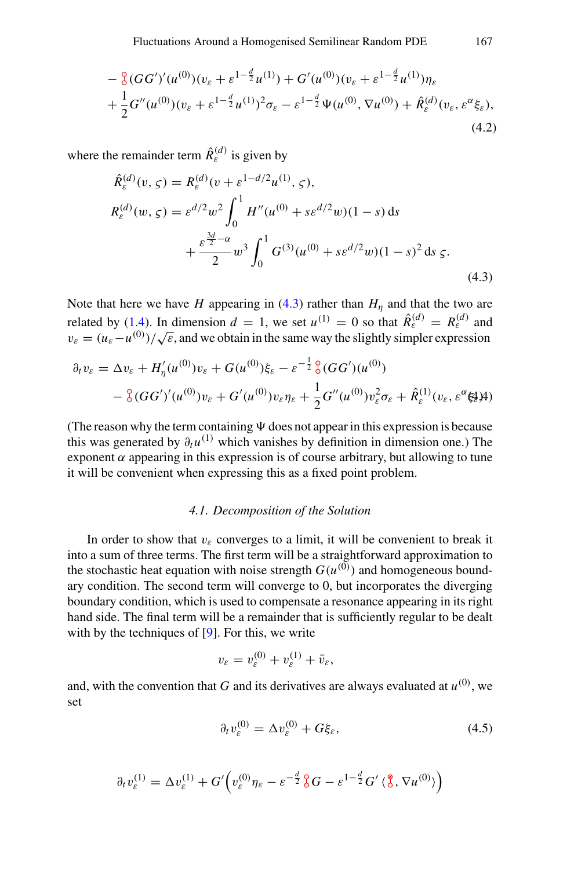$$
- \frac{\partial}{\partial} (GG')' (u^{(0)})(v_{\varepsilon} + \varepsilon^{1 - \frac{d}{2}} u^{(1)}) + G'(u^{(0)})(v_{\varepsilon} + \varepsilon^{1 - \frac{d}{2}} u^{(1)}) \eta_{\varepsilon} + \frac{1}{2} G'' (u^{(0)})(v_{\varepsilon} + \varepsilon^{1 - \frac{d}{2}} u^{(1)})^2 \sigma_{\varepsilon} - \varepsilon^{1 - \frac{d}{2}} \Psi (u^{(0)}, \nabla u^{(0)}) + \hat{R}_{\varepsilon}^{(d)}(v_{\varepsilon}, \varepsilon^{\alpha} \xi_{\varepsilon}),
$$
\n(4.2)

where the remainder term  $\hat{R}^{(d)}_{\varepsilon}$  is given by

<span id="page-16-1"></span>
$$
\hat{R}_{\varepsilon}^{(d)}(v,\varsigma) = R_{\varepsilon}^{(d)}(v + \varepsilon^{1-d/2}u^{(1)},\varsigma),
$$
\n
$$
R_{\varepsilon}^{(d)}(w,\varsigma) = \varepsilon^{d/2}w^{2} \int_{0}^{1} H''(u^{(0)} + s\varepsilon^{d/2}w)(1-s) ds
$$
\n
$$
+ \frac{\varepsilon^{\frac{3d}{2}-\alpha}}{2} w^{3} \int_{0}^{1} G^{(3)}(u^{(0)} + s\varepsilon^{d/2}w)(1-s)^{2} ds \varsigma.
$$
\n(4.3)

Note that here we have *H* appearing in  $(4.3)$  rather than  $H_n$  and that the two are related by [\(1.4\)](#page-2-3). In dimension  $d = 1$ , we set  $u^{(1)} = 0$  so that  $\hat{R}^{(d)}_{{\varepsilon}} = R^{(d)}_{{\varepsilon}}$  and  $v_{\varepsilon} = (u_{\varepsilon} - u^{(0)})/\sqrt{\varepsilon}$ , and we obtain in the same way the slightly simpler expression

$$
\partial_t v_{\varepsilon} = \Delta v_{\varepsilon} + H'_{\eta}(u^{(0)})v_{\varepsilon} + G(u^{(0)})\xi_{\varepsilon} - \varepsilon^{-\frac{1}{2}} \frac{\partial}{\partial} (GG')(u^{(0)}) \n- \frac{\partial}{\partial} (GG')'(u^{(0)})v_{\varepsilon} + G'(u^{(0)})v_{\varepsilon}\eta_{\varepsilon} + \frac{1}{2}G''(u^{(0)})v_{\varepsilon}^2 \sigma_{\varepsilon} + \hat{R}_{\varepsilon}^{(1)}(v_{\varepsilon}, \varepsilon^{\alpha}\xi_{\varepsilon}^4)4
$$

(The reason why the term containing  $\Psi$  does not appear in this expression is because this was generated by  $\partial_t u^{(1)}$  which vanishes by definition in dimension one.) The exponent  $\alpha$  appearing in this expression is of course arbitrary, but allowing to tune it will be convenient when expressing this as a fixed point problem.

#### *4.1. Decomposition of the Solution*

<span id="page-16-0"></span>In order to show that  $v_{\varepsilon}$  converges to a limit, it will be convenient to break it into a sum of three terms. The first term will be a straightforward approximation to the stochastic heat equation with noise strength  $G(u^{(0)})$  and homogeneous boundary condition. The second term will converge to 0, but incorporates the diverging boundary condition, which is used to compensate a resonance appearing in its right hand side. The final term will be a remainder that is sufficiently regular to be dealt with by the techniques of [\[9](#page-65-3)]. For this, we write

$$
v_{\varepsilon}=v_{\varepsilon}^{(0)}+v_{\varepsilon}^{(1)}+\bar{v}_{\varepsilon},
$$

and, with the convention that *G* and its derivatives are always evaluated at  $u^{(0)}$ , we set

<span id="page-16-2"></span>
$$
\partial_t v_{\varepsilon}^{(0)} = \Delta v_{\varepsilon}^{(0)} + G \xi_{\varepsilon}, \tag{4.5}
$$

<span id="page-16-3"></span>
$$
\partial_t v_\varepsilon^{(1)} = \Delta v_\varepsilon^{(1)} + G' \Big( v_\varepsilon^{(0)} \eta_\varepsilon - \varepsilon^{-\frac{d}{2}} \frac{\partial}{\partial} G - \varepsilon^{1-\frac{d}{2}} G' \langle \mathring{\delta}, \nabla u^{(0)} \rangle \Big)
$$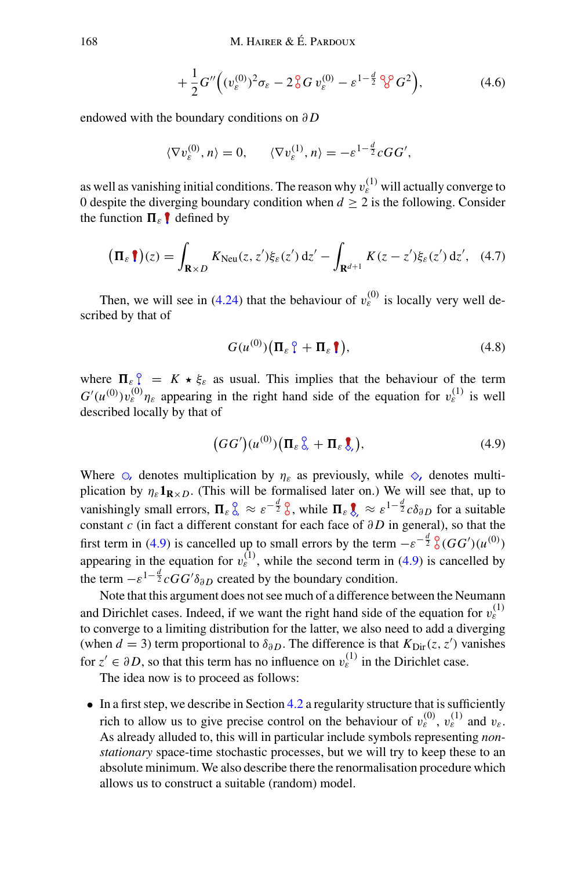$$
+\frac{1}{2}G''\Big((v_{\varepsilon}^{(0)})^2\sigma_{\varepsilon}-2\mathcal{E}G\,v_{\varepsilon}^{(0)}-\varepsilon^{1-\frac{d}{2}}\mathcal{E}G^2\Big),\tag{4.6}
$$

endowed with the boundary conditions on ∂ *D*

$$
\langle \nabla v_{\varepsilon}^{(0)}, n \rangle = 0, \qquad \langle \nabla v_{\varepsilon}^{(1)}, n \rangle = -\varepsilon^{1-\frac{d}{2}} c G G',
$$

as well as vanishing initial conditions. The reason why  $v_s^{(1)}$  will actually converge to 0 despite the diverging boundary condition when  $d > 2$  is the following. Consider the function  $\Pi_{\varepsilon} \parallel$  defined by

<span id="page-17-2"></span>
$$
\left(\Pi_{\varepsilon}\biguparrow\right)(z) = \int_{\mathbf{R}\times D} K_{\text{Neu}}(z, z') \xi_{\varepsilon}(z') \,\mathrm{d} z' - \int_{\mathbf{R}^{d+1}} K(z - z') \xi_{\varepsilon}(z') \,\mathrm{d} z', \quad (4.7)
$$

Then, we will see in [\(4.24\)](#page-28-1) that the behaviour of  $v_s^{(0)}$  is locally very well described by that of

<span id="page-17-1"></span>
$$
G(u^{(0)})\big(\Pi_{\varepsilon}\, \mathcal{C} + \Pi_{\varepsilon}\,\mathbf{I}\big),\tag{4.8}
$$

where  $\Pi_{\varepsilon}$   $\Big|_{\infty}^{\infty} = K \star \xi_{\varepsilon}$  as usual. This implies that the behaviour of the term  $G'(u^{(0)})v_{\varepsilon}^{(0)}\eta_{\varepsilon}$  appearing in the right hand side of the equation for  $v_{\varepsilon}^{(1)}$  is well described locally by that of

<span id="page-17-0"></span>
$$
(GG')(u^{(0)})(\Pi_{\varepsilon} \, \mathcal{E}_{\varepsilon} + \Pi_{\varepsilon} \, \xi_{\varepsilon}), \tag{4.9}
$$

Where  $\odot$ , denotes multiplication by  $\eta_{\varepsilon}$  as previously, while  $\diamondsuit$ , denotes multiplication by  $\eta_{\varepsilon} \mathbf{1}_{\mathbf{R} \times D}$ . (This will be formalised later on.) We will see that, up to vanishingly small errors,  $\Pi_{\varepsilon} \frac{\partial}{\partial \varepsilon} \approx \varepsilon^{-\frac{d}{2}} \frac{\partial}{\partial \varepsilon}$ , while  $\Pi_{\varepsilon} \frac{\partial}{\partial \varepsilon} \approx \varepsilon^{1-\frac{d}{2}} c \delta_{\partial D}$  for a suitable constant *c* (in fact a different constant for each face of  $\partial D$  in general), so that the first term in [\(4.9\)](#page-17-0) is cancelled up to small errors by the term  $-\varepsilon^{-\frac{d}{2}} \frac{\partial}{\partial} (GG')(u^{(0)})$ appearing in the equation for  $v_{\varepsilon}^{(1)}$ , while the second term in [\(4.9\)](#page-17-0) is cancelled by the term  $-\varepsilon^{1-\frac{d}{2}} c G G' \delta_{\partial D}$  created by the boundary condition.

Note that this argument does not see much of a difference between the Neumann and Dirichlet cases. Indeed, if we want the right hand side of the equation for  $v_s^{(1)}$ to converge to a limiting distribution for the latter, we also need to add a diverging (when  $d = 3$ ) term proportional to  $\delta_{\partial D}$ . The difference is that  $K_{\text{Dir}}(z, z')$  vanishes for  $z' \in \partial D$ , so that this term has no influence on  $v_{\varepsilon}^{(1)}$  in the Dirichlet case.

The idea now is to proceed as follows:

 $\bullet$  In a first step, we describe in Section [4.2](#page-18-0) a regularity structure that is sufficiently rich to allow us to give precise control on the behaviour of  $v_{\varepsilon}^{(0)}$ ,  $v_{\varepsilon}^{(1)}$  and  $v_{\varepsilon}$ . As already alluded to, this will in particular include symbols representing *nonstationary* space-time stochastic processes, but we will try to keep these to an absolute minimum. We also describe there the renormalisation procedure which allows us to construct a suitable (random) model.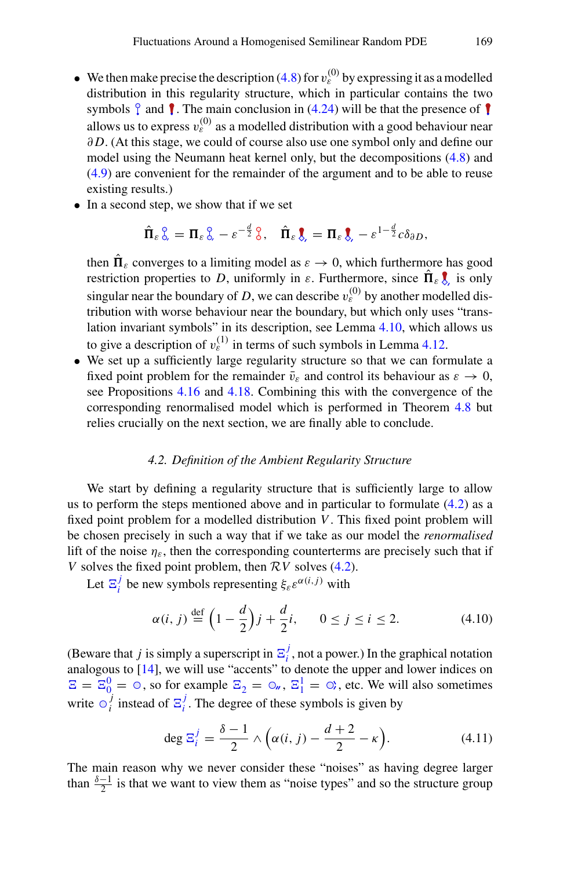- We then make precise the description [\(4.8\)](#page-17-1) for  $v_{\rm g}^{(0)}$  by expressing it as a modelled distribution in this regularity structure, which in particular contains the two symbols  $\hat{I}$  and  $\hat{I}$ . The main conclusion in [\(4.24\)](#page-28-1) will be that the presence of  $\hat{I}$ allows us to express  $v_s^{(0)}$  as a modelled distribution with a good behaviour near ∂D. (At this stage, we could of course also use one symbol only and define our model using the Neumann heat kernel only, but the decompositions [\(4.8\)](#page-17-1) and [\(4.9\)](#page-17-0) are convenient for the remainder of the argument and to be able to reuse existing results.)
- In a second step, we show that if we set

$$
\hat{\Pi}_{\varepsilon} \, \delta_{\varepsilon}^{\mathfrak{D}} = \Pi_{\varepsilon} \, \delta_{\varepsilon}^{\mathfrak{D}} - \varepsilon^{-\frac{d}{2}} \, \delta_{\varepsilon}^{\mathfrak{D}}, \quad \hat{\Pi}_{\varepsilon} \, \delta_{\varepsilon}^{\mathfrak{D}} = \Pi_{\varepsilon} \, \delta_{\varepsilon}^{\mathfrak{D}} - \varepsilon^{1-\frac{d}{2}} c \delta_{\partial D},
$$

then  $\Pi_{\varepsilon}$  converges to a limiting model as  $\varepsilon \to 0$ , which furthermore has good restriction properties to *D*, uniformly in  $\varepsilon$ . Furthermore, since  $\Pi_{\varepsilon} \nightharpoondown_{\varepsilon}$  is only singular near the boundary of *D*, we can describe  $v_{\varepsilon}^{(0)}$  by another modelled distribution with worse behaviour near the boundary, but which only uses "translation invariant symbols" in its description, see Lemma [4.10,](#page-28-0) which allows us to give a description of  $v_{\varepsilon}^{(1)}$  in terms of such symbols in Lemma [4.12.](#page-31-0)

• We set up a sufficiently large regularity structure so that we can formulate a fixed point problem for the remainder  $\bar{v}_{\varepsilon}$  and control its behaviour as  $\varepsilon \to 0$ , see Propositions [4.16](#page-33-0) and [4.18.](#page-34-0) Combining this with the convergence of the corresponding renormalised model which is performed in Theorem [4.8](#page-26-0) but relies crucially on the next section, we are finally able to conclude.

## *4.2. Definition of the Ambient Regularity Structure*

<span id="page-18-0"></span>We start by defining a regularity structure that is sufficiently large to allow us to perform the steps mentioned above and in particular to formulate [\(4.2\)](#page-15-2) as a fixed point problem for a modelled distribution *V*. This fixed point problem will be chosen precisely in such a way that if we take as our model the *renormalised* lift of the noise  $\eta_{\varepsilon}$ , then the corresponding counterterms are precisely such that if *V* solves the fixed point problem, then *RV* solves [\(4.2\)](#page-15-2).

Let  $\Xi_i^j$  be new symbols representing  $\xi_{\varepsilon} \varepsilon^{\alpha(i,j)}$  with

<span id="page-18-2"></span>
$$
\alpha(i, j) \stackrel{\text{def}}{=} \left(1 - \frac{d}{2}\right)j + \frac{d}{2}i, \qquad 0 \le j \le i \le 2. \tag{4.10}
$$

(Beware that *j* is simply a superscript in  $\mathbb{E}_i^j$ , not a power.) In the graphical notation analogous to [\[14](#page-65-1)], we will use "accents" to denote the upper and lower indices on  $\Xi = \Xi_0^0 = \circ$ , so for example  $\Xi_2 = \circ$ ,  $\Xi_1^1 = \circ$ , etc. We will also sometimes write  $\circ$ <sup>*j*</sup> instead of  $\Xi$ <sup>*j*</sup>. The degree of these symbols is given by

<span id="page-18-1"></span>
$$
\deg \Xi_i^j = \frac{\delta - 1}{2} \wedge \left( \alpha(i, j) - \frac{d + 2}{2} - \kappa \right). \tag{4.11}
$$

The main reason why we never consider these "noises" as having degree larger than  $\frac{\delta-1}{2}$  is that we want to view them as "noise types" and so the structure group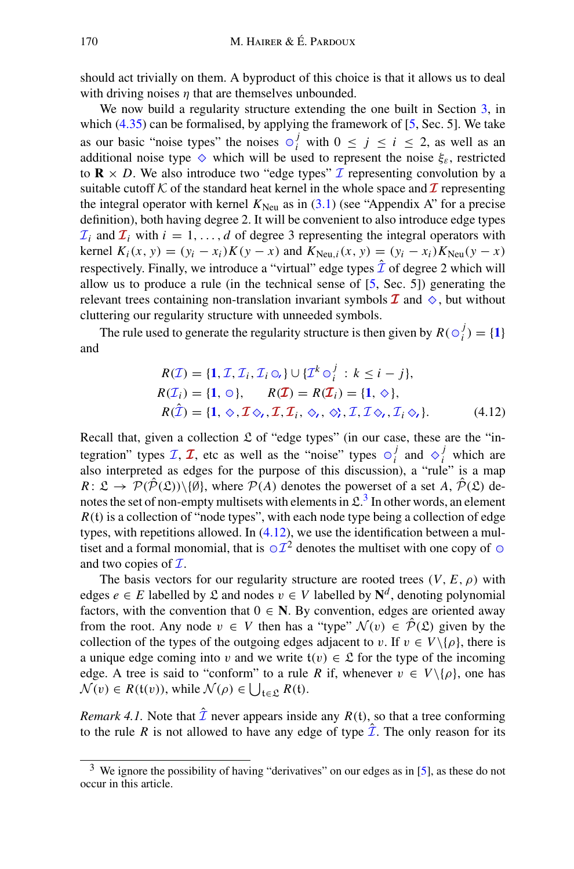should act trivially on them. A byproduct of this choice is that it allows us to deal with driving noises  $\eta$  that are themselves unbounded.

We now build a regularity structure extending the one built in Section [3,](#page-11-0) in which  $(4.35)$  can be formalised, by applying the framework of  $[5, \text{Sec. 5}]$  $[5, \text{Sec. 5}]$ . We take as our basic "noise types" the noises  $\circ_j^j$  with  $0 \le j \le i \le 2$ , as well as an additional noise type  $\Diamond$  which will be used to represent the noise  $\xi_{\varepsilon}$ , restricted to  $\mathbf{R} \times D$ . We also introduce two "edge types"  $\mathcal{I}$  representing convolution by a suitable cutoff  $K$  of the standard heat kernel in the whole space and  $\mathcal I$  representing the integral operator with kernel  $K_{\text{Neu}}$  as in  $(3.1)$  (see "Appendix A" for a precise definition), both having degree 2. It will be convenient to also introduce edge types  $I_i$  and  $I_i$  with  $i = 1, \ldots, d$  of degree 3 representing the integral operators with  $k$ ernel  $K_i(x, y) = (y_i - x_i)K(y - x)$  and  $K_{\text{Neu},i}(x, y) = (y_i - x_i)K_{\text{Neu}}(y - x)$ respectively. Finally, we introduce a "virtual" edge types  $\hat{\mathcal{I}}$  of degree 2 which will allow us to produce a rule (in the technical sense of [\[5,](#page-65-12) Sec. 5]) generating the relevant trees containing non-translation invariant symbols  $\mathcal I$  and  $\diamond$ , but without cluttering our regularity structure with unneeded symbols.

The rule used to generate the regularity structure is then given by  $R(\circ_i^j) = \{1\}$ and

<span id="page-19-1"></span>
$$
R(\mathcal{I}) = \{1, \mathcal{I}, \mathcal{I}_i, \mathcal{I}_i \odot\} \cup \{\mathcal{I}^k \odot_i^j : k \le i - j\},
$$
  
\n
$$
R(\mathcal{I}_i) = \{1, \odot\}, \qquad R(\mathcal{I}) = R(\mathcal{I}_i) = \{1, \diamond\},
$$
  
\n
$$
R(\hat{\mathcal{I}}) = \{1, \diamond, \mathcal{I} \diamond_i, \mathcal{I}, \mathcal{I}_i, \diamond_i, \diamond_i, \mathcal{I}, \mathcal{I} \diamond_i, \mathcal{I}_i \diamond_i\}.
$$
\n(4.12)

Recall that, given a collection  $\mathfrak L$  of "edge types" (in our case, these are the "integration" types *I*, *I*, etc as well as the "noise" types  $\circ_i^j$  and  $\circ_i^j$  which are also interpreted as edges for the purpose of this discussion), a "rule" is a map  $R: \mathcal{L} \to \mathcal{P}(\hat{\mathcal{P}}(\mathcal{L})) \setminus \{\emptyset\},\$  where  $\mathcal{P}(A)$  denotes the powerset of a set A,  $\hat{\mathcal{P}}(\mathcal{L})$  denotes the set of non-empty multisets with elements in  $\mathfrak{L}^3$  $\mathfrak{L}^3$  In other words, an element  $R(t)$  is a collection of "node types", with each node type being a collection of edge types, with repetitions allowed. In [\(4.12\)](#page-19-1), we use the identification between a multiset and a formal monomial, that is  $\circ \mathcal{I}^2$  denotes the multiset with one copy of  $\circ$ and two copies of *I*.

The basis vectors for our regularity structure are rooted trees  $(V, E, \rho)$  with edges  $e \in E$  labelled by  $\mathfrak{L}$  and nodes  $v \in V$  labelled by  $\mathbb{N}^d$ , denoting polynomial factors, with the convention that  $0 \in N$ . By convention, edges are oriented away from the root. Any node  $v \in V$  then has a "type"  $\mathcal{N}(v) \in \hat{\mathcal{P}}(\mathfrak{L})$  given by the collection of the types of the outgoing edges adjacent to v. If  $v \in V \setminus \{\rho\}$ , there is a unique edge coming into v and we write  $t(v) \in \mathcal{L}$  for the type of the incoming edge. A tree is said to "conform" to a rule *R* if, whenever  $v \in V \setminus \{\rho\}$ , one has  $\mathcal{N}(v) \in R(\mathfrak{t}(v)),$  while  $\mathcal{N}(\rho) \in \bigcup_{\mathfrak{t} \in \mathfrak{L}} R(\mathfrak{t}).$ 

*Remark 4.1.* Note that  $\hat{\mathcal{I}}$  never appears inside any  $R(t)$ , so that a tree conforming to the rule *R* is not allowed to have any edge of type  $\overline{I}$ . The only reason for its

<span id="page-19-0"></span>We ignore the possibility of having "derivatives" on our edges as in [\[5\]](#page-65-12), as these do not occur in this article.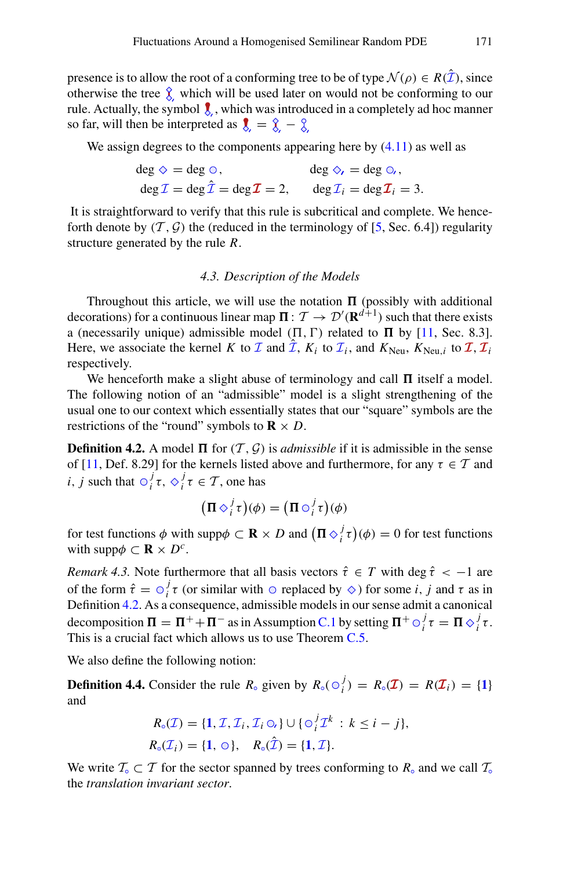presence is to allow the root of a conforming tree to be of type  $\mathcal{N}(\rho) \in R(\hat{\mathcal{I}})$ , since otherwise the tree  $\hat{\chi}$  which will be used later on would not be conforming to our rule. Actually, the symbol  $\int_{\mathbb{R}}$ , which was introduced in a completely ad hoc manner so far, will then be interpreted as  $\zeta = \zeta - \zeta$ 

We assign degrees to the components appearing here by  $(4.11)$  as well as

 $deg \Diamond = deg \circ$ ,  $deg \Diamond = deg \circ$ ,  $\deg \mathcal{I} = \deg \hat{\mathcal{I}} = \deg \mathcal{I} = 2, \qquad \deg \mathcal{I}_i = \deg \mathcal{I}_i = 3.$ 

It is straightforward to verify that this rule is subcritical and complete. We henceforth denote by  $(T, \mathcal{G})$  the (reduced in the terminology of [\[5,](#page-65-12) Sec. 6.4]) regularity structure generated by the rule *R*.

# *4.3. Description of the Models*

<span id="page-20-0"></span>Throughout this article, we will use the notation  $\Pi$  (possibly with additional decorations) for a continuous linear map  $\mathbf{\Pi}: \mathcal{T} \to \mathcal{D}'(\mathbf{R}^{d+1})$  such that there exists a (necessarily unique) admissible model  $(\Pi, \Gamma)$  related to  $\Pi$  by [\[11](#page-65-8), Sec. 8.3]. Here, we associate the kernel *K* to *I* and  $\hat{\mathcal{I}}$ ,  $K_i$  to  $\mathcal{I}_i$ , and  $K_{\text{Neu}}$ ,  $K_{\text{Neu}}$ , to  $\hat{\mathcal{I}}$ ,  $\hat{\mathcal{I}}$ , respectively.

We henceforth make a slight abuse of terminology and call  $\Pi$  itself a model. The following notion of an "admissible" model is a slight strengthening of the usual one to our context which essentially states that our "square" symbols are the restrictions of the "round" symbols to  $\mathbf{R} \times D$ .

<span id="page-20-1"></span>**Definition 4.2.** A model  $\Pi$  for  $(\mathcal{T}, \mathcal{G})$  is *admissible* if it is admissible in the sense of [\[11,](#page-65-8) Def. 8.29] for the kernels listed above and furthermore, for any  $\tau \in \mathcal{T}$  and *i*, *j* such that  $\circ_i^j \tau$ ,  $\diamond_i^j \tau \in \mathcal{T}$ , one has

$$
(\Pi \diamond_i^j \tau)(\phi) = (\Pi \circ_i^j \tau)(\phi)
$$

for test functions  $\phi$  with supp $\phi \subset \mathbf{R} \times D$  and  $(\mathbf{\Pi} \diamond_i^j \tau)(\phi) = 0$  for test functions with  $\text{supp}\phi \subset \mathbf{R} \times D^c$ .

*Remark 4.3.* Note furthermore that all basis vectors  $\hat{\tau} \in T$  with deg  $\hat{\tau} < -1$  are of the form  $\hat{\tau} = \int_i^j \tau$  (or similar with  $\circ$  replaced by  $\diamond$ ) for some *i*, *j* and  $\tau$  as in Definition [4.2.](#page-20-1) As a consequence, admissible models in our sense admit a canonical decomposition  $\Pi = \Pi^+ + \Pi^-$  as in Assumption [C.1](#page-56-0) by setting  $\Pi^+ \circ_i^j \tau = \Pi \circ_i^j \tau$ . This is a crucial fact which allows us to use Theorem [C.5.](#page-61-0)

<span id="page-20-2"></span>We also define the following notion:

**Definition 4.4.** Consider the rule  $R_0$  given by  $R_0(\mathcal{O}_i^j) = R_0(\mathcal{I}) = R(\mathcal{I}_i) = \{1\}$ and

$$
R_{\circ}(\mathcal{I}) = \{1, \mathcal{I}, \mathcal{I}_i, \mathcal{I}_i \odot \} \cup \{ \circ_i^j \mathcal{I}^k : k \leq i - j \},
$$
  

$$
R_{\circ}(\mathcal{I}_i) = \{1, \circ\}, \quad R_{\circ}(\hat{\mathcal{I}}) = \{1, \mathcal{I}\}.
$$

We write  $\mathcal{T}_{\circ} \subset \mathcal{T}$  for the sector spanned by trees conforming to  $R_{\circ}$  and we call  $\mathcal{T}_{\circ}$ the *translation invariant sector*.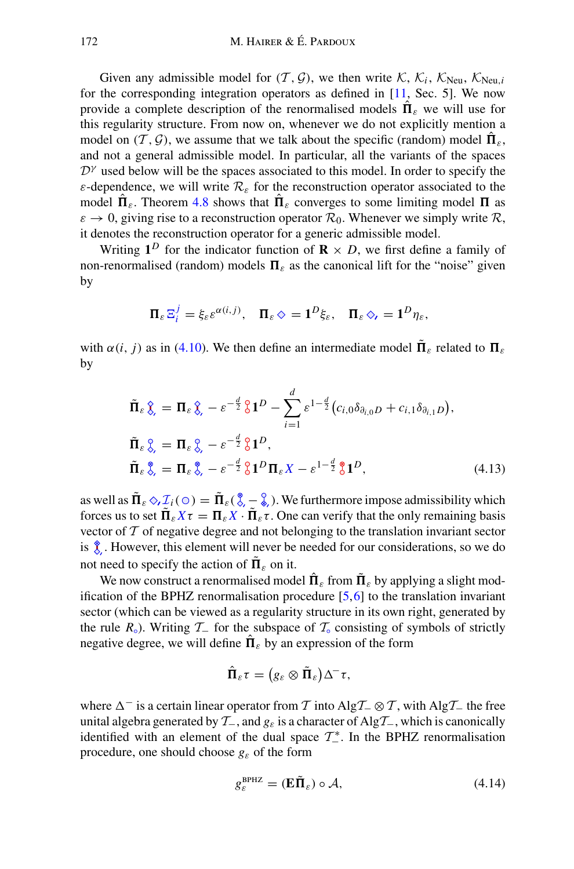Given any admissible model for  $(T, \mathcal{G})$ , we then write  $\mathcal{K}, \mathcal{K}_i, \mathcal{K}_{\text{Neu}}, \mathcal{K}_{\text{Neu},i}$ for the corresponding integration operators as defined in [\[11,](#page-65-8) Sec. 5]. We now provide a complete description of the renormalised models  $\Pi_{\varepsilon}$  we will use for this regularity structure. From now on, whenever we do not explicitly mention a model on  $(\mathcal{T}, \mathcal{G})$ , we assume that we talk about the specific (random) model  $\Pi_{\varepsilon}$ , and not a general admissible model. In particular, all the variants of the spaces  $D^{\gamma}$  used below will be the spaces associated to this model. In order to specify the ε-dependence, we will write  $\mathcal{R}_{\varepsilon}$  for the reconstruction operator associated to the model  $\Pi_{\varepsilon}$ . Theorem [4.8](#page-26-0) shows that  $\Pi_{\varepsilon}$  converges to some limiting model  $\Pi$  as  $\varepsilon \to 0$ , giving rise to a reconstruction operator  $\mathcal{R}_0$ . Whenever we simply write  $\mathcal{R}_1$ , it denotes the reconstruction operator for a generic admissible model.

Writing  $1^D$  for the indicator function of **R**  $\times$  *D*, we first define a family of non-renormalised (random) models  $\Pi_{\varepsilon}$  as the canonical lift for the "noise" given by

$$
\Pi_{\varepsilon} \Xi_i^j = \xi_{\varepsilon} \varepsilon^{\alpha(i,j)}, \quad \Pi_{\varepsilon} \diamondsuit = \mathbf{1}^D \xi_{\varepsilon}, \quad \Pi_{\varepsilon} \diamondsuit, = \mathbf{1}^D \eta_{\varepsilon},
$$

with  $\alpha(i, j)$  as in [\(4.10\)](#page-18-2). We then define an intermediate model  $\mathbf{\Pi}_{\varepsilon}$  related to  $\mathbf{\Pi}_{\varepsilon}$ by

<span id="page-21-1"></span>
$$
\tilde{\Pi}_{\varepsilon} \hat{\xi}_{\varepsilon} = \Pi_{\varepsilon} \hat{\xi}_{\varepsilon} - \varepsilon^{-\frac{d}{2}} \hat{\xi} \mathbf{1}^{D} - \sum_{i=1}^{d} \varepsilon^{1-\frac{d}{2}} \big( c_{i,0} \delta_{\partial_{i,0}D} + c_{i,1} \delta_{\partial_{i,1}D} \big),
$$
\n
$$
\tilde{\Pi}_{\varepsilon} \hat{\xi}_{\varepsilon} = \Pi_{\varepsilon} \hat{\xi}_{\varepsilon} - \varepsilon^{-\frac{d}{2}} \hat{\xi} \mathbf{1}^{D},
$$
\n
$$
\tilde{\Pi}_{\varepsilon} \tilde{\xi}_{\varepsilon} = \Pi_{\varepsilon} \tilde{\xi}_{\varepsilon} - \varepsilon^{-\frac{d}{2}} \hat{\xi} \mathbf{1}^{D} \Pi_{\varepsilon} X - \varepsilon^{1-\frac{d}{2}} \tilde{\xi} \mathbf{1}^{D},
$$
\n(4.13)

as well as  $\Pi_{\varepsilon} \otimes I_{\varepsilon}(\mathcal{O}) = \Pi_{\varepsilon}(\mathcal{O}_{\varepsilon} - \mathcal{O}_{\varepsilon})$ . We furthermore impose admissibility which forces us to set  $\Pi_{\varepsilon} X \tau = \Pi_{\varepsilon} X \cdot \Pi_{\varepsilon} \tau$ . One can verify that the only remaining basis vector of *T* of negative degree and not belonging to the translation invariant sector is  $\hat{\mathbf{x}}$ . However, this element will never be needed for our considerations, so we do not need to specify the action of  $\Pi_{\varepsilon}$  on it.

We now construct a renormalised model  $\Pi_{\varepsilon}$  from  $\Pi_{\varepsilon}$  by applying a slight modification of the BPHZ renormalisation procedure  $[5,6]$  $[5,6]$  to the translation invariant sector (which can be viewed as a regularity structure in its own right, generated by the rule  $R_0$ ). Writing  $\mathcal{T}_-$  for the subspace of  $\mathcal{T}_0$  consisting of symbols of strictly negative degree, we will define  $\Pi_{\varepsilon}$  by an expression of the form

$$
\hat{\Pi}_{\varepsilon} \tau = (g_{\varepsilon} \otimes \tilde{\Pi}_{\varepsilon}) \Delta^{-} \tau,
$$

where  $\Delta^-$  is a certain linear operator from *T* into Alg*T*<sub>−</sub> ⊗ *T*, with Alg*T*<sub>−</sub> the free unital algebra generated by  $\mathcal{T}_-$ , and  $g_{\varepsilon}$  is a character of Alg $\mathcal{T}_-$ , which is canonically identified with an element of the dual space  $\mathcal{T}_{-}^*$ . In the BPHZ renormalisation procedure, one should choose *g*<sup>ε</sup> of the form

<span id="page-21-0"></span>
$$
g_{\varepsilon}^{\text{BPIZ}} = (\mathbf{E}\tilde{\Pi}_{\varepsilon}) \circ \mathcal{A},\tag{4.14}
$$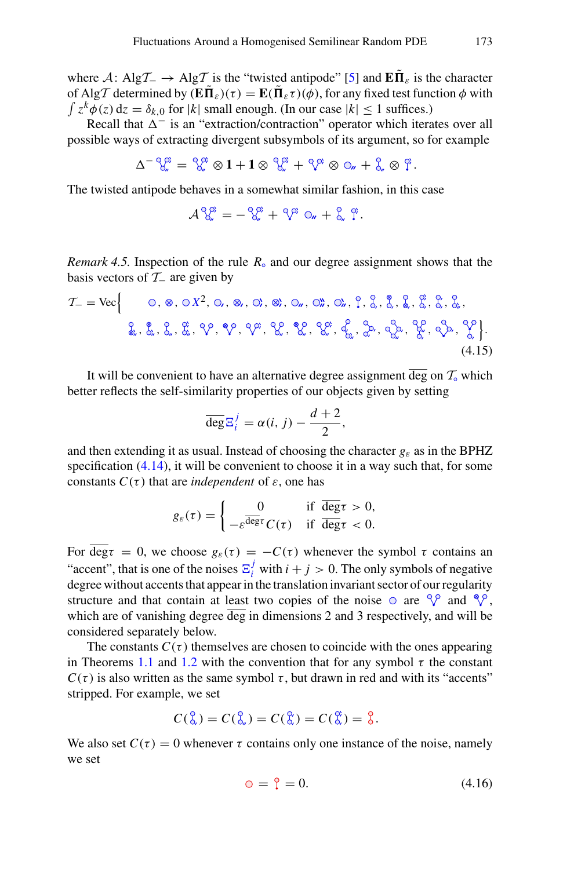where *A*: Alg*T*<sub>−</sub> → Alg*T* is the "twisted antipode" [\[5](#page-65-12)] and **EΠ**<sub>ε</sub> is the character of Alg $\mathcal{T}$  determined by  $(\mathbf{E} \mathbf{\Pi}_{\varepsilon})(\tau) = \mathbf{E}(\mathbf{\Pi}_{\varepsilon} \tau)(\phi)$ , for any fixed test function  $\phi$  with  $\int z^k \phi(z) dz = \delta_{k,0}$  for  $|k|$  small enough. (In our case  $|k| \le 1$  suffices.)

Recall that  $\Delta^-$  is an "extraction/contraction" operator which iterates over all possible ways of extracting divergent subsymbols of its argument, so for example

 $\Delta^{-} \mathcal{L}^{\circ} = \mathcal{L}^{\circ} \otimes \mathbf{1} + \mathbf{1} \otimes \mathcal{L}^{\circ} + \mathcal{L}^{\circ} \otimes \mathcal{L} + \mathcal{L} \otimes \mathcal{L}^{\circ}.$ 

The twisted antipode behaves in a somewhat similar fashion, in this case

 $A^{98} = -98 + 98$  or  $+ 8.8$ .

*Remark 4.5.* Inspection of the rule  $R_0$  and our degree assignment shows that the basis vectors of *T*<sup>−</sup> are given by

<span id="page-22-1"></span>*<sup>T</sup>*<sup>−</sup> <sup>=</sup> Vec , , *X*2, , , , , , , , , , , , , , , , , , , , , , , , , , , , , , . (4.15)

It will be convenient to have an alternative degree assignment  $\overline{\text{deg}}$  on  $\mathcal{T}_{\text{o}}$  which better reflects the self-similarity properties of our objects given by setting

$$
\overline{\deg} \Xi_i^j = \alpha(i, j) - \frac{d+2}{2},
$$

and then extending it as usual. Instead of choosing the character  $g_{\varepsilon}$  as in the BPHZ specification [\(4.14\)](#page-21-0), it will be convenient to choose it in a way such that, for some constants  $C(\tau)$  that are *independent* of  $\varepsilon$ , one has

$$
g_{\varepsilon}(\tau) = \begin{cases} 0 & \text{if } \frac{\deg \tau}{\deg \tau} > 0, \\ -\varepsilon^{\frac{1}{\deg \tau}} C(\tau) & \text{if } \frac{\deg \tau}{\deg \tau} < 0. \end{cases}
$$

For  $\overline{\deg} \tau = 0$ , we choose  $g_{\varepsilon}(\tau) = -C(\tau)$  whenever the symbol  $\tau$  contains an "accent", that is one of the noises  $\sum_{i}^{j}$  with  $i + j > 0$ . The only symbols of negative degree without accents that appear in the translation invariant sector of our regularity structure and that contain at least two copies of the noise  $\circ$  are  $\mathcal{P}$  and  $\mathcal{P}$ , which are of vanishing degree  $\overline{\text{deg}}$  in dimensions 2 and 3 respectively, and will be considered separately below.

The constants  $C(\tau)$  themselves are chosen to coincide with the ones appearing in Theorems [1.1](#page-2-0) and [1.2](#page-2-1) with the convention that for any symbol  $\tau$  the constant  $C(\tau)$  is also written as the same symbol  $\tau$ , but drawn in red and with its "accents" stripped. For example, we set

$$
C(\mathcal{C}) = C(\mathcal{C}) = C(\mathcal{C}) = C(\mathcal{C}) = \mathcal{C}(\mathcal{C}) = \mathcal{C}.
$$

We also set  $C(\tau) = 0$  whenever  $\tau$  contains only one instance of the noise, namely we set

<span id="page-22-0"></span>
$$
\mathbf{O} = \mathbf{Q} = 0. \tag{4.16}
$$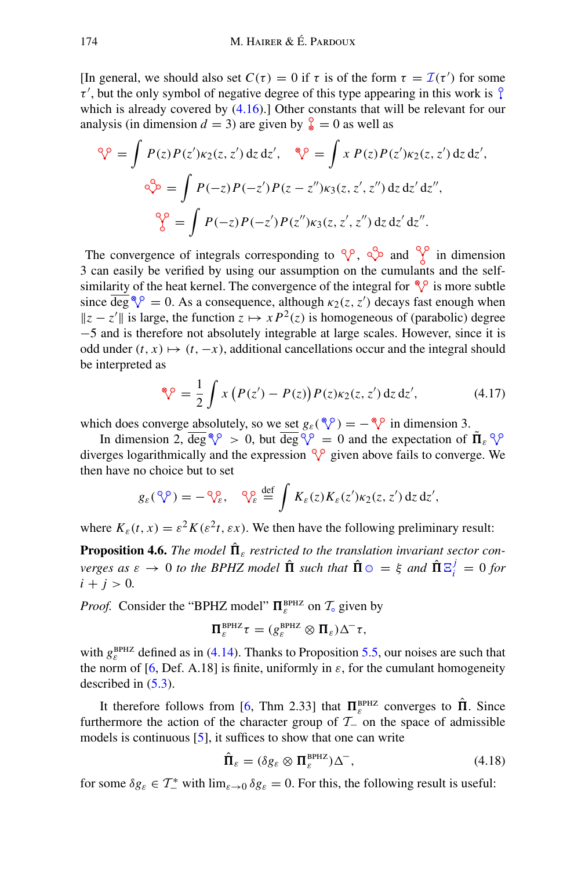[In general, we should also set  $C(\tau) = 0$  if  $\tau$  is of the form  $\tau = \mathcal{I}(\tau')$  for some  $\tau'$ , but the only symbol of negative degree of this type appearing in this work is which is already covered by  $(4.16)$ .] Other constants that will be relevant for our analysis (in dimension  $d = 3$ ) are given by  $\frac{9}{8} = 0$  as well as

$$
\begin{aligned}\n\mathcal{S} \mathcal{S} &= \int P(z)P(z')\kappa_2(z,z') \,dz \,dz', \\
\mathcal{S} \mathcal{S} &= \int x \, P(z)P(z')\kappa_2(z,z') \,dz \,dz', \\
\mathcal{S} \mathcal{S} &= \int P(-z)P(-z')P(z-z'')\kappa_3(z,z',z'') \,dz \,dz' \,dz'', \\
\mathcal{S} \mathcal{S} &= \int P(-z)P(-z')P(z'')\kappa_3(z,z',z'') \,dz \,dz' \,dz''.\n\end{aligned}
$$

The convergence of integrals corresponding to  $\sqrt[8]{}$ ,  $\sqrt[8]{}$  and  $\sqrt[8]{}$  in dimension 3 can easily be verified by using our assumption on the cumulants and the selfsimilarity of the heat kernel. The convergence of the integral for  $\sqrt[8]{\ }$  is more subtle since deg  $\sqrt[8]{ } = 0$ . As a consequence, although  $\kappa_2(z, z')$  decays fast enough when  $\|z - z'\|$  is large, the function  $z \mapsto xP^2(z)$  is homogeneous of (parabolic) degree −5 and is therefore not absolutely integrable at large scales. However, since it is odd under  $(t, x) \mapsto (t, -x)$ , additional cancellations occur and the integral should be interpreted as

<span id="page-23-2"></span>
$$
\sqrt[8]{2} = \frac{1}{2} \int x (P(z') - P(z)) P(z) \kappa_2(z, z') dz dz', \qquad (4.17)
$$

which does converge absolutely, so we set  $g_{\varepsilon}(\sqrt{\ }Q) = -\sqrt{\ }Q$  in dimension 3.

In dimension 2, deg  $\sqrt[8]{ } > 0$ , but deg  $\sqrt[8]{ } = 0$  and the expectation of  $\Pi_{\varepsilon}$ diverges logarithmically and the expression  $\sqrt{\ }$  given above fails to converge. We then have no choice but to set

$$
g_{\varepsilon}(\mathscr{V}) = -\mathscr{V}_{\varepsilon}, \quad \mathscr{V}_{\varepsilon} \stackrel{\text{def}}{=} \int K_{\varepsilon}(z) K_{\varepsilon}(z') \kappa_2(z, z') dz dz',
$$

<span id="page-23-3"></span>where  $K_{\varepsilon}(t, x) = \varepsilon^2 K(\varepsilon^2 t, \varepsilon x)$ . We then have the following preliminary result:

**Proposition 4.6.** *The model*  $\Pi_{\varepsilon}$  *restricted to the translation invariant sector con-* $\alpha$  *verges as*  $\varepsilon \to 0$  *to the BPHZ model*  $\hat{\Pi}$  *such that*  $\hat{\Pi} \circ \varphi = \xi$  *and*  $\hat{\Pi} \Xi_i^j = 0$  *for*  $i + j > 0$ .

*Proof.* Consider the "BPHZ model"  $\Pi_{\varepsilon}^{\text{BPIZ}}$  on  $\mathcal{T}_{\circ}$  given by

$$
\Pi_\epsilon^{\text{BPHZ}} \tau = (g_\epsilon^{\text{BPHZ}} \otimes \Pi_\epsilon) \Delta^- \tau,
$$

with  $g_{\varepsilon}^{\text{BPIZ}}$  defined as in [\(4.14\)](#page-21-0). Thanks to Proposition [5.5,](#page-39-0) our noises are such that the norm of [\[6,](#page-65-13) Def. A.18] is finite, uniformly in  $\varepsilon$ , for the cumulant homogeneity described in [\(5.3\)](#page-38-0).

It therefore follows from [\[6](#page-65-13), Thm 2.33] that  $\Pi_{\varepsilon}^{\text{BPHZ}}$  converges to  $\hat{\Pi}$ . Since furthermore the action of the character group of  $\mathcal{T}$  on the space of admissible models is continuous [\[5](#page-65-12)], it suffices to show that one can write

<span id="page-23-1"></span><span id="page-23-0"></span>
$$
\hat{\Pi}_{\varepsilon} = (\delta g_{\varepsilon} \otimes \Pi_{\varepsilon}^{\text{BPHZ}}) \Delta^{-}, \tag{4.18}
$$

for some  $\delta g_{\varepsilon} \in \mathcal{T}^*_-$  with  $\lim_{\varepsilon \to 0} \delta g_{\varepsilon} = 0$ . For this, the following result is useful: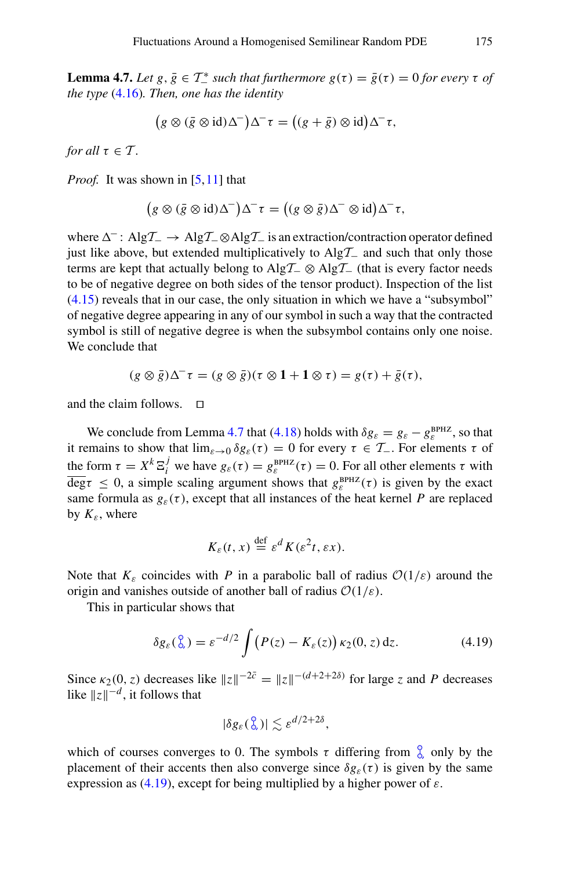**Lemma 4.7.** *Let*  $g, \bar{g} \in T_{-}^{*}$  *such that furthermore*  $g(\tau) = \bar{g}(\tau) = 0$  *for every*  $\tau$  *of the type* [\(4.16\)](#page-22-0)*. Then, one has the identity*

$$
(g \otimes (\bar{g} \otimes \mathrm{id})\Delta^{-})\Delta^{-}\tau = ((g + \bar{g}) \otimes \mathrm{id})\Delta^{-}\tau,
$$

*for all*  $\tau \in \mathcal{T}$ *.* 

*Proof.* It was shown in [\[5](#page-65-12),[11\]](#page-65-8) that

$$
(g \otimes (\bar{g} \otimes \mathrm{id})\Delta^{-})\Delta^{-} \tau = ((g \otimes \bar{g})\Delta^{-} \otimes \mathrm{id})\Delta^{-} \tau,
$$

where  $\Delta^-$ : Alg $\mathcal{T}_-\to$  Alg $\mathcal{T}_-\otimes$ Alg $\mathcal{T}_-$  is an extraction/contraction operator defined just like above, but extended multiplicatively to Alg*T*<sup>−</sup> and such that only those terms are kept that actually belong to Alg*T*<sup>−</sup> ⊗ Alg*T*<sup>−</sup> (that is every factor needs to be of negative degree on both sides of the tensor product). Inspection of the list [\(4.15\)](#page-22-1) reveals that in our case, the only situation in which we have a "subsymbol" of negative degree appearing in any of our symbol in such a way that the contracted symbol is still of negative degree is when the subsymbol contains only one noise. We conclude that

$$
(g \otimes \bar{g})\Delta^{-}\tau = (g \otimes \bar{g})(\tau \otimes 1 + 1 \otimes \tau) = g(\tau) + \bar{g}(\tau),
$$

and the claim follows.  $\square$ 

We conclude from Lemma [4.7](#page-23-0) that [\(4.18\)](#page-23-1) holds with  $\delta g_{\varepsilon} = g_{\varepsilon} - g_{\varepsilon}^{\text{BPIZ}}$ , so that it remains to show that  $\lim_{\varepsilon \to 0} \delta g_{\varepsilon}(\tau) = 0$  for every  $\tau \in \mathcal{T}_-$ . For elements  $\tau$  of the form  $\tau = X^k \Xi_i^j$  we have  $g_{\varepsilon}(\tau) = g_{\varepsilon}^{\text{BPIZ}}(\tau) = 0$ . For all other elements  $\tau$  with  $\overline{\deg} \tau \leq 0$ , a simple scaling argument shows that  $g_{\varepsilon}^{\text{BPIZ}}(\tau)$  is given by the exact same formula as  $g_{\varepsilon}(\tau)$ , except that all instances of the heat kernel *P* are replaced by  $K_{\varepsilon}$ , where

$$
K_{\varepsilon}(t,x) \stackrel{\text{def}}{=} \varepsilon^{d} K(\varepsilon^{2} t, \varepsilon x).
$$

Note that  $K_{\varepsilon}$  coincides with *P* in a parabolic ball of radius  $\mathcal{O}(1/\varepsilon)$  around the origin and vanishes outside of another ball of radius  $O(1/\varepsilon)$ .

This in particular shows that

<span id="page-24-0"></span>
$$
\delta g_{\varepsilon}(\mathcal{E}_{\varepsilon}) = \varepsilon^{-d/2} \int \left( P(z) - K_{\varepsilon}(z) \right) \kappa_2(0, z) \, dz. \tag{4.19}
$$

Since  $\kappa_2(0, z)$  decreases like  $||z||^{-2\bar{c}} = ||z||^{-(d+2+2\delta)}$  for large *z* and *P* decreases like  $||z||^{-d}$ , it follows that

$$
|\delta g_{\varepsilon}(\zeta)| \lesssim \varepsilon^{d/2+2\delta},
$$

which of courses converges to 0. The symbols  $\tau$  differing from  $\frac{8}{9}$  only by the placement of their accents then also converge since  $\delta g_{\varepsilon}(\tau)$  is given by the same expression as  $(4.19)$ , except for being multiplied by a higher power of  $\varepsilon$ .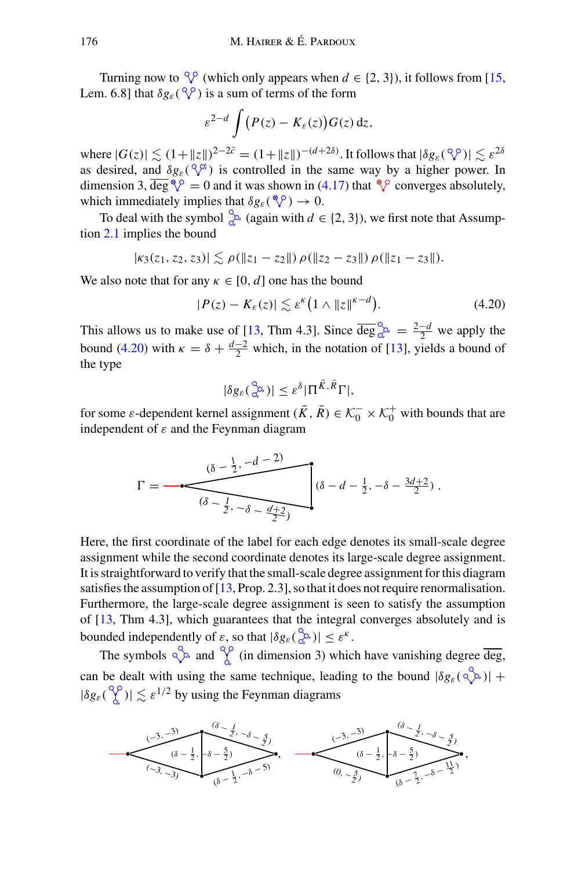Turning now to  $\sqrt[6]{ }$  (which only appears when *d*  $\in$  {2, 3}), it follows from [\[15,](#page-65-5) Lem. 6.8] that  $\delta g_{\varepsilon}(\sqrt[6]{\varepsilon})$  is a sum of terms of the form

$$
\varepsilon^{2-d}\int (P(z)-K_{\varepsilon}(z))G(z)\,\mathrm{d} z,
$$

where  $|G(z)| \lesssim (1 + ||z||)^{2-2\bar{c}} = (1 + ||z||)^{-(d+2\delta)}$ . It follows that  $|\delta g_{\varepsilon}(\sqrt[q]{\delta})| \lesssim \varepsilon^{2\delta}$ as desired, and  $\delta g_{\varepsilon}(\sqrt{\gamma})$  is controlled in the same way by a higher power. In dimension 3,  $\overline{\deg} \sqrt[\infty]{ } = 0$  and it was shown in [\(4.17\)](#page-23-2) that  $\sqrt[\infty]{ }$  converges absolutely, which immediately implies that  $\delta g_{\varepsilon}(\sqrt{\ }$ )  $\rightarrow 0$ .

To deal with the symbol  $\int_{0}^{\infty}$  (again with  $d \in \{2, 3\}$ ), we first note that Assumption [2.1](#page-7-0) implies the bound

$$
|\kappa_3(z_1, z_2, z_3)| \lesssim \rho(\|z_1 - z_2\|) \rho(\|z_2 - z_3\|) \rho(\|z_1 - z_3\|).
$$

We also note that for any  $\kappa \in [0, d]$  one has the bound

<span id="page-25-0"></span>
$$
|P(z) - K_{\varepsilon}(z)| \lesssim \varepsilon^{\kappa} \big( 1 \wedge \|z\|^{\kappa - d} \big). \tag{4.20}
$$

This allows us to make use of [\[13](#page-65-14), Thm 4.3]. Since  $\overline{\deg}^{\mathcal{O}}_{\alpha} = \frac{2-d}{2}$  we apply the bound [\(4.20\)](#page-25-0) with  $\kappa = \delta + \frac{d-2}{2}$  which, in the notation of [\[13\]](#page-65-14), yields a bound of the type

$$
|\delta g_{\varepsilon}(\zeta_{\delta}^{\mathbb{Q}_{\rho}})| \leq \varepsilon^{\delta} |\Pi^{\bar{K},\bar{R}}\Gamma|,
$$

for some  $\varepsilon$ -dependent kernel assignment  $(K, R) \in \mathcal{K}_0^- \times \mathcal{K}_0^+$  with bounds that are independent of  $\varepsilon$  and the Feynman diagram

$$
\Gamma = \frac{(\delta - \frac{1}{2}, -d - 2)}{(\delta - \frac{1}{2}, -\delta - \frac{d + 2}{2})} \left( \delta - d - \frac{1}{2}, -\delta - \frac{3d + 2}{2} \right).
$$

Here, the first coordinate of the label for each edge denotes its small-scale degree assignment while the second coordinate denotes its large-scale degree assignment. It is straightforward to verify that the small-scale degree assignment for this diagram satisfies the assumption of  $[13, Prop. 2.3]$  $[13, Prop. 2.3]$ , so that it does not require renormalisation. Furthermore, the large-scale degree assignment is seen to satisfy the assumption of [\[13](#page-65-14), Thm 4.3], which guarantees that the integral converges absolutely and is bounded independently of  $\varepsilon$ , so that  $|\delta g_{\varepsilon}(\hat{\xi}^{\delta})| \leq \varepsilon^{\kappa}$ .

The symbols  $\sqrt[3]{ }$  and  $\sqrt[3]{ }$  (in dimension 3) which have vanishing degree  $\overline{\text{deg}}$ , can be dealt with using the same technique, leading to the bound  $|\delta g_{\varepsilon}(\sqrt{\delta})| +$  $|\delta g_{\varepsilon}(\frac{\mathcal{S}}{\delta})| \lesssim \varepsilon^{1/2}$  by using the Feynman diagrams

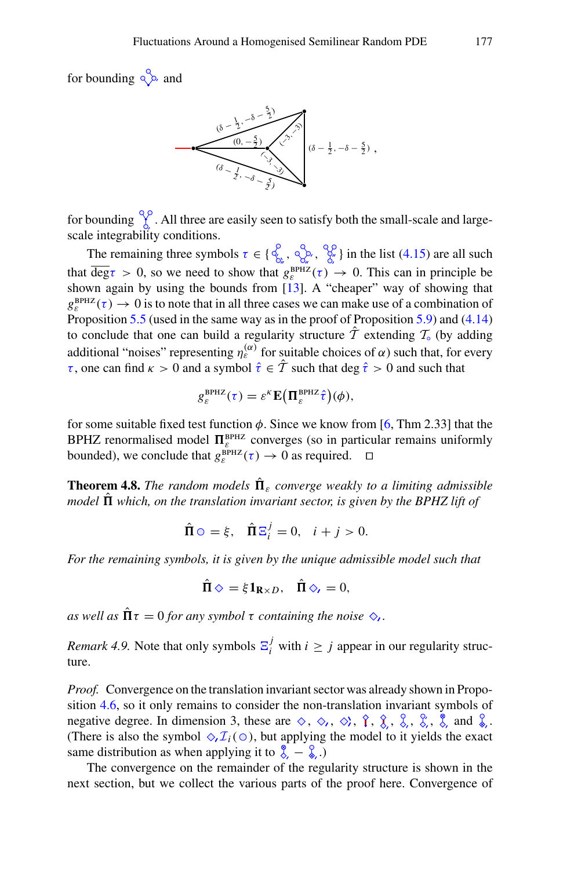for bounding  $\sqrt[3]{a}$  and



for bounding  $\int_{0}^{\infty}$ . All three are easily seen to satisfy both the small-scale and largescale integrability conditions.

The remaining three symbols  $\tau \in \{ \mathcal{L}_{\delta_n}^{\circ}, \mathcal{L}_{\delta_n}^{\circ} \}$ ,  $\mathcal{L}_{\delta_n}^{\circ}$  in the list [\(4.15\)](#page-22-1) are all such that  $\overline{\deg} \tau > 0$ , so we need to show that  $g_{\varepsilon}^{\text{BPIZ}}(\tau) \to 0$ . This can in principle be shown again by using the bounds from [\[13](#page-65-14)]. A "cheaper" way of showing that  $g_{\varepsilon}^{\text{BPIZ}}(\tau) \to 0$  is to note that in all three cases we can make use of a combination of Proposition [5.5](#page-39-0) (used in the same way as in the proof of Proposition [5.9\)](#page-41-1) and [\(4.14\)](#page-21-0) to conclude that one can build a regularity structure  $\hat{T}$  extending  $\mathcal{T}_{\text{o}}$  (by adding additional "noises" representing  $\eta_{\varepsilon}^{(\alpha)}$  for suitable choices of  $\alpha$ ) such that, for every  $\tau$ , one can find  $\kappa > 0$  and a symbol  $\hat{\tau} \in \hat{\mathcal{T}}$  such that deg  $\hat{\tau} > 0$  and such that

$$
g_{\varepsilon}^{\text{BPHZ}}(\tau) = \varepsilon^{\kappa} \mathbf{E} \big(\mathbf{\Pi}_{\varepsilon}^{\text{BPHZ}} \hat{\tau}\big)(\phi),
$$

for some suitable fixed test function  $\phi$ . Since we know from [\[6](#page-65-13), Thm 2.33] that the BPHZ renormalised model  $\Pi_{\varepsilon}^{\text{BPIZ}}$  converges (so in particular remains uniformly bounded), we conclude that  $g_{\varepsilon}^{\text{BPIZ}}(\tau) \to 0$  as required.  $\Box$ 

<span id="page-26-0"></span>**Theorem 4.8.** *The random models*  $\Pi_{\varepsilon}$  converge weakly to a limiting admissible model  $\Pi$  which, on the translation invariant sector, is given by the BPHZ lift of

$$
\hat{\Pi} \circ = \xi, \quad \hat{\Pi} \Xi_i^j = 0, \quad i + j > 0.
$$

*For the remaining symbols, it is given by the unique admissible model such that*

$$
\hat{\Pi}\diamondsuit=\xi\mathbf{1}_{\mathbf{R}\times D},\quad \hat{\Pi}\diamondsuit_{\mathbf{r}}=0,
$$

 $\alpha$ *s* well as  $\Pi \tau = 0$  *for any symbol*  $\tau$  *containing the noise*  $\diamondsuit$ ,.

*Remark 4.9.* Note that only symbols  $\sum_{i}^{j}$  with  $i \geq j$  appear in our regularity structure.

*Proof.* Convergence on the translation invariant sector was already shown in Proposition [4.6,](#page-23-3) so it only remains to consider the non-translation invariant symbols of negative degree. In dimension 3, these are  $\Diamond$ ,  $\Diamond$ ,  $\Diamond$ ,  $\Diamond$ ,  $\Diamond$ ,  $\Diamond$ ,  $\Diamond$ ,  $\Diamond$ ,  $\Diamond$ ,  $\Diamond$ , and  $\Diamond$ . (There is also the symbol  $\Diamond$ ,  $\mathcal{I}_i$ ( $\circ$ ), but applying the model to it yields the exact same distribution as when applying it to  $\frac{8}{6} - \frac{6}{6}$ .)

The convergence on the remainder of the regularity structure is shown in the next section, but we collect the various parts of the proof here. Convergence of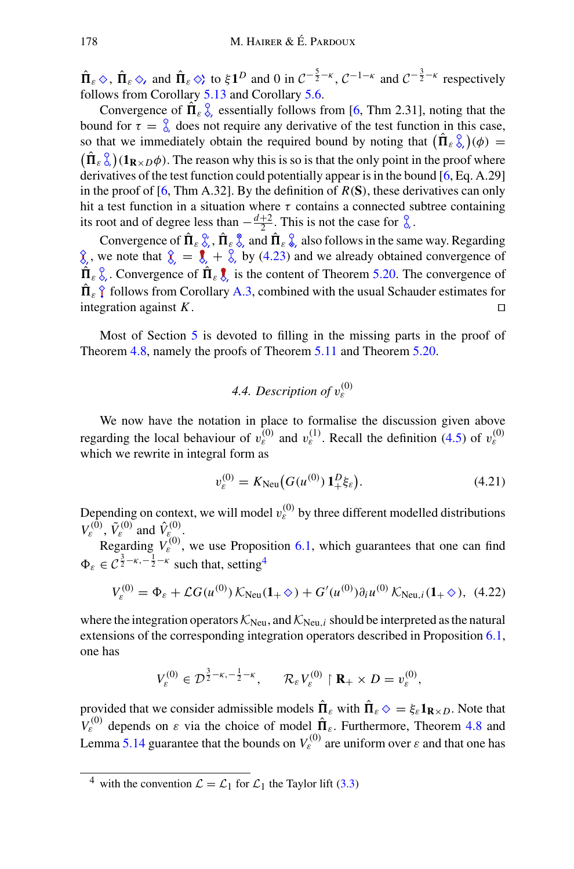$\hat{\Pi}_{\varepsilon} \otimes$ ,  $\hat{\Pi}_{\varepsilon} \otimes$  and  $\hat{\Pi}_{\varepsilon} \otimes$  to  $\xi \mathbf{1}^D$  and 0 in  $C^{-\frac{5}{2} - \kappa}$ ,  $C^{-1-\kappa}$  and  $C^{-\frac{3}{2} - \kappa}$  respectively follows from Corollary [5.13](#page-42-1) and Corollary [5.6.](#page-39-1)

Convergence of  $\Pi_{\varepsilon} \xi$ , essentially follows from [\[6,](#page-65-13) Thm 2.31], noting that the bound for  $\tau = \frac{6}{6}$  does not require any derivative of the test function in this case, so that we immediately obtain the required bound by noting that  $(\Pi_{\varepsilon} \xi) (\phi) =$  $(\Pi_{\varepsilon} \zeta)(1_{\mathbf{R} \times D} \phi)$ . The reason why this is so is that the only point in the proof where derivatives of the test function could potentially appear is in the bound [\[6,](#page-65-13) Eq. A.29] in the proof of  $[6, Thm A.32]$  $[6, Thm A.32]$ . By the definition of  $R(S)$ , these derivatives can only hit a test function in a situation where  $\tau$  contains a connected subtree containing its root and of degree less than  $-\frac{d+2}{2}$ . This is not the case for  $\frac{8}{6}$ .

Convergence of  $\Pi_{\varepsilon} \xi$ ,  $\Pi_{\varepsilon} \xi$ , and  $\Pi_{\varepsilon} \xi$ , also follows in the same way. Regarding  $\hat{\mathbf{x}}$ , we note that  $\hat{\mathbf{x}} = \hat{\mathbf{x}} + \hat{\mathbf{x}}$ , by [\(4.23\)](#page-28-2) and we already obtained convergence of  $\Pi_{\varepsilon} \xi$ . Convergence of  $\Pi_{\varepsilon} \xi$  is the content of Theorem [5.20.](#page-52-0) The convergence of  $\Pi_{\varepsilon} \hat{\mathbf{Y}}$  follows from Corollary [A.3,](#page-57-0) combined with the usual Schauder estimates for integration against *K*.

<span id="page-27-0"></span>Most of Section [5](#page-37-0) is devoted to filling in the missing parts in the proof of Theorem [4.8,](#page-26-0) namely the proofs of Theorem [5.11](#page-42-2) and Theorem [5.20.](#page-52-0)

# 4.4. Description of  $v_s^{(0)}$

We now have the notation in place to formalise the discussion given above regarding the local behaviour of  $v_{\varepsilon}^{(0)}$  and  $v_{\varepsilon}^{(1)}$ . Recall the definition [\(4.5\)](#page-16-2) of  $v_{\varepsilon}^{(0)}$ which we rewrite in integral form as

<span id="page-27-3"></span>
$$
v_{\varepsilon}^{(0)} = K_{\text{Neu}}(G(u^{(0)}) \, 1_{+}^{D} \xi_{\varepsilon}). \tag{4.21}
$$

Depending on context, we will model  $v_{\varepsilon}^{(0)}$  by three different modelled distributions  $V_{\varepsilon}^{(0)}$ ,  $\tilde{V}_{\varepsilon}^{(0)}$  and  $\hat{V}_{\varepsilon}^{(0)}$ .

Regarding  $V_{\varepsilon}^{(0)}$ , we use Proposition [6.1,](#page-54-1) which guarantees that one can find  $\Phi_{\varepsilon} \in C^{\frac{3}{2} - \kappa, -\frac{1}{2} - \kappa}$  such that, setting<sup>4</sup>

<span id="page-27-2"></span>
$$
V_{\varepsilon}^{(0)} = \Phi_{\varepsilon} + \mathcal{L}G(u^{(0)}) K_{\text{Neu}}(1+\diamond) + G'(u^{(0)}) \partial_i u^{(0)} K_{\text{Neu},i}(1+\diamond), \tag{4.22}
$$

where the integration operators  $K_{\text{Neu}}$ , and  $K_{\text{Neu},i}$  should be interpreted as the natural extensions of the corresponding integration operators described in Proposition [6.1,](#page-54-1) one has

$$
V_{\varepsilon}^{(0)} \in \mathcal{D}^{\frac{3}{2}-\kappa, -\frac{1}{2}-\kappa}, \qquad \mathcal{R}_{\varepsilon} V_{\varepsilon}^{(0)} \upharpoonright \mathbf{R}_{+} \times D = v_{\varepsilon}^{(0)},
$$

provided that we consider admissible models  $\Pi_{\varepsilon}$  with  $\Pi_{\varepsilon} \diamondsuit = \xi_{\varepsilon} 1_{\mathbf{R} \times D}$ . Note that  $V_{\varepsilon}^{(0)}$  depends on  $\varepsilon$  via the choice of model  $\hat{\Pi}_{\varepsilon}$ . Furthermore, Theorem [4.8](#page-26-0) and Lemma [5.14](#page-45-2) guarantee that the bounds on  $V_{\varepsilon}^{(0)}$  are uniform over  $\varepsilon$  and that one has

<span id="page-27-1"></span><sup>&</sup>lt;sup>4</sup> with the convention  $\mathcal{L} = \mathcal{L}_1$  for  $\mathcal{L}_1$  the Taylor lift [\(3.3\)](#page-12-1)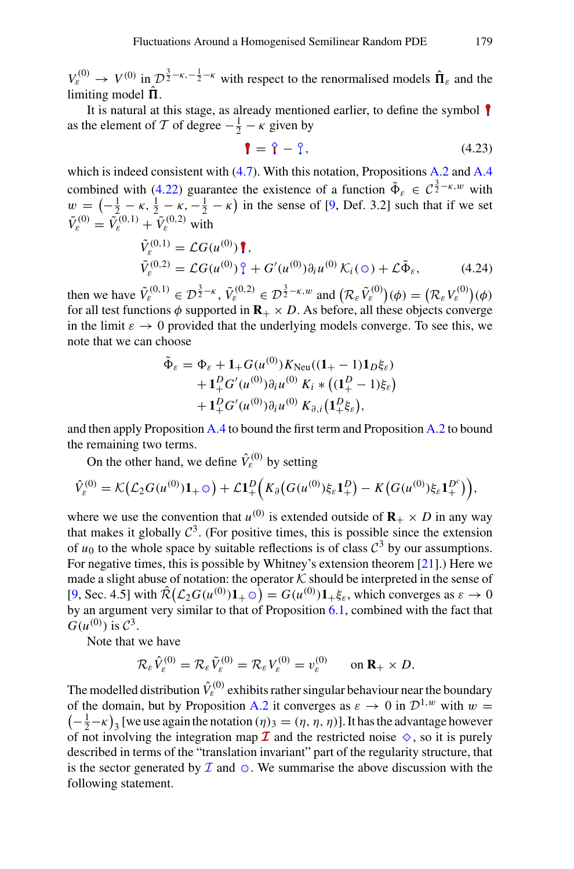$V_{\epsilon}^{(0)} \rightarrow V^{(0)}$  in  $\mathcal{D}^{\frac{3}{2}-\kappa,-\frac{1}{2}-\kappa}$  with respect to the renormalised models  $\hat{\Pi}_{\epsilon}$  and the limiting model  $\Pi$ .

It is natural at this stage, as already mentioned earlier, to define the symbol as the element of *T* of degree  $-\frac{1}{2} - \kappa$  given by

<span id="page-28-2"></span>
$$
\hat{\mathbf{I}} = \hat{\mathbf{I}} - \hat{\mathbf{I}},\tag{4.23}
$$

which is indeed consistent with [\(4.7\)](#page-17-2). With this notation, Propositions [A.2](#page-57-1) and [A.4](#page-57-2) combined with [\(4.22\)](#page-27-2) guarantee the existence of a function  $\tilde{\Phi}_{\varepsilon} \in C^{\frac{3}{2} - \kappa, w}$  with  $w = \left(-\frac{1}{2} - \kappa, \frac{1}{2} - \kappa, -\frac{1}{2} - \kappa\right)$  in the sense of [\[9](#page-65-3), Def. 3.2] such that if we set  $\tilde{V}_c^{(0)} = \tilde{V}_c^{(0,1)} + \tilde{V}_s^{(0,2)}$  with

<span id="page-28-1"></span>
$$
\tilde{V}_{\varepsilon}^{(0,1)} = \mathcal{L}G(u^{(0)})\,\mathbf{I},\n\tilde{V}_{\varepsilon}^{(0,2)} = \mathcal{L}G(u^{(0)})\,\mathbf{I} + G'(u^{(0)})\partial_i u^{(0)}\,\mathcal{K}_i(\,\mathbf{0}) + \mathcal{L}\,\tilde{\Phi}_{\varepsilon},\n\tag{4.24}
$$

then we have  $\tilde{V}_{\varepsilon}^{(0,1)} \in \mathcal{D}^{\frac{3}{2}-\kappa}$ ,  $\tilde{V}_{\varepsilon}^{(0,2)} \in \mathcal{D}^{\frac{3}{2}-\kappa,w}$  and  $(\mathcal{R}_{\varepsilon} \tilde{V}_{\varepsilon}^{(0)}) (\phi) = (\mathcal{R}_{\varepsilon} V_{\varepsilon}^{(0)}) (\phi)$ for all test functions  $\phi$  supported in  $\mathbf{R}_+ \times D$ . As before, all these objects converge in the limit  $\varepsilon \to 0$  provided that the underlying models converge. To see this, we note that we can choose

$$
\tilde{\Phi}_{\varepsilon} = \Phi_{\varepsilon} + \mathbf{1}_{+} G(u^{(0)}) K_{\text{Neu}}((1_{+}-1)\mathbf{1}_{D}\xi_{\varepsilon}) \n+ \mathbf{1}_{+}^{D} G'(u^{(0)}) \partial_{i} u^{(0)} K_{i} * ((\mathbf{1}_{+}^{D} - 1)\xi_{\varepsilon}) \n+ \mathbf{1}_{+}^{D} G'(u^{(0)}) \partial_{i} u^{(0)} K_{\partial,i}(\mathbf{1}_{+}^{D}\xi_{\varepsilon}),
$$

and then apply Proposition [A.4](#page-57-2) to bound the first term and Proposition [A.2](#page-57-1) to bound the remaining two terms.

On the other hand, we define  $\hat{V}^{(0)}_{\varepsilon}$  by setting

$$
\hat{V}_{\varepsilon}^{(0)} = \mathcal{K}(\mathcal{L}_2 G(u^{(0)})\mathbf{1}_{+} \circlearrowright) + \mathcal{L}\mathbf{1}_{+}^{D}\Big(K_{\partial}\big(G(u^{(0)})\xi_{\varepsilon}\mathbf{1}_{+}^{D}\big) - K\big(G(u^{(0)})\xi_{\varepsilon}\mathbf{1}_{+}^{D^{c}}\big)\Big),
$$

where we use the convention that  $u^{(0)}$  is extended outside of  $\mathbf{R}_+ \times D$  in any way that makes it globally  $C^3$ . (For positive times, this is possible since the extension of  $u_0$  to the whole space by suitable reflections is of class  $C^3$  by our assumptions. For negative times, this is possible by Whitney's extension theorem [\[21\]](#page-65-15).) Here we made a slight abuse of notation: the operator  $K$  should be interpreted in the sense of  $[9, \text{Sec. } 4.5]$  $[9, \text{Sec. } 4.5]$  with  $\hat{\mathcal{R}}(\mathcal{L}_2 G(u^{(0)})\mathbf{1}_+\circlearrowright) = G(u^{(0)})\mathbf{1}_+\xi_{\varepsilon}$ , which converges as  $\varepsilon \to 0$ by an argument very similar to that of Proposition [6.1,](#page-54-1) combined with the fact that  $G(u^{(0)})$  is  $C^3$ .

Note that we have

$$
\mathcal{R}_{\varepsilon}\hat{V}_{\varepsilon}^{(0)} = \mathcal{R}_{\varepsilon}\tilde{V}_{\varepsilon}^{(0)} = \mathcal{R}_{\varepsilon}V_{\varepsilon}^{(0)} = v_{\varepsilon}^{(0)} \qquad \text{on } \mathbf{R}_{+} \times D.
$$

<span id="page-28-0"></span>The modelled distribution  $\hat{V}_s^{(0)}$  exhibits rather singular behaviour near the boundary of the domain, but by Proposition [A.2](#page-57-1) it converges as  $\varepsilon \to 0$  in  $\mathcal{D}^{1,w}$  with  $w =$  $(-\frac{1}{2}-\kappa)$ <sub>3</sub> [we use again the notation ( $\eta$ )<sub>3</sub> = ( $\eta$ ,  $\eta$ ,  $\eta$ )]. It has the advantage however of not involving the integration map  $\mathcal I$  and the restricted noise  $\diamond$ , so it is purely described in terms of the "translation invariant" part of the regularity structure, that is the sector generated by  $\mathcal I$  and  $\odot$ . We summarise the above discussion with the following statement.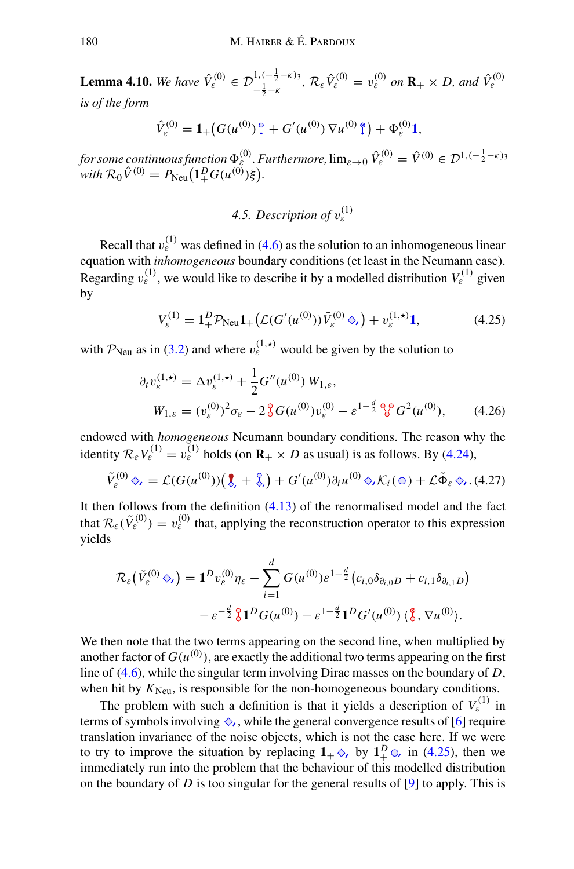**Lemma 4.10.** *We have*  $\hat{V}_{\varepsilon}^{(0)} \in \mathcal{D}_{-\frac{1}{2}-\kappa}^{1,(-\frac{1}{2}-\kappa)_{3}}$  $-\frac{1}{2}-\kappa$ ,  $\mathcal{R}_{\varepsilon}\hat{V}_{\varepsilon}^{(0)}=v_{\varepsilon}^{(0)}$  on  $\mathbf{R}_{+}\times D$ , and  $\hat{V}_{\varepsilon}^{(0)}$ *is of the form*

$$
\hat{V}_{\varepsilon}^{(0)} = \mathbf{1}_{+} \big( G(u^{(0)})^{\circ} + G'(u^{(0)}) \nabla u^{(0)}^{\circ} \big) + \Phi_{\varepsilon}^{(0)} \mathbf{1},
$$

*for some continuous function*  $\Phi_{\varepsilon}^{(0)}$ *. Furthermore,*  $\lim_{\varepsilon\to 0} \hat{V}_{\varepsilon}^{(0)} = \hat{V}^{(0)} \in \mathcal{D}^{1,(-\frac{1}{2}-\kappa)}$ 3  $with \ \mathcal{R}_0 \hat{V}^{(0)} = P_{\text{Neu}} \left( \mathbf{1}_+^D G(u^{(0)}) \xi \right).$ 

# 4.5. Description of  $v_{\varepsilon}^{(1)}$

<span id="page-29-0"></span>Recall that  $v_{\varepsilon}^{(1)}$  was defined in [\(4.6\)](#page-16-3) as the solution to an inhomogeneous linear equation with *inhomogeneous* boundary conditions (et least in the Neumann case). Regarding  $v_{\varepsilon}^{(1)}$ , we would like to describe it by a modelled distribution  $V_{\varepsilon}^{(1)}$  given by

<span id="page-29-1"></span>
$$
V_{\varepsilon}^{(1)} = \mathbf{1}_{+}^{D} \mathcal{P}_{\text{Neu}} \mathbf{1}_{+} \big( \mathcal{L}(G'(u^{(0)})) \tilde{V}_{\varepsilon}^{(0)} \diamond_{\prime} \big) + v_{\varepsilon}^{(1, \star)} \mathbf{1}, \tag{4.25}
$$

with  $P_{\text{Neu}}$  as in [\(3.2\)](#page-12-2) and where  $v_{\varepsilon}^{(1,\star)}$  would be given by the solution to

<span id="page-29-2"></span>
$$
\partial_t v_{\varepsilon}^{(1,\star)} = \Delta v_{\varepsilon}^{(1,\star)} + \frac{1}{2} G''(u^{(0)}) W_{1,\varepsilon},
$$
  

$$
W_{1,\varepsilon} = (v_{\varepsilon}^{(0)})^2 \sigma_{\varepsilon} - 2 \frac{\partial}{\partial} G(u^{(0)}) v_{\varepsilon}^{(0)} - \varepsilon^{1-\frac{d}{2}} \frac{\partial}{\partial} G^2(u^{(0)}), \qquad (4.26)
$$

endowed with *homogeneous* Neumann boundary conditions. The reason why the identity  $\mathcal{R}_{\varepsilon} V_{\varepsilon}^{(1)} = v_{\varepsilon}^{(1)}$  holds (on  $\mathbf{R}_{+} \times D$  as usual) is as follows. By [\(4.24\)](#page-28-1),

<span id="page-29-3"></span>
$$
\tilde{V}_{\varepsilon}^{(0)} \diamondsuit = \mathcal{L}(G(u^{(0)}))\left(\mathbf{I}_{\varepsilon} + \mathbf{I}_{\varepsilon}\right) + G'(u^{(0)})\partial_i u^{(0)} \diamondsuit, \mathcal{K}_i(\circlearrowleft) + \mathcal{L}\tilde{\Phi}_{\varepsilon} \diamondsuit. \tag{4.27}
$$

It then follows from the definition  $(4.13)$  of the renormalised model and the fact that  $\mathcal{R}_{\varepsilon}(\tilde{V}_{\varepsilon}^{(0)}) = v_{\varepsilon}^{(0)}$  that, applying the reconstruction operator to this expression yields

$$
\mathcal{R}_{\varepsilon}(\tilde{V}_{\varepsilon}^{(0)}\diamondsuit) = \mathbf{1}^{D}v_{\varepsilon}^{(0)}\eta_{\varepsilon} - \sum_{i=1}^{d}G(u^{(0)})\varepsilon^{1-\frac{d}{2}}(c_{i,0}\delta_{\partial_{i,0}D} + c_{i,1}\delta_{\partial_{i,1}D})
$$

$$
-\varepsilon^{-\frac{d}{2}}\mathcal{L}^{D}G(u^{(0)}) - \varepsilon^{1-\frac{d}{2}}\mathbf{1}^{D}G'(u^{(0)})\mathcal{L}^{2}_{\varepsilon}, \nabla u^{(0)}).
$$

We then note that the two terms appearing on the second line, when multiplied by another factor of  $G(u^{(0)})$ , are exactly the additional two terms appearing on the first line of [\(4.6\)](#page-16-3), while the singular term involving Dirac masses on the boundary of *D*, when hit by  $K_{\text{Neu}}$ , is responsible for the non-homogeneous boundary conditions.

The problem with such a definition is that it yields a description of  $V<sub>s</sub><sup>(1)</sup>$  in terms of symbols involving  $\Diamond$ , while the general convergence results of [\[6\]](#page-65-13) require translation invariance of the noise objects, which is not the case here. If we were to try to improve the situation by replacing  $1_+ \diamondsuit$ , by  $1_+^D \diamondsuit$ , in [\(4.25\)](#page-29-1), then we immediately run into the problem that the behaviour of this modelled distribution on the boundary of *D* is too singular for the general results of [\[9\]](#page-65-3) to apply. This is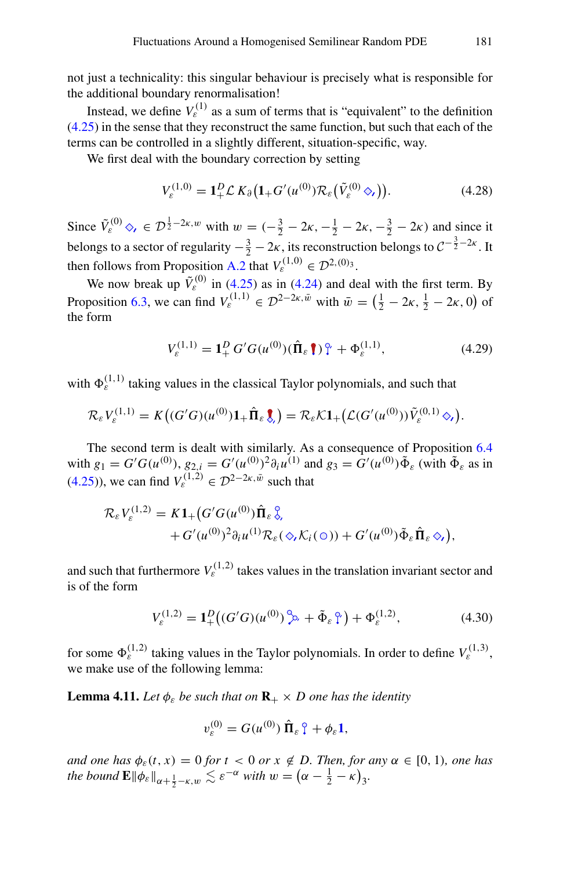not just a technicality: this singular behaviour is precisely what is responsible for the additional boundary renormalisation!

Instead, we define  $V<sub>s</sub><sup>(1)</sup>$  as a sum of terms that is "equivalent" to the definition [\(4.25\)](#page-29-1) in the sense that they reconstruct the same function, but such that each of the terms can be controlled in a slightly different, situation-specific, way.

We first deal with the boundary correction by setting

<span id="page-30-1"></span>
$$
V_{\varepsilon}^{(1,0)} = \mathbf{1}_{+}^{D} \mathcal{L} K_{\partial} \big( \mathbf{1}_{+} G'(u^{(0)}) \mathcal{R}_{\varepsilon} \big( \tilde{V}_{\varepsilon}^{(0)} \diamond_{\ell} \big) \big).
$$
 (4.28)

Since  $\tilde{V}^{(0)}_{\varepsilon} \otimes_{\varepsilon} \varepsilon \mathcal{D}^{\frac{1}{2}-2\kappa,w}$  with  $w = (-\frac{3}{2} - 2\kappa, -\frac{1}{2} - 2\kappa, -\frac{3}{2} - 2\kappa)$  and since it belongs to a sector of regularity  $-\frac{3}{2} - 2\kappa$ , its reconstruction belongs to  $C^{-\frac{3}{2} - 2\kappa}$ . It then follows from Proposition [A.2](#page-57-1) that  $V_k^{(1,0)} \in \mathcal{D}^{2,(0)}$ <sup>3</sup>.

We now break up  $\tilde{V}^{(0)}_s$  in [\(4.25\)](#page-29-1) as in [\(4.24\)](#page-28-1) and deal with the first term. By Proposition [6.3,](#page-54-2) we can find  $V_{\varepsilon}^{(1,1)} \in \mathcal{D}^{2-2\kappa,\bar{w}}$  with  $\bar{w} = (\frac{1}{2} - 2\kappa, \frac{1}{2} - 2\kappa, 0)$  of the form

<span id="page-30-2"></span>
$$
V_{\varepsilon}^{(1,1)} = \mathbf{1}_+^D G' G(u^{(0)})(\hat{\Pi}_{\varepsilon} \mathbf{1})^{\circ} + \Phi_{\varepsilon}^{(1,1)}, \tag{4.29}
$$

with  $\Phi_{\varepsilon}^{(1,1)}$  taking values in the classical Taylor polynomials, and such that

$$
\mathcal{R}_{\varepsilon}V_{\varepsilon}^{(1,1)}=K\big((G'G)(u^{(0)})\mathbf{1}_{+}\hat{\Pi}_{\varepsilon}\mathbf{I}_{\varepsilon}\big)=\mathcal{R}_{\varepsilon}\mathcal{K}\mathbf{1}_{+}\big(\mathcal{L}(G'(u^{(0)}))\tilde{V}_{\varepsilon}^{(0,1)}\diamondsuit_{\varepsilon}\big).
$$

The second term is dealt with similarly. As a consequence of Proposition [6.4](#page-55-0) with  $g_1 = G'G(u^{(0)}), g_{2,i} = G'(u^{(0)})^2 \partial_i u^{(1)}$  and  $g_3 = G'(u^{(0)}) \tilde{\Phi}_{\varepsilon}$  (with  $\tilde{\Phi}_{\varepsilon}$  as in [\(4.25\)](#page-29-1)), we can find  $V_{\varepsilon}^{(1,2)} \in \mathcal{D}^{2-2\kappa,\bar{w}}$  such that

$$
\mathcal{R}_{\varepsilon} V_{\varepsilon}^{(1,2)} = K \mathbf{1}_{+} \big( G' G(u^{(0)}) \hat{\Pi}_{\varepsilon} \hat{\xi},
$$
  
+ 
$$
G'(u^{(0)})^2 \partial_i u^{(1)} \mathcal{R}_{\varepsilon}(\hat{\phi}, \mathcal{K}_i(\hat{\phi})) + G'(u^{(0)}) \tilde{\Phi}_{\varepsilon} \hat{\Pi}_{\varepsilon} \hat{\phi}_t \big),
$$

and such that furthermore  $V_s^{(1,2)}$  takes values in the translation invariant sector and is of the form

<span id="page-30-3"></span>
$$
V_{\varepsilon}^{(1,2)} = \mathbf{1}_+^D \big( (G'G)(u^{(0)})^{\mathcal{O}_{\mathcal{O}}} + \tilde{\Phi}_{\varepsilon}^{\mathcal{O}} \big) + \Phi_{\varepsilon}^{(1,2)}, \tag{4.30}
$$

for some  $\Phi_{\varepsilon}^{(1,2)}$  taking values in the Taylor polynomials. In order to define  $V_{\varepsilon}^{(1,3)}$ , we make use of the following lemma:

**Lemma 4.11.** *Let*  $\phi_{\varepsilon}$  *be such that on*  $\mathbf{R}_{+} \times D$  *one has the identity* 

<span id="page-30-0"></span>
$$
v_{\varepsilon}^{(0)} = G(u^{(0)}) \hat{\Pi}_{\varepsilon} \hat{\mathbf{y}} + \phi_{\varepsilon} \mathbf{1},
$$

*and one has*  $\phi_{\varepsilon}(t, x) = 0$  *for*  $t < 0$  *or*  $x \notin D$ *. Then, for any*  $\alpha \in [0, 1)$ *, one has the bound*  $\mathbf{E} \Vert \phi_{\varepsilon} \Vert_{\alpha + \frac{1}{2} - \kappa, w} \lesssim \varepsilon^{-\alpha}$  *with*  $w = (\alpha - \frac{1}{2} - \kappa)_3$ *.*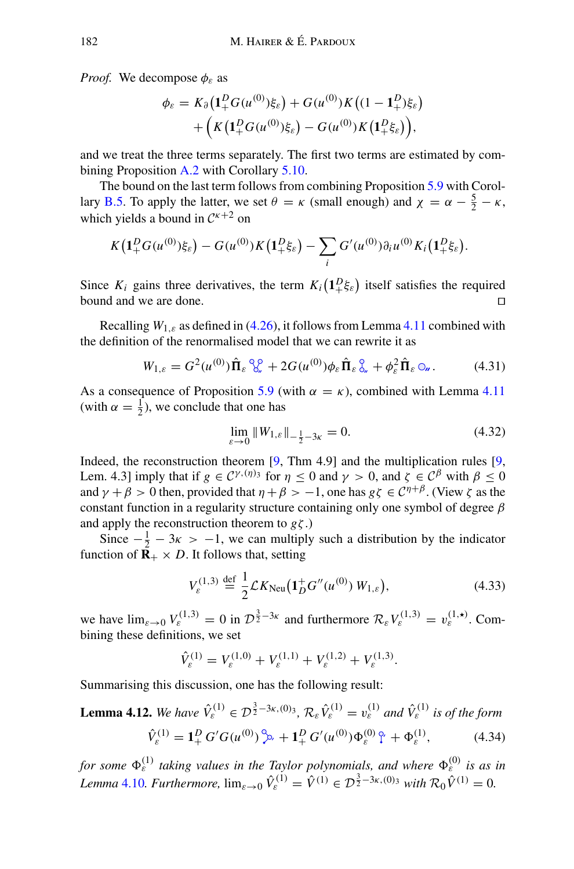*Proof.* We decompose  $\phi_{\varepsilon}$  as

$$
\phi_{\varepsilon} = K_{\partial} \left( \mathbf{1}_{+}^{D} G(u^{(0)}) \xi_{\varepsilon} \right) + G(u^{(0)}) K \left( (1 - \mathbf{1}_{+}^{D}) \xi_{\varepsilon} \right) + \left( K \left( \mathbf{1}_{+}^{D} G(u^{(0)}) \xi_{\varepsilon} \right) - G(u^{(0)}) K \left( \mathbf{1}_{+}^{D} \xi_{\varepsilon} \right) \right),
$$

and we treat the three terms separately. The first two terms are estimated by combining Proposition [A.2](#page-57-1) with Corollary [5.10.](#page-41-2)

The bound on the last term follows from combining Proposition [5.9](#page-41-1) with Corol-lary [B.5.](#page-61-0) To apply the latter, we set  $\theta = \kappa$  (small enough) and  $\chi = \alpha - \frac{5}{2} - \kappa$ , which yields a bound in  $C^{\kappa+2}$  on

$$
K(\mathbf{1}_{+}^{D}G(u^{(0)})\xi_{\varepsilon})-G(u^{(0)})K(\mathbf{1}_{+}^{D}\xi_{\varepsilon})-\sum_{i}G'(u^{(0)})\partial_{i}u^{(0)}K_{i}(\mathbf{1}_{+}^{D}\xi_{\varepsilon}).
$$

Since  $K_i$  gains three derivatives, the term  $K_i(\mathbf{1}_{+}^D \xi_{\varepsilon})$  itself satisfies the required bound and we are done.

Recalling *W*1,ε as defined in [\(4.26\)](#page-29-2), it follows from Lemma [4.11](#page-30-0) combined with the definition of the renormalised model that we can rewrite it as

$$
W_{1,\varepsilon} = G^2(u^{(0)}) \hat{\Pi}_{\varepsilon} \, \mathcal{C}_{\varepsilon}^0 + 2G(u^{(0)}) \phi_{\varepsilon} \hat{\Pi}_{\varepsilon} \, \mathcal{C}_{\varepsilon}^0 + \phi_{\varepsilon}^2 \hat{\Pi}_{\varepsilon} \, \mathcal{O}_{\varepsilon}. \tag{4.31}
$$

As a consequence of Proposition [5.9](#page-41-1) (with  $\alpha = \kappa$ ), combined with Lemma [4.11](#page-30-0) (with  $\alpha = \frac{1}{2}$ ), we conclude that one has

<span id="page-31-3"></span>
$$
\lim_{\varepsilon \to 0} \|W_{1,\varepsilon}\|_{-\frac{1}{2} - 3\kappa} = 0. \tag{4.32}
$$

Indeed, the reconstruction theorem  $[9, Thm 4.9]$  $[9, Thm 4.9]$  and the multiplication rules  $[9,$ Lem. 4.3] imply that if  $g \in C^{\gamma, (\eta)_3}$  for  $\eta \le 0$  and  $\gamma > 0$ , and  $\zeta \in C^\beta$  with  $\beta \le 0$ and  $\gamma + \beta > 0$  then, provided that  $\eta + \beta > -1$ , one has  $g\zeta \in C^{\eta+\beta}$ . (View  $\zeta$  as the constant function in a regularity structure containing only one symbol of degree  $\beta$ and apply the reconstruction theorem to *g*ζ .)

Since  $-\frac{1}{2} - 3\kappa > -1$ , we can multiply such a distribution by the indicator function of  $\mathbf{R}_{+} \times D$ . It follows that, setting

<span id="page-31-1"></span>
$$
V_{\varepsilon}^{(1,3)} \stackrel{\text{def}}{=} \frac{1}{2} \mathcal{L} K_{\text{Neu}} \left( \mathbf{1}_D^+ G''(u^{(0)}) \, W_{1,\varepsilon} \right),\tag{4.33}
$$

we have  $\lim_{\varepsilon \to 0} V_{\varepsilon}^{(1,3)} = 0$  in  $\mathcal{D}^{\frac{3}{2} - 3\kappa}$  and furthermore  $\mathcal{R}_{\varepsilon} V_{\varepsilon}^{(1,3)} = v_{\varepsilon}^{(1,*)}$ . Combining these definitions, we set

$$
\hat{V}^{(1)}_{\varepsilon} = V^{(1,0)}_{\varepsilon} + V^{(1,1)}_{\varepsilon} + V^{(1,2)}_{\varepsilon} + V^{(1,3)}_{\varepsilon}.
$$

<span id="page-31-0"></span>Summarising this discussion, one has the following result:

<span id="page-31-2"></span>**Lemma 4.12.** *We have*  $\hat{V}_{\varepsilon}^{(1)} \in \mathcal{D}^{\frac{3}{2}-3\kappa,(0)}$ ,  $\mathcal{R}_{\varepsilon} \hat{V}_{\varepsilon}^{(1)} = v_{\varepsilon}^{(1)}$  *and*  $\hat{V}_{\varepsilon}^{(1)}$  *is of the form*  $\hat{V}^{(1)}_{\varepsilon} = \mathbf{1}^D_+ G' G(u^{(0)})^{\mathcal{O}}_{\varepsilon} + \mathbf{1}^D_+ G'(u^{(0)}) \Phi^{(0)}_{\varepsilon} + \Phi^{(1)}_{\varepsilon}$  $(4.34)$ 

*for some*  $\Phi_{\varepsilon}^{(1)}$  *taking values in the Taylor polynomials, and where*  $\Phi_{\varepsilon}^{(0)}$  *is as in Lemma* [4.10](#page-28-0)*. Furthermore,*  $\lim_{\varepsilon \to 0} \hat{V}^{(1)}_{\varepsilon} = \hat{V}^{(1)} \in \mathcal{D}^{\frac{3}{2} - 3\kappa, (0)_{3}}$  *with*  $\mathcal{R}_{0} \hat{V}^{(1)} = 0$ *.*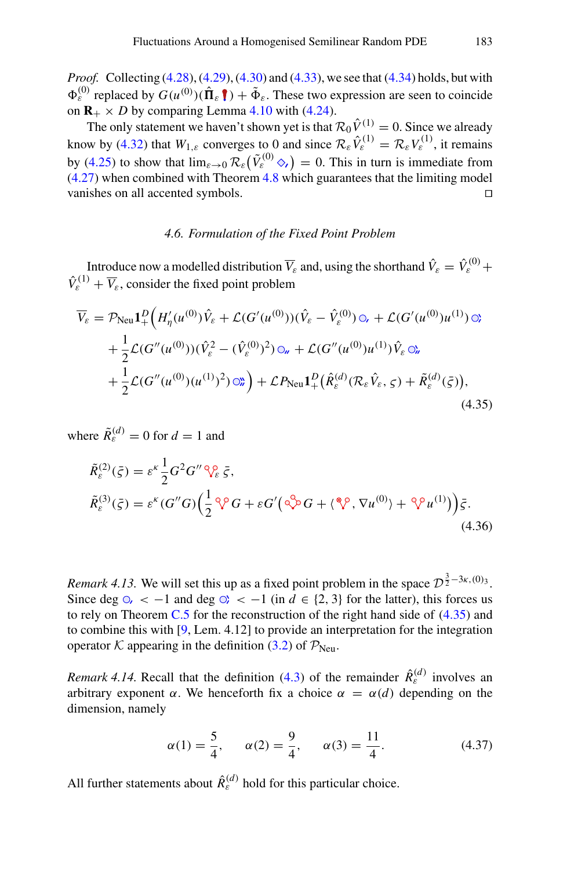*Proof.* Collecting [\(4.28\)](#page-30-1), [\(4.29\)](#page-30-2), [\(4.30\)](#page-30-3) and [\(4.33\)](#page-31-1), we see that [\(4.34\)](#page-31-2) holds, but with  $\Phi_{\varepsilon}^{(0)}$  replaced by  $G(u^{(0)})(\hat{\Pi}_{\varepsilon} \cdot) + \tilde{\Phi}_{\varepsilon}$ . These two expression are seen to coincide on  $\mathbf{R}_+ \times D$  by comparing Lemma [4.10](#page-28-0) with [\(4.24\)](#page-28-1).

The only statement we haven't shown yet is that  $\mathcal{R}_0 \hat{V}^{(1)} = 0$ . Since we already know by [\(4.32\)](#page-31-3) that  $W_{1,\varepsilon}$  converges to 0 and since  $\mathcal{R}_{\varepsilon} \hat{V}_{\varepsilon}^{(1)} = \mathcal{R}_{\varepsilon} V_{\varepsilon}^{(1)}$ , it remains by [\(4.25\)](#page-29-1) to show that  $\lim_{\varepsilon \to 0} \mathcal{R}_{\varepsilon}(\tilde{V}_{\varepsilon}^{(0)} \otimes_{\varepsilon}) = 0$ . This in turn is immediate from  $(4.27)$  when combined with Theorem [4.8](#page-26-0) which guarantees that the limiting model vanishes on all accented symbols.

#### *4.6. Formulation of the Fixed Point Problem*

<span id="page-32-0"></span>Introduce now a modelled distribution  $\overline{V}_{\varepsilon}$  and, using the shorthand  $\hat{V}_{\varepsilon} = \hat{V}_{\varepsilon}^{(0)} + \hat{V}_{\varepsilon}$  $\hat{V}_{\varepsilon}^{(1)} + \overline{V}_{\varepsilon}$ , consider the fixed point problem

<span id="page-32-1"></span>
$$
\overline{V}_{\varepsilon} = \mathcal{P}_{\text{Neu}} \mathbf{1}_{+}^{D} \Big( H_{\eta}^{\prime}(u^{(0)}) \hat{V}_{\varepsilon} + \mathcal{L}(G^{\prime}(u^{(0)})) (\hat{V}_{\varepsilon} - \hat{V}_{\varepsilon}^{(0)}) \circlearrowright + \frac{1}{2} \mathcal{L}(G^{\prime\prime}(u^{(0)})) (\hat{V}_{\varepsilon}^{2} - (\hat{V}_{\varepsilon}^{(0)})^{2}) \circlearrowright_{\varepsilon} + \mathcal{L}(G^{\prime\prime}(u^{(0)}) u^{(1)}) \hat{V}_{\varepsilon} \circlearrowright_{\varepsilon}^{2} + \frac{1}{2} \mathcal{L}(G^{\prime\prime}(u^{(0)}) (u^{(1)})^{2}) \circlearrowright_{\varepsilon}^{2}) + \mathcal{L} P_{\text{Neu}} \mathbf{1}_{+}^{D} (\hat{R}_{\varepsilon}^{(d)}(\mathcal{R}_{\varepsilon} \hat{V}_{\varepsilon}, \varsigma) + \tilde{R}_{\varepsilon}^{(d)}(\varsigma)),
$$
\n(4.35)

where  $\tilde{R}_{\varepsilon}^{(d)} = 0$  for  $d = 1$  and

<span id="page-32-3"></span>
$$
\tilde{R}_{\varepsilon}^{(2)}(\bar{\zeta}) = \varepsilon^{\kappa} \frac{1}{2} G^2 G'' \sqrt{\varphi_{\varepsilon}} \bar{\zeta},
$$
\n
$$
\tilde{R}_{\varepsilon}^{(3)}(\bar{\zeta}) = \varepsilon^{\kappa} (G''G) \Big( \frac{1}{2} \sqrt{\varphi} G + \varepsilon G' \Big( \sqrt{\varphi} G + \langle \sqrt{\varphi}, \nabla u^{(0)} \rangle + \sqrt{\varphi} u^{(1)} \Big) \Big) \bar{\zeta}.
$$
\n(4.36)

<span id="page-32-2"></span>*Remark 4.13.* We will set this up as a fixed point problem in the space  $\mathcal{D}^{\frac{3}{2}-3\kappa,(0)}$ . Since deg  $\odot$ , < −1 and deg  $\odot$ ; < −1 (in *d* ∈ {2, 3} for the latter), this forces us to rely on Theorem [C.5](#page-61-0) for the reconstruction of the right hand side of [\(4.35\)](#page-32-1) and to combine this with [\[9,](#page-65-3) Lem. 4.12] to provide an interpretation for the integration operator *K* appearing in the definition  $(3.2)$  of  $\mathcal{P}_{\text{Neu}}$ .

*Remark 4.14.* Recall that the definition [\(4.3\)](#page-16-1) of the remainder  $\hat{R}^{(d)}_{\varepsilon}$  involves an arbitrary exponent  $\alpha$ . We henceforth fix a choice  $\alpha = \alpha(d)$  depending on the dimension, namely

$$
\alpha(1) = \frac{5}{4}, \qquad \alpha(2) = \frac{9}{4}, \qquad \alpha(3) = \frac{11}{4}.
$$
 (4.37)

All further statements about  $\hat{R}^{(d)}_{\varepsilon}$  hold for this particular choice.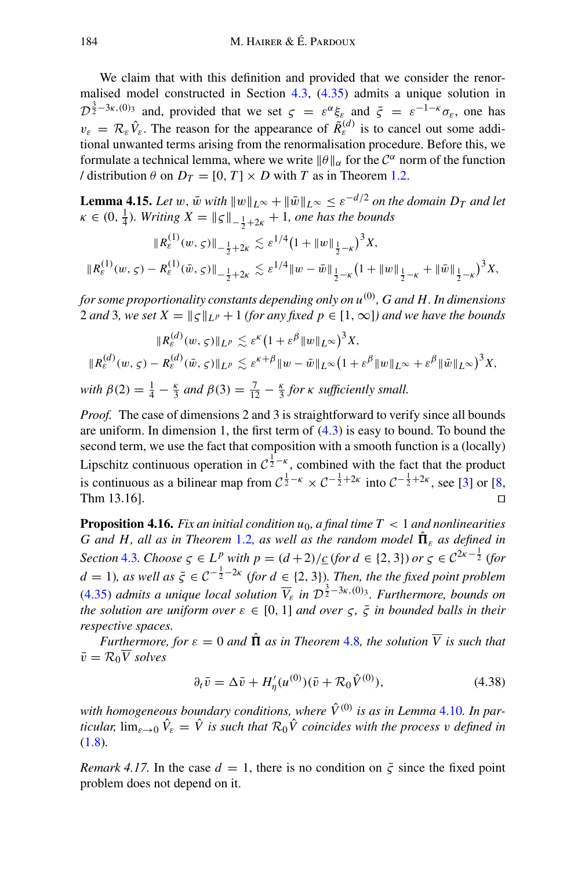We claim that with this definition and provided that we consider the renormalised model constructed in Section [4.3,](#page-20-0) [\(4.35\)](#page-32-1) admits a unique solution in  $\mathcal{D}^{\frac{3}{2}-3\kappa,(0)}$  and, provided that we set  $\zeta = \varepsilon^{\alpha} \xi_{\varepsilon}$  and  $\bar{\zeta} = \varepsilon^{-1-\kappa} \sigma_{\varepsilon}$ , one has  $v_{\varepsilon} = \mathcal{R}_{\varepsilon} \hat{V}_{\varepsilon}$ . The reason for the appearance of  $\tilde{R}_{\varepsilon}^{(d)}$  is to cancel out some additional unwanted terms arising from the renormalisation procedure. Before this, we formulate a technical lemma, where we write  $\|\theta\|_{\alpha}$  for the  $\mathcal{C}^{\alpha}$  norm of the function / distribution  $\theta$  on  $D_T = [0, T] \times D$  with *T* as in Theorem [1.2.](#page-2-1)

<span id="page-33-1"></span>**Lemma 4.15.** *Let* w,  $\bar{w}$  *with*  $||w||_{L^{\infty}} + ||\bar{w}||_{L^{\infty}} \leq \varepsilon^{-d/2}$  *on the domain*  $D_T$  *and let*  $\kappa \in (0, \frac{1}{4})$ *. Writing*  $X = ||\varsigma||_{-\frac{1}{2} + 2\kappa} + 1$ *, one has the bounds* 

$$
\|R_{\varepsilon}^{(1)}(w,\varsigma)\|_{-\frac{1}{2}+2\kappa} \lesssim \varepsilon^{1/4} \big(1+\|w\|_{\frac{1}{2}-\kappa}\big)^3 X,
$$
  

$$
\|R_{\varepsilon}^{(1)}(w,\varsigma) - R_{\varepsilon}^{(1)}(\bar{w},\varsigma)\|_{-\frac{1}{2}+2\kappa} \lesssim \varepsilon^{1/4} \|w-\bar{w}\|_{\frac{1}{2}-\kappa} \big(1+\|w\|_{\frac{1}{2}-\kappa} + \|\bar{w}\|_{\frac{1}{2}-\kappa}\big)^3 X,
$$

*for some proportionality constants depending only on u*(0) *, G and H. In dimensions* 2 *and* 3*, we set*  $X = ||\varsigma||_{L^p} + 1$  *(for any fixed p* ∈ [1, ∞]*) and we have the bounds* 

$$
\|R_{\varepsilon}^{(d)}(w,\varsigma)\|_{L^{p}} \lesssim \varepsilon^{\kappa} \left(1 + \varepsilon^{\beta} \|w\|_{L^{\infty}}\right)^{3} X,
$$
  

$$
\|R_{\varepsilon}^{(d)}(w,\varsigma) - R_{\varepsilon}^{(d)}(\bar{w},\varsigma)\|_{L^{p}} \lesssim \varepsilon^{\kappa+\beta} \|w - \bar{w}\|_{L^{\infty}} \left(1 + \varepsilon^{\beta} \|w\|_{L^{\infty}} + \varepsilon^{\beta} \|\bar{w}\|_{L^{\infty}}\right)^{3} X,
$$
  
with  $\beta(2) = \frac{1}{4} - \frac{\kappa}{3}$  and  $\beta(3) = \frac{7}{12} - \frac{\kappa}{3}$  for  $\kappa$  sufficiently small.

*Proof.* The case of dimensions 2 and 3 is straightforward to verify since all bounds are uniform. In dimension 1, the first term of  $(4.3)$  is easy to bound. To bound the second term, we use the fact that composition with a smooth function is a (locally) Lipschitz continuous operation in  $C^{\frac{1}{2} - \kappa}$ , combined with the fact that the product is continuous as a bilinear map from  $C^{\frac{1}{2}-\kappa} \times C^{-\frac{1}{2}+2\kappa}$  into  $C^{-\frac{1}{2}+2\kappa}$ , see [\[3](#page-64-3)] or [\[8,](#page-65-10) Thm 13.16].

<span id="page-33-0"></span>**Proposition 4.16.** *Fix an initial condition*  $u_0$ *, a final time*  $T < 1$  *and nonlinearities G* and H, all as in Theorem [1.2](#page-2-1), as well as the random model  $\Pi_{\varepsilon}$  as defined in *Section* [4.3](#page-20-0)*. Choose*  $\zeta \in L^p$  *with*  $p = (d+2)/\underline{c}$  (*for*  $d \in \{2, 3\}$ ) *or*  $\zeta \in C^{2\kappa - \frac{1}{2}}$  (*for d* = 1)*, as well as*  $\bar{z}$  ∈  $C^{-\frac{1}{2}-2\kappa}$  (*for d* ∈ {2, 3})*. Then, the the fixed point problem* [\(4.35\)](#page-32-1) *admits a unique local solution*  $\overline{V}_{\varepsilon}$  *in*  $\mathcal{D}^{\frac{3}{2}-3\kappa,(0)}$ <sup>3</sup>. Furthermore, bounds on *the solution are uniform over*  $\varepsilon \in [0, 1]$  *and over*  $\zeta$ ,  $\overline{\zeta}$  *in bounded balls in their respective spaces.*

*Furthermore, for*  $\varepsilon = 0$  *and*  $\Pi$  *as in Theorem* [4.8](#page-26-0)*, the solution V is such that*  $\bar{v} = \mathcal{R}_0 \overline{V}$  solves

<span id="page-33-2"></span>
$$
\partial_t \bar{v} = \Delta \bar{v} + H'_{\eta}(u^{(0)})(\bar{v} + \mathcal{R}_0 \hat{V}^{(0)}), \tag{4.38}
$$

*with homogeneous boundary conditions, where*  $\hat{V}^{(0)}$  *is as in Lemma* [4.10](#page-28-0)*. In particular,*  $\lim_{\varepsilon \to 0} V_{\varepsilon} = V$  is such that  $\mathcal{R}_0 V$  coincides with the process v defined in [\(1.8\)](#page-3-1)*.*

*Remark 4.17.* In the case  $d = 1$ , there is no condition on  $\bar{\zeta}$  since the fixed point problem does not depend on it.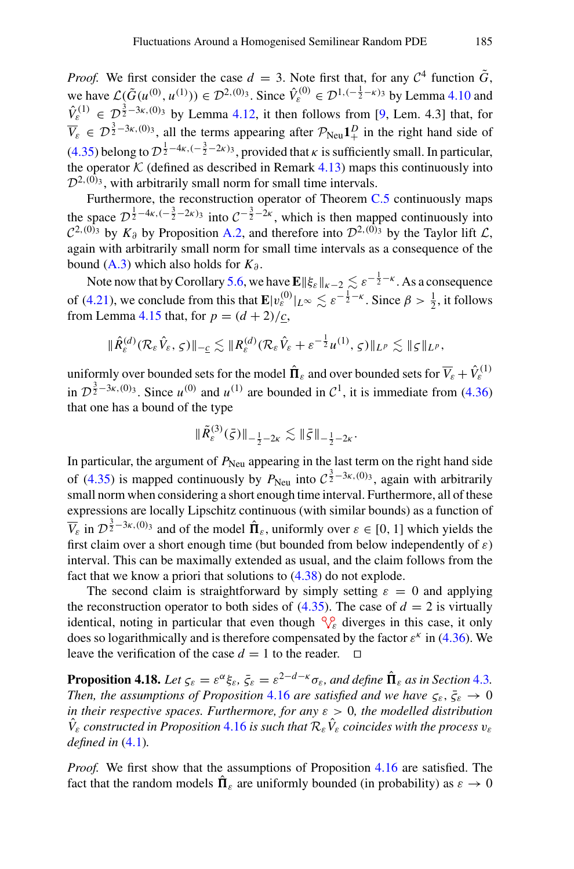*Proof.* We first consider the case  $d = 3$ . Note first that, for any  $C^4$  function  $\tilde{G}$ , we have  $\mathcal{L}(\tilde{G}(u^{(0)}, u^{(1)})) \in \mathcal{D}^{2,(0)}$ <sup>3</sup>. Since  $\hat{V}^{(0)}_{\varepsilon} \in \mathcal{D}^{1, (-\frac{1}{2} - \kappa)_{3}}$  by Lemma [4.10](#page-28-0) and  $\hat{V}^{(1)}_{\epsilon} \in \mathcal{D}^{\frac{3}{2}-3\kappa,(0)}$  by Lemma [4.12,](#page-31-0) it then follows from [\[9](#page-65-3), Lem. 4.3] that, for  $\overline{V}_{\varepsilon} \in \mathcal{D}^{\frac{3}{2}-3\kappa,(0)}$ , all the terms appearing after  $\mathcal{P}_{\text{Neu}}\mathbf{1}_{+}^{D}$  in the right hand side of [\(4.35\)](#page-32-1) belong to  $\mathcal{D}^{\frac{1}{2}-4\kappa, (-\frac{3}{2}-2\kappa)_3}$ , provided that  $\kappa$  is sufficiently small. In particular, the operator  $K$  (defined as described in Remark  $4.13$ ) maps this continuously into  $\mathcal{D}^{2,(0)}$ <sub>3</sub>, with arbitrarily small norm for small time intervals.

Furthermore, the reconstruction operator of Theorem [C.5](#page-61-0) continuously maps the space  $\mathcal{D}^{\frac{1}{2}-4\kappa, (-\frac{3}{2}-2\kappa)}$  into  $\mathcal{C}^{-\frac{3}{2}-2\kappa}$ , which is then mapped continuously into  $C^{2,(0)}$ <sup>3</sup> by *K*<sup>∂</sup> by Proposition [A.2,](#page-57-1) and therefore into  $\mathcal{D}^{2,(0)}$ <sup>3</sup> by the Taylor lift *L*, again with arbitrarily small norm for small time intervals as a consequence of the bound [\(A.3\)](#page-57-3) which also holds for *K*<sup>∂</sup> .

Note now that by Corollary [5.6,](#page-39-1) we have  $\mathbf{E} \|\xi_{\varepsilon}\|_{\kappa-2} \lesssim \varepsilon^{-\frac{1}{2}-\kappa}$ . As a consequence of [\(4.21\)](#page-27-3), we conclude from this that  $\mathbf{E} |v_{\varepsilon}^{(0)}|_{L^{\infty}} \lesssim \varepsilon^{-\frac{1}{2} - \kappa}$ . Since  $\beta > \frac{1}{2}$ , it follows from Lemma [4.15](#page-33-1) that, for  $p = (d + 2)/c$ ,

$$
\|\hat{R}^{(d)}_{\varepsilon}(\mathcal{R}_{\varepsilon}\hat{V}_{\varepsilon},\varsigma)\|_{-\underline{c}}\lesssim\|R_{\varepsilon}^{(d)}(\mathcal{R}_{\varepsilon}\hat{V}_{\varepsilon}+\varepsilon^{-\frac{1}{2}}u^{(1)},\varsigma)\|_{L^{p}}\lesssim\|\varsigma\|_{L^{p}},
$$

uniformly over bounded sets for the model  $\hat{\Pi}_{\varepsilon}$  and over bounded sets for  $\overline{V}_{\varepsilon} + \hat{V}_{\varepsilon}^{(1)}$ in  $\mathcal{D}^{\frac{3}{2}-3\kappa,(0)}$ . Since  $u^{(0)}$  and  $u^{(1)}$  are bounded in  $\mathcal{C}^1$ , it is immediate from [\(4.36\)](#page-32-3) that one has a bound of the type

$$
\|\tilde{R}_{\varepsilon}^{(3)}(\bar{\zeta})\|_{-\frac{1}{2}-2\kappa} \lesssim \|\bar{\zeta}\|_{-\frac{1}{2}-2\kappa}.
$$

In particular, the argument of  $P_{\text{Neu}}$  appearing in the last term on the right hand side of [\(4.35\)](#page-32-1) is mapped continuously by  $P_{\text{Neu}}$  into  $C^{\frac{3}{2}-3\kappa,(0)}$ , again with arbitrarily small norm when considering a short enough time interval. Furthermore, all of these expressions are locally Lipschitz continuous (with similar bounds) as a function of  $\overline{V}_{\varepsilon}$  in  $\mathcal{D}^{\frac{3}{2}-3\kappa,(0)}$  and of the model  $\hat{\Pi}_{\varepsilon}$ , uniformly over  $\varepsilon \in [0, 1]$  which yields the first claim over a short enough time (but bounded from below independently of  $\varepsilon$ ) interval. This can be maximally extended as usual, and the claim follows from the fact that we know a priori that solutions to [\(4.38\)](#page-33-2) do not explode.

The second claim is straightforward by simply setting  $\varepsilon = 0$  and applying the reconstruction operator to both sides of  $(4.35)$ . The case of  $d = 2$  is virtually identical, noting in particular that even though  $\mathcal{P}_{\varepsilon}$  diverges in this case, it only does so logarithmically and is therefore compensated by the factor  $\varepsilon^k$  in [\(4.36\)](#page-32-3). We leave the verification of the case  $d = 1$  to the reader.  $\Box$ 

<span id="page-34-0"></span>**Proposition 4.18.** *Let*  $\zeta_{\varepsilon} = \varepsilon^{\alpha} \xi_{\varepsilon}$ ,  $\bar{\zeta}_{\varepsilon} = \varepsilon^{2-d-\kappa} \sigma_{\varepsilon}$ , and define  $\hat{\Pi}_{\varepsilon}$  as in Section [4.3](#page-20-0). *Then, the assumptions of Proposition* [4.16](#page-33-0) *are satisfied and we have*  $\zeta_{\varepsilon}, \overline{\zeta_{\varepsilon}} \to 0$ *in their respective spaces. Furthermore, for any*  $\varepsilon > 0$ *, the modelled distribution*  $V_{\varepsilon}$  *constructed in Proposition* [4.16](#page-33-0) *is such that*  $\mathcal{R}_{\varepsilon}V_{\varepsilon}$  *coincides with the process*  $v_{\varepsilon}$ *defined in* [\(4.1\)](#page-15-1)*.*

*Proof.* We first show that the assumptions of Proposition [4.16](#page-33-0) are satisfied. The fact that the random models  $\Pi_{\varepsilon}$  are uniformly bounded (in probability) as  $\varepsilon \to 0$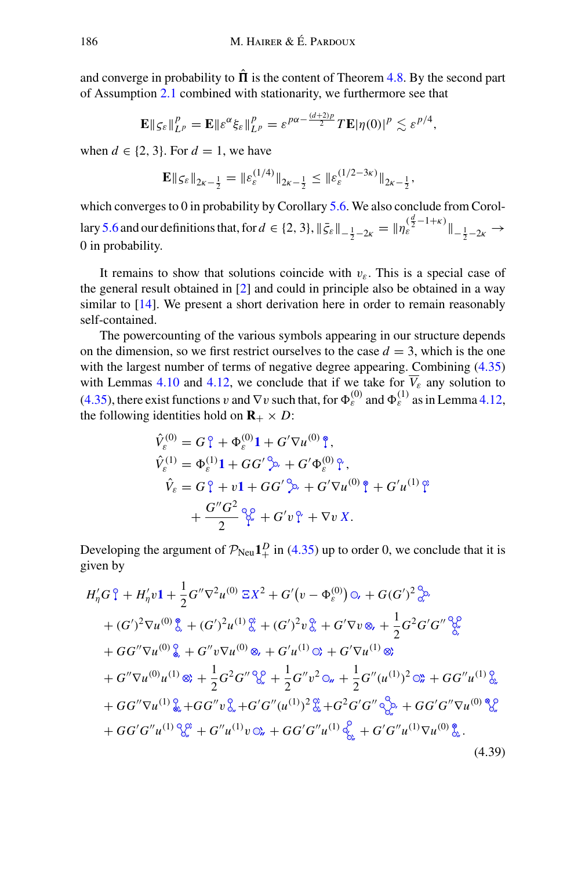and converge in probability to  $\Pi$  is the content of Theorem [4.8.](#page-26-0) By the second part of Assumption [2.1](#page-7-0) combined with stationarity, we furthermore see that

$$
\mathbf{E} \|\mathbf{f}_{\varepsilon}\|_{L^p}^p = \mathbf{E} \|\mathbf{g}^{\alpha} \mathbf{f}_{\varepsilon}\|_{L^p}^p = \mathbf{g}^{p\alpha - \frac{(d+2)p}{2}} T \mathbf{E} |\eta(0)|^p \lesssim \mathbf{g}^{p/4},
$$

when  $d \in \{2, 3\}$ . For  $d = 1$ , we have

$$
\mathbf{E} \|\mathbf{f}_{\varepsilon}\|_{2\kappa-\frac{1}{2}} = \|\mathbf{\varepsilon}_{\varepsilon}^{(1/4)}\|_{2\kappa-\frac{1}{2}} \le \|\mathbf{\varepsilon}_{\varepsilon}^{(1/2-3\kappa)}\|_{2\kappa-\frac{1}{2}},
$$

which converges to 0 in probability by Corollary [5.6.](#page-39-1) We also conclude from Corol-lary [5.6](#page-39-1) and our definitions that, for  $d \in \{2, 3\}$ ,  $\|\bar{\zeta}_{\varepsilon}\|_{-\frac{1}{2}-2\kappa} = \| \eta_{\varepsilon}^{(\frac{d}{2}-1+\kappa)} \|_{-\frac{1}{2}-2\kappa} \to$ 0 in probability.

It remains to show that solutions coincide with  $v_{\varepsilon}$ . This is a special case of the general result obtained in [\[2\]](#page-64-2) and could in principle also be obtained in a way similar to [\[14](#page-65-1)]. We present a short derivation here in order to remain reasonably self-contained.

The powercounting of the various symbols appearing in our structure depends on the dimension, so we first restrict ourselves to the case  $d = 3$ , which is the one with the largest number of terms of negative degree appearing. Combining  $(4.35)$ with Lemmas [4.10](#page-28-0) and [4.12,](#page-31-0) we conclude that if we take for  $\overline{V}_\varepsilon$  any solution to [\(4.35\)](#page-32-1), there exist functions v and  $\nabla v$  such that, for  $\Phi_{\varepsilon}^{(0)}$  and  $\Phi_{\varepsilon}^{(1)}$  as in Lemma [4.12,](#page-31-0) the following identities hold on  $\mathbf{R}_+ \times D$ :

$$
\hat{V}_{\varepsilon}^{(0)} = G_{\varepsilon}^{\circ} + \Phi_{\varepsilon}^{(0)} \mathbf{1} + G' \nabla u^{(0)} \, \hat{\mathbf{I}},
$$
\n
$$
\hat{V}_{\varepsilon}^{(1)} = \Phi_{\varepsilon}^{(1)} \mathbf{1} + G G' \, \hat{\mathbf{I}}_{\varepsilon} + G' \Phi_{\varepsilon}^{(0)} \, \hat{\mathbf{I}}^{\circ},
$$
\n
$$
\hat{V}_{\varepsilon} = G_{\varepsilon}^{\circ} + v \mathbf{1} + G G' \, \hat{\mathbf{I}}_{\varepsilon} + G' \nabla u^{(0)} \, \hat{\mathbf{I}}_{\varepsilon} + G' u^{(1)} \, \hat{\mathbf{I}}_{\varepsilon} + \frac{G'' G^2}{2} \, \hat{\mathbf{I}}_{\varepsilon}^{\circ} + G' v \, \hat{\mathbf{I}}_{\varepsilon} + \nabla v \, X.
$$

Developing the argument of  $P_{\text{Neu}}1^D_+$  in [\(4.35\)](#page-32-1) up to order 0, we conclude that it is given by

$$
H'_{\eta}G^{\circ}\uparrow H'_{\eta}v\mathbf{1} + \frac{1}{2}G''\nabla^2 u^{(0)} \Xi X^2 + G'(v - \Phi_{\varepsilon}^{(0)}) \circlearrowright + G(G')^2 \mathfrak{F}.
$$
  
+  $(G')^2 \nabla u^{(0)} \mathfrak{F} + (G')^2 u^{(1)} \mathfrak{F} + (G')^2 v \mathfrak{F} + G' \nabla v \otimes_1 + \frac{1}{2} G^2 G' G'' \mathfrak{F}.$   
+  $GG'' \nabla u^{(0)} \mathfrak{F} + G'' v \nabla u^{(0)} \otimes_1 + G' u^{(1)} \circlearrowright + G' \nabla u^{(1)} \otimes_1$   
+  $G'' \nabla u^{(0)} u^{(1)} \otimes_1 + \frac{1}{2} G^2 G'' \mathfrak{F}^{\circ} + \frac{1}{2} G'' v^2 \circlearrowright + \frac{1}{2} G'' (u^{(1)})^2 \circlearrowright + G G'' u^{(1)} \mathfrak{F}.$   
+  $GG'' \nabla u^{(1)} \mathfrak{F} + GG'' v \mathfrak{F} + G' G'' (u^{(1)})^2 \mathfrak{F} + G^2 G' G'' \mathfrak{F}^{\circ} + G G' G'' \nabla u^{(0)} \mathfrak{F}^{\circ}.$   
+  $GG' G'' u^{(1)} \mathfrak{F}^{\circ} + G'' u^{(1)} v \circlearrowright + GG' G'' u^{(1)} \mathfrak{F}^{\circ} + G' G'' u^{(1)} \nabla u^{(0)} \mathfrak{F}^{\circ}.$   
(4.39)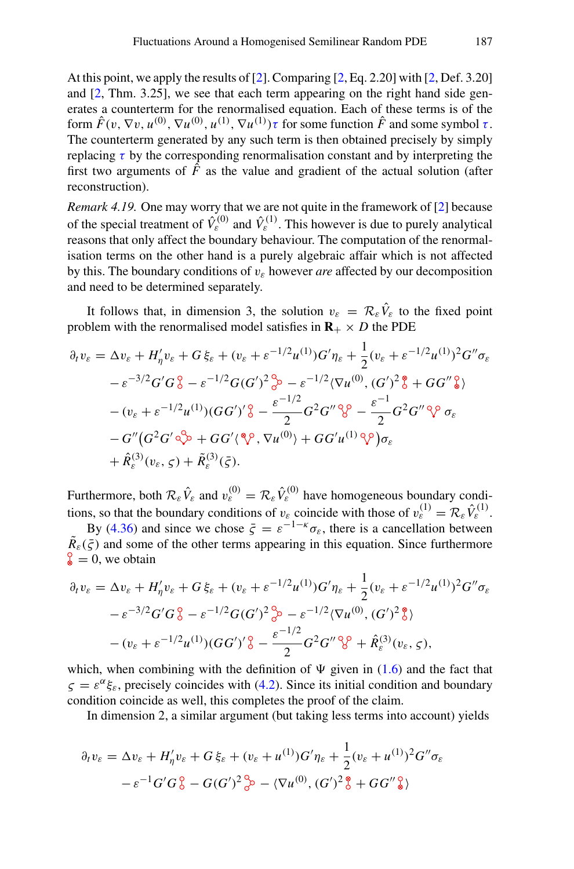At this point, we apply the results of [\[2](#page-64-2)]. Comparing [\[2,](#page-64-2) Eq. 2.20] with [\[2](#page-64-2), Def. 3.20] and [\[2](#page-64-2), Thm. 3.25], we see that each term appearing on the right hand side generates a counterterm for the renormalised equation. Each of these terms is of the form  $\hat{F}(v, \nabla v, u^{(0)}, \nabla u^{(0)}, u^{(1)}, \nabla u^{(1)})\tau$  for some function  $\hat{F}$  and some symbol  $\tau$ . The counterterm generated by any such term is then obtained precisely by simply replacing  $\tau$  by the corresponding renormalisation constant and by interpreting the first two arguments of  $\hat{F}$  as the value and gradient of the actual solution (after reconstruction).

*Remark 4.19.* One may worry that we are not quite in the framework of [\[2\]](#page-64-2) because of the special treatment of  $\hat{V}_{\varepsilon}^{(0)}$  and  $\hat{V}_{\varepsilon}^{(1)}$ . This however is due to purely analytical reasons that only affect the boundary behaviour. The computation of the renormalisation terms on the other hand is a purely algebraic affair which is not affected by this. The boundary conditions of vε however *are* affected by our decomposition and need to be determined separately.

It follows that, in dimension 3, the solution  $v_{\varepsilon} = \mathcal{R}_{\varepsilon} V_{\varepsilon}$  to the fixed point problem with the renormalised model satisfies in  $\mathbf{R}_+ \times D$  the PDE

$$
\partial_t v_{\varepsilon} = \Delta v_{\varepsilon} + H_{\eta}' v_{\varepsilon} + G \xi_{\varepsilon} + (v_{\varepsilon} + \varepsilon^{-1/2} u^{(1)}) G' \eta_{\varepsilon} + \frac{1}{2} (v_{\varepsilon} + \varepsilon^{-1/2} u^{(1)})^2 G'' \sigma_{\varepsilon} \n- \varepsilon^{-3/2} G' G \delta - \varepsilon^{-1/2} G (G')^2 \delta - \varepsilon^{-1/2} \langle \nabla u^{(0)}, (G')^2 \delta + G G'' \delta \rangle \n- (v_{\varepsilon} + \varepsilon^{-1/2} u^{(1)}) (G G')' \delta - \frac{\varepsilon^{-1/2}}{2} G^2 G'' \delta \delta - \frac{\varepsilon^{-1}}{2} G^2 G'' \delta \delta \sigma - G'' (G^2 G' \delta \delta) + G G' (\delta \delta, \nabla u^{(0)}) + G G' u^{(1)} \delta \delta \rho \sigma_{\varepsilon} \n+ \hat{R}_{\varepsilon}^{(3)} (v_{\varepsilon}, \varsigma) + \tilde{R}_{\varepsilon}^{(3)} (\bar{\varsigma}).
$$

Furthermore, both  $\mathcal{R}_{\varepsilon} \hat{V}_{\varepsilon}$  and  $v_{\varepsilon}^{(0)} = \mathcal{R}_{\varepsilon} \hat{V}_{\varepsilon}^{(0)}$  have homogeneous boundary conditions, so that the boundary conditions of  $v_{\varepsilon}$  coincide with those of  $v_{\varepsilon}^{(1)} = \mathcal{R}_{\varepsilon} \hat{V}_{\varepsilon}^{(1)}$ .

By [\(4.36\)](#page-32-3) and since we chose  $\bar{\zeta} = \varepsilon^{-1-\kappa} \sigma_{\varepsilon}$ , there is a cancellation between  $\tilde{R}_{\varepsilon}(\bar{\zeta})$  and some of the other terms appearing in this equation. Since furthermore  $\frac{8}{6} = 0$ , we obtain

$$
\partial_t v_{\varepsilon} = \Delta v_{\varepsilon} + H_{\eta}' v_{\varepsilon} + G \xi_{\varepsilon} + (v_{\varepsilon} + \varepsilon^{-1/2} u^{(1)}) G' \eta_{\varepsilon} + \frac{1}{2} (v_{\varepsilon} + \varepsilon^{-1/2} u^{(1)})^2 G'' \sigma_{\varepsilon}
$$
  

$$
- \varepsilon^{-3/2} G' G \delta - \varepsilon^{-1/2} G (G')^2 \delta - \varepsilon^{-1/2} \langle \nabla u^{(0)}, (G')^2 \delta \rangle
$$
  

$$
- (v_{\varepsilon} + \varepsilon^{-1/2} u^{(1)}) (G G')' \delta - \frac{\varepsilon^{-1/2}}{2} G^2 G'' \delta + \hat{R}_{\varepsilon}^{(3)} (v_{\varepsilon}, \varsigma),
$$

which, when combining with the definition of  $\Psi$  given in [\(1.6\)](#page-3-4) and the fact that  $\zeta = \varepsilon^{\alpha} \xi_{\varepsilon}$ , precisely coincides with [\(4.2\)](#page-15-2). Since its initial condition and boundary condition coincide as well, this completes the proof of the claim.

In dimension 2, a similar argument (but taking less terms into account) yields

$$
\partial_t v_{\varepsilon} = \Delta v_{\varepsilon} + H_{\eta}' v_{\varepsilon} + G \, \xi_{\varepsilon} + (v_{\varepsilon} + u^{(1)}) G' \eta_{\varepsilon} + \frac{1}{2} (v_{\varepsilon} + u^{(1)})^2 G'' \sigma_{\varepsilon} - \varepsilon^{-1} G' G \,_{0}^{\mathcal{Q}} - G (G')^2 \,_{0}^{\mathcal{Q}} - (\nabla u^{(0)}, (G')^2 \,_{0}^{\mathcal{Q}} + G G'' \,_{0}^{\mathcal{Q}})
$$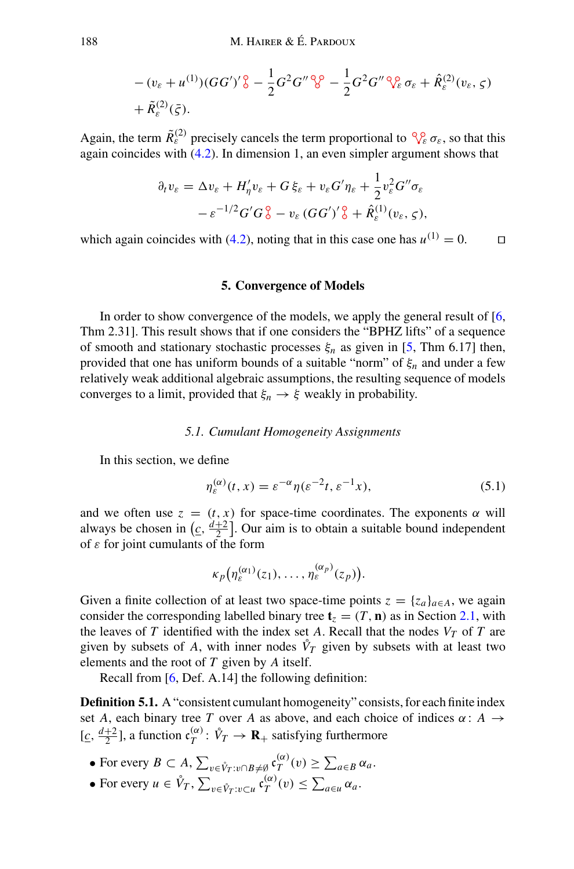$$
-(v_{\varepsilon}+u^{(1)})(GG')'\delta-\frac{1}{2}G^2G''\delta^0_{\varepsilon}-\frac{1}{2}G^2G''\delta^0_{\varepsilon}\sigma_{\varepsilon}+\hat{R}^{(2)}_{\varepsilon}(v_{\varepsilon},\varsigma)+\tilde{R}^{(2)}_{\varepsilon}(\bar{\varsigma}).
$$

Again, the term  $\tilde{R}_{\varepsilon}^{(2)}$  precisely cancels the term proportional to  $\sqrt{\varepsilon} \sigma_{\varepsilon}$ , so that this again coincides with [\(4.2\)](#page-15-2). In dimension 1, an even simpler argument shows that

$$
\partial_t v_{\varepsilon} = \Delta v_{\varepsilon} + H'_\eta v_{\varepsilon} + G \, \xi_{\varepsilon} + v_{\varepsilon} G' \eta_{\varepsilon} + \frac{1}{2} v_{\varepsilon}^2 G'' \sigma_{\varepsilon} -\varepsilon^{-1/2} G' G \,_{0}^{\mathcal{S}} - v_{\varepsilon} \, (G G')' \,_{0}^{\mathcal{S}} + \hat{R}_{\varepsilon}^{(1)}(v_{\varepsilon}, \, \varsigma),
$$

<span id="page-37-0"></span>which again coincides with [\(4.2\)](#page-15-2), noting that in this case one has  $u^{(1)} = 0$ .  $\Box$ 

#### **5. Convergence of Models**

In order to show convergence of the models, we apply the general result of [\[6,](#page-65-13) Thm 2.31]. This result shows that if one considers the "BPHZ lifts" of a sequence of smooth and stationary stochastic processes  $\xi_n$  as given in [\[5](#page-65-12), Thm 6.17] then, provided that one has uniform bounds of a suitable "norm" of ξ*n* and under a few relatively weak additional algebraic assumptions, the resulting sequence of models converges to a limit, provided that  $\xi_n \to \xi$  weakly in probability.

#### *5.1. Cumulant Homogeneity Assignments*

<span id="page-37-1"></span>In this section, we define

<span id="page-37-3"></span>
$$
\eta_{\varepsilon}^{(\alpha)}(t,x) = \varepsilon^{-\alpha} \eta(\varepsilon^{-2}t, \varepsilon^{-1}x), \tag{5.1}
$$

and we often use  $z = (t, x)$  for space-time coordinates. The exponents  $\alpha$  will always be chosen in  $(c, \frac{d+2}{2}]$ . Our aim is to obtain a suitable bound independent of ε for joint cumulants of the form

<span id="page-37-2"></span>
$$
\kappa_p(\eta^{(\alpha_1)}_{\varepsilon}(z_1),\ldots,\eta^{(\alpha_p)}_{\varepsilon}(z_p)).
$$

Given a finite collection of at least two space-time points  $z = \{z_a\}_{a \in A}$ , we again consider the corresponding labelled binary tree  $\mathbf{t}_7 = (T, \mathbf{n})$  as in Section [2.1,](#page-6-1) with the leaves of *T* identified with the index set *A*. Recall that the nodes  $V_T$  of *T* are given by subsets of *A*, with inner nodes  $\mathring{V}_T$  given by subsets with at least two elements and the root of *T* given by *A* itself.

Recall from [\[6](#page-65-13), Def. A.14] the following definition:

**Definition 5.1.** A "consistent cumulant homogeneity" consists, for each finite index set *A*, each binary tree *T* over *A* as above, and each choice of indices  $\alpha$ : *A*  $\rightarrow$  $[c, \frac{d+2}{2}]$ , a function  $c_T^{(\alpha)}: \mathring{V}_T \to \mathbf{R}_+$  satisfying furthermore

- For every  $B \subset A$ ,  $\sum_{v \in \hat{V}_T : v \cap B \neq \emptyset} \mathfrak{c}^{(\alpha)}_T(v) \geq \sum_{a \in B} \alpha_a$ .
- For every  $u \in \mathring{V}_T$ ,  $\sum_{v \in \mathring{V}_T : v \subset u} \mathfrak{c}_T^{(\alpha)}(v) \le \sum_{a \in u} \alpha_a$ .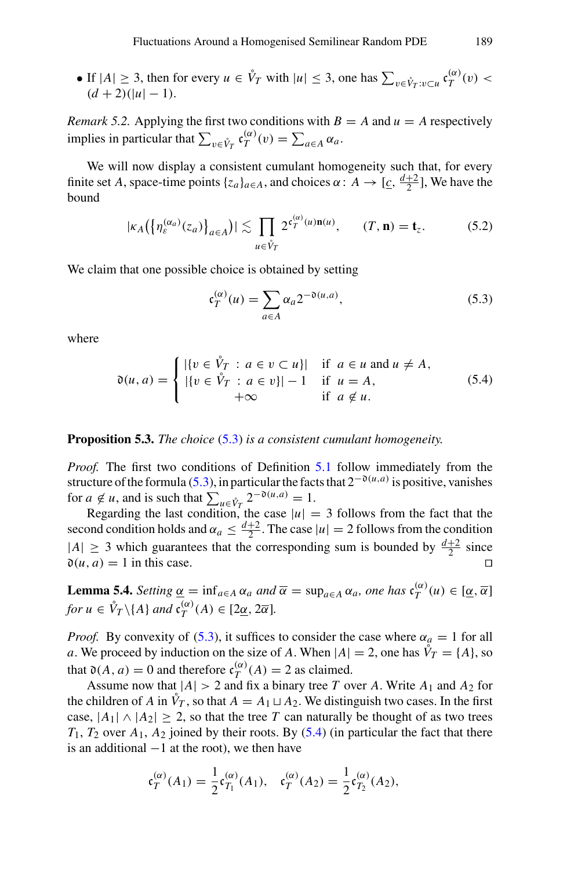$\bullet$  If |*A*| ≥ 3, then for every *u* ∈  $\mathring{V}_T$  with |*u*| ≤ 3, one has  $\sum_{v \in \mathring{V}_T : v \subset u} c_T^{(\alpha)}(v)$  <  $\left(\frac{d}{dx} + 2\right)^{(\alpha)}$  $(d+2)(|u|-1)$ .

*Remark 5.2.* Applying the first two conditions with  $B = A$  and  $u = A$  respectively implies in particular that  $\sum_{v \in \mathring{V}_T} \mathfrak{c}_T^{(\alpha)}(v) = \sum_{a \in A} \alpha_a$ .

We will now display a consistent cumulant homogeneity such that, for every finite set *A*, space-time points  $\{z_a\}_{a \in A}$ , and choices  $\alpha : A \to [\underline{c}, \frac{d+2}{2}]$ , We have the bound

<span id="page-38-2"></span>
$$
|\kappa_A(\{\eta_{\varepsilon}^{(\alpha_a)}(z_a)\}_{a\in A})| \lesssim \prod_{u \in \mathring{V}_T} 2^{\mathfrak{c}^{(\alpha)}_T(u)\mathbf{n}(u)}, \qquad (T, \mathbf{n}) = \mathbf{t}_z. \tag{5.2}
$$

We claim that one possible choice is obtained by setting

<span id="page-38-0"></span>
$$
\mathfrak{c}_T^{(\alpha)}(u) = \sum_{a \in A} \alpha_a 2^{-\mathfrak{d}(u,a)},\tag{5.3}
$$

where

<span id="page-38-1"></span>
$$
\mathfrak{d}(u, a) = \begin{cases}\n|\{v \in \mathring{V}_T : a \in v \subset u\}| & \text{if } a \in u \text{ and } u \neq A, \\
|\{v \in \mathring{V}_T : a \in v\}| - 1 & \text{if } u = A, \\
+\infty & \text{if } a \notin u.\n\end{cases}
$$
\n(5.4)

**Proposition 5.3.** *The choice* [\(5.3\)](#page-38-0) *is a consistent cumulant homogeneity.*

*Proof.* The first two conditions of Definition [5.1](#page-37-2) follow immediately from the structure of the formula [\(5.3\)](#page-38-0), in particular the facts that  $2^{-\mathfrak{d}(u,a)}$  is positive, vanishes for  $a \notin u$ , and is such that  $\sum_{u \in \hat{V}_T} 2^{-\mathfrak{d}(u,a)} = 1$ .

Regarding the last condition, the case  $|u| = 3$  follows from the fact that the second condition holds and  $\alpha_a \leq \frac{d+2}{2}$ . The case  $|u| = 2$  follows from the condition  $|A| \geq 3$  which guarantees that the corresponding sum is bounded by  $\frac{d+2}{2}$  since  $\mathfrak{d}(u, a) = 1$  in this case.

<span id="page-38-3"></span>**Lemma 5.4.** *Setting*  $\underline{\alpha} = \inf_{a \in A} \alpha_a$  *and*  $\overline{\alpha} = \sup_{a \in A} \alpha_a$ *, one has*  $c_T^{(\alpha)}(u) \in [\underline{\alpha}, \overline{\alpha}]$ *for*  $u \in \mathring{V}_T \backslash \{A\}$  *and*  $\mathfrak{c}_T^{(\alpha)}(A) \in [2\underline{\alpha}, 2\overline{\alpha}].$ 

*Proof.* By convexity of [\(5.3\)](#page-38-0), it suffices to consider the case where  $\alpha_a = 1$  for all *a*. We proceed by induction on the size of *A*. When  $|A| = 2$ , one has  $\mathring{V}_T = \{A\}$ , so that  $\mathfrak{d}(A, a) = 0$  and therefore  $\mathfrak{c}_{T}^{(\alpha)}(A) = 2$  as claimed.

Assume now that  $|A| > 2$  and fix a binary tree *T* over *A*. Write  $A_1$  and  $A_2$  for the children of *A* in  $\mathring{V}_T$ , so that  $A = A_1 \sqcup A_2$ . We distinguish two cases. In the first case,  $|A_1| \wedge |A_2| \geq 2$ , so that the tree *T* can naturally be thought of as two trees  $T_1$ ,  $T_2$  over  $A_1$ ,  $A_2$  joined by their roots. By  $(5.4)$  (in particular the fact that there is an additional  $-1$  at the root), we then have

$$
\mathfrak{c}_T^{(\alpha)}(A_1) = \frac{1}{2} \mathfrak{c}_{T_1}^{(\alpha)}(A_1), \quad \mathfrak{c}_T^{(\alpha)}(A_2) = \frac{1}{2} \mathfrak{c}_{T_2}^{(\alpha)}(A_2),
$$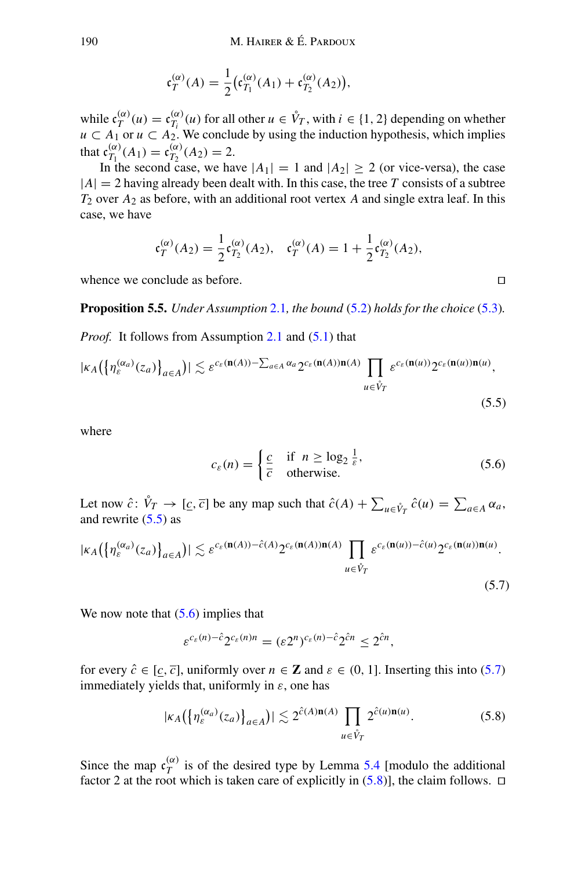$$
\mathfrak{c}_T^{(\alpha)}(A) = \frac{1}{2} \big( \mathfrak{c}_{T_1}^{(\alpha)}(A_1) + \mathfrak{c}_{T_2}^{(\alpha)}(A_2) \big),
$$

while  $c_T^{(\alpha)}(u) = c_{T_i}^{(\alpha)}(u)$  for all other  $u \in V_T$ , with  $i \in \{1, 2\}$  depending on whether *u* ⊂ *A*<sub>1</sub> or *u* ⊂ *A*<sub>2</sub>. We conclude by using the induction hypothesis, which implies that  $c_{T_1}^{(\alpha)}(A_1) = c_{T_2}^{(\alpha)}(A_2) = 2.$ 

In the second case, we have  $|A_1| = 1$  and  $|A_2| \ge 2$  (or vice-versa), the case  $|A| = 2$  having already been dealt with. In this case, the tree *T* consists of a subtree *T*<sup>2</sup> over *A*<sup>2</sup> as before, with an additional root vertex *A* and single extra leaf. In this case, we have

$$
\mathfrak{c}_T^{(\alpha)}(A_2) = \frac{1}{2} \mathfrak{c}_{T_2}^{(\alpha)}(A_2), \quad \mathfrak{c}_T^{(\alpha)}(A) = 1 + \frac{1}{2} \mathfrak{c}_{T_2}^{(\alpha)}(A_2),
$$

<span id="page-39-0"></span>whence we conclude as before.

**Proposition 5.5.** *Under Assumption* [2.1](#page-7-0)*, the bound* [\(5.2\)](#page-38-2) *holds for the choice* [\(5.3\)](#page-38-0)*.*

*Proof.* It follows from Assumption [2.1](#page-7-0) and [\(5.1\)](#page-37-3) that

<span id="page-39-2"></span>
$$
|\kappa_A(\{\eta_{\varepsilon}^{(\alpha_a)}(z_a)\}_{{a\in A}})| \lesssim \varepsilon^{c_{\varepsilon}(\mathbf{n}(A))-\sum_{a\in A}\alpha_a} 2^{c_{\varepsilon}(\mathbf{n}(A))\mathbf{n}(A)} \prod_{u\in \mathring{V}_T} \varepsilon^{c_{\varepsilon}(\mathbf{n}(u))} 2^{c_{\varepsilon}(\mathbf{n}(u))\mathbf{n}(u)},
$$
\n(5.5)

where

<span id="page-39-3"></span>
$$
c_{\varepsilon}(n) = \begin{cases} \frac{c}{\bar{c}} & \text{if } n \ge \log_2 \frac{1}{\varepsilon}, \\ 0 & \text{otherwise.} \end{cases}
$$
 (5.6)

Let now  $\hat{c}$ :  $\hat{V}_T \rightarrow [c, \bar{c}]$  be any map such that  $\hat{c}(A) + \sum_{u \in \hat{V}_T} \hat{c}(u) = \sum_{a \in A} \alpha_a$ , and rewrite  $(5.5)$  as

<span id="page-39-4"></span>
$$
|\kappa_A(\{\eta_{\varepsilon}^{(\alpha_a)}(z_a)\}_{a\in A})| \lesssim \varepsilon^{c_{\varepsilon}(\mathbf{n}(A))-\hat{c}(A)} 2^{c_{\varepsilon}(\mathbf{n}(A))\mathbf{n}(A)} \prod_{u\in \mathring{V}_T} \varepsilon^{c_{\varepsilon}(\mathbf{n}(u))-\hat{c}(u)} 2^{c_{\varepsilon}(\mathbf{n}(u))\mathbf{n}(u)}.
$$
\n(5.7)

We now note that  $(5.6)$  implies that

$$
\varepsilon^{c_{\varepsilon}(n)-\hat{c}} 2^{c_{\varepsilon}(n)n} = (\varepsilon 2^n)^{c_{\varepsilon}(n)-\hat{c}} 2^{\hat{c}n} \leq 2^{\hat{c}n},
$$

for every  $\hat{c} \in [c, \overline{c}]$ , uniformly over  $n \in \mathbb{Z}$  and  $\varepsilon \in (0, 1]$ . Inserting this into [\(5.7\)](#page-39-4) immediately yields that, uniformly in  $\varepsilon$ , one has

<span id="page-39-5"></span>
$$
|\kappa_A(\{\eta_{\varepsilon}^{(\alpha_a)}(z_a)\}_{{a\in A}})| \lesssim 2^{\hat{c}(A)\mathbf{n}(A)} \prod_{u \in \hat{V}_T} 2^{\hat{c}(u)\mathbf{n}(u)}.
$$
 (5.8)

<span id="page-39-1"></span>Since the map  $c_T^{(\alpha)}$  is of the desired type by Lemma [5.4](#page-38-3) [modulo the additional factor 2 at the root which is taken care of explicitly in  $(5.8)$ , the claim follows.  $\Box$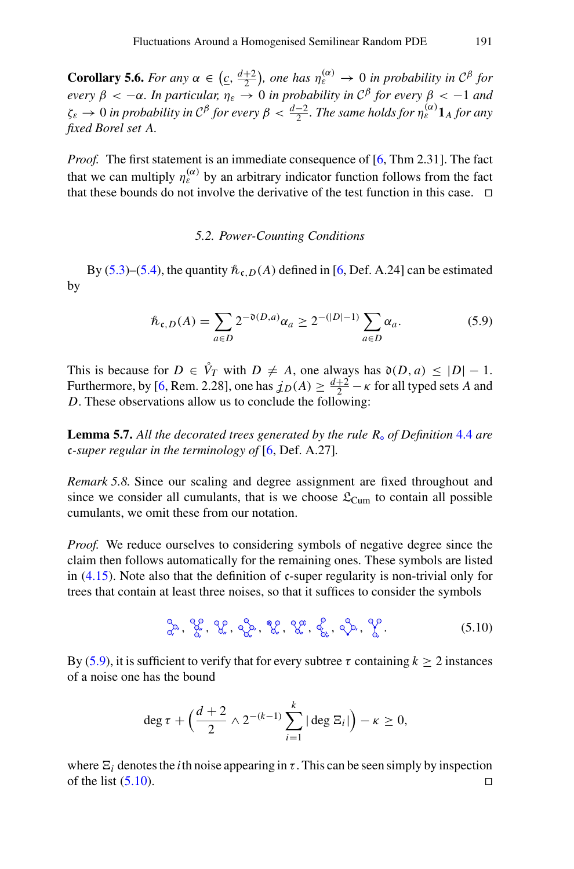**Corollary 5.6.** *For any*  $\alpha \in \left( \underline{c}, \frac{d+2}{2} \right)$ , *one has*  $\eta_{\varepsilon}^{(\alpha)} \to 0$  *in probability in*  $C^{\beta}$  *for every*  $β < −α$ *. In particular,*  $η<sub>ε</sub> → 0$  *in probability in*  $C<sup>β</sup>$  *for every*  $β < −1$  *and*  $\zeta_{\varepsilon} \to 0$  *in probability in*  $C^{\beta}$  *for every*  $\beta < \frac{d-2}{2}$ *. The same holds for*  $\eta_{\varepsilon}^{(\alpha)}$ **1**<sub>*A*</sub> *for any fixed Borel set A.*

*Proof.* The first statement is an immediate consequence of [\[6,](#page-65-13) Thm 2.31]. The fact that we can multiply  $\eta_{\varepsilon}^{(\alpha)}$  by an arbitrary indicator function follows from the fact that these bounds do not involve the derivative of the test function in this case.  $\Box$ 

#### *5.2. Power-Counting Conditions*

<span id="page-40-0"></span>By [\(5.3\)](#page-38-0)–[\(5.4\)](#page-38-1), the quantity  $h_{c,D}(A)$  defined in [\[6](#page-65-13), Def. A.24] can be estimated by

<span id="page-40-1"></span>
$$
\hbar_{\mathfrak{c},D}(A) = \sum_{a \in D} 2^{-\mathfrak{d}(D,a)} \alpha_a \ge 2^{-(|D|-1)} \sum_{a \in D} \alpha_a.
$$
 (5.9)

This is because for  $D \in V_T$  with  $D \neq A$ , one always has  $\mathfrak{d}(D, a) \leq |D| - 1$ . Furthermore, by [\[6](#page-65-13), Rem. 2.28], one has  $j_D(A) \geq \frac{d+2}{2} - \kappa$  for all typed sets *A* and *D*. These observations allow us to conclude the following:

**Lemma 5.7.** *All the decorated trees generated by the rule R of Definition* [4.4](#page-20-2) *are* c*-super regular in the terminology of* [\[6](#page-65-13), Def. A.27]*.*

*Remark 5.8.* Since our scaling and degree assignment are fixed throughout and since we consider all cumulants, that is we choose  $\mathcal{L}_{\text{Cum}}$  to contain all possible cumulants, we omit these from our notation.

*Proof.* We reduce ourselves to considering symbols of negative degree since the claim then follows automatically for the remaining ones. These symbols are listed in  $(4.15)$ . Note also that the definition of c-super regularity is non-trivial only for trees that contain at least three noises, so that it suffices to consider the symbols

<span id="page-40-2"></span>
$$
\mathfrak{F}, \mathcal{C}, \mathcal{C}, \mathcal{C}, \mathcal{C}, \mathcal{C}, \mathcal{C}, \mathcal{C}, \mathcal{C}, \mathcal{C}, \mathcal{C}, \mathcal{C}, \mathcal{C} \tag{5.10}
$$

By [\(5.9\)](#page-40-1), it is sufficient to verify that for every subtree  $\tau$  containing  $k \geq 2$  instances of a noise one has the bound

$$
\deg \tau + \left(\frac{d+2}{2} \wedge 2^{-(k-1)} \sum_{i=1}^k |\deg \Xi_i|\right) - \kappa \ge 0,
$$

where  $\Xi_i$  denotes the *i*th noise appearing in  $\tau$ . This can be seen simply by inspection of the list  $(5.10)$ .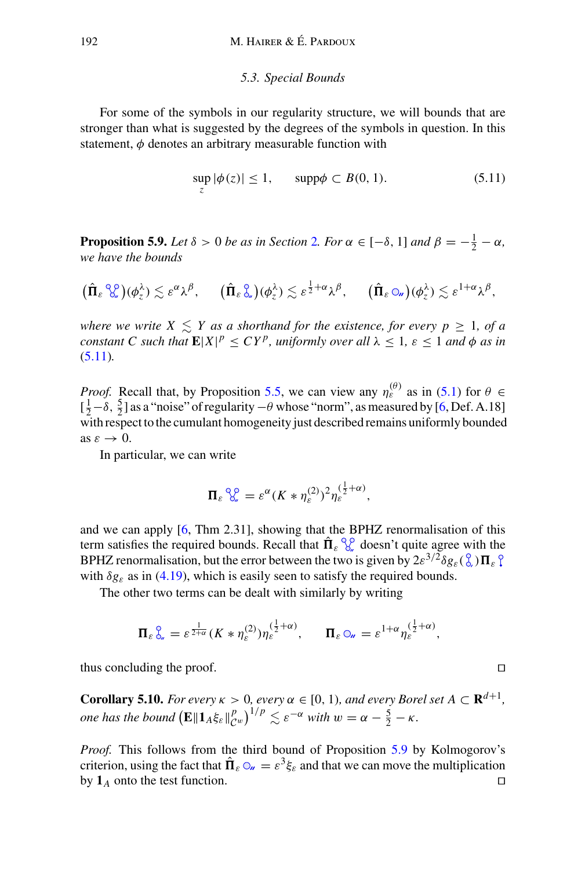## *5.3. Special Bounds*

<span id="page-41-0"></span>For some of the symbols in our regularity structure, we will bounds that are stronger than what is suggested by the degrees of the symbols in question. In this statement,  $\phi$  denotes an arbitrary measurable function with

<span id="page-41-3"></span>
$$
\sup_{z} |\phi(z)| \le 1, \qquad \text{supp}\phi \subset B(0, 1). \tag{5.11}
$$

<span id="page-41-1"></span>**Proposition 5.9.** *Let*  $\delta > 0$  *be as in Section [2](#page-6-0). For*  $\alpha \in [-\delta, 1]$  *and*  $\beta = -\frac{1}{2} - \alpha$ *, we have the bounds*

$$
\left(\hat{\Pi}_{\varepsilon} \, {}^{\circlearrowleft\!}_{\circlearrowleft}\right)(\phi_{\tilde{z}}^{\lambda}) \lesssim \varepsilon^{\alpha} \lambda^{\beta}, \qquad \left(\hat{\Pi}_{\varepsilon} \, {}^{\circlearrowright\!}_{\circlearrowleft})(\phi_{\tilde{z}}^{\lambda}) \lesssim \varepsilon^{\frac{1}{2} + \alpha} \lambda^{\beta}, \qquad \left(\hat{\Pi}_{\varepsilon} \, {}^{\circlearrowright\!}_{\circlearrowleft})(\phi_{\tilde{z}}^{\lambda}) \lesssim \varepsilon^{1 + \alpha} \lambda^{\beta},
$$

*where we write*  $X \leq Y$  as a shorthand for the existence, for every  $p \geq 1$ , of a *constant C such that*  $\mathbf{E}|X|^p \leq C Y^p$ , *uniformly over all*  $\lambda \leq 1$ ,  $\varepsilon \leq 1$  *and*  $\phi$  *as in* [\(5.11\)](#page-41-3)*.*

*Proof.* Recall that, by Proposition [5.5,](#page-39-0) we can view any  $\eta_{\varepsilon}^{(\theta)}$  as in [\(5.1\)](#page-37-3) for  $\theta \in$  $\left[\frac{1}{2}-\delta, \frac{5}{2}\right]$  as a "noise" of regularity  $-\theta$  whose "norm", as measured by [\[6](#page-65-13), Def. A.18] with respect to the cumulant homogeneity just described remains uniformly bounded as  $\varepsilon \to 0$ .

In particular, we can write

$$
\Pi_{\varepsilon} \, \mathcal{C}_{\varepsilon}^{\circ} = \varepsilon^{\alpha} (K \ast \eta_{\varepsilon}^{(2)})^2 \eta_{\varepsilon}^{(\frac{1}{2} + \alpha)},
$$

and we can apply [\[6,](#page-65-13) Thm 2.31], showing that the BPHZ renormalisation of this term satisfies the required bounds. Recall that  $\Pi_{\varepsilon} \mathcal{L}_{\varepsilon}$  doesn't quite agree with the BPHZ renormalisation, but the error between the two is given by  $2\varepsilon^{3/2}\delta g_{\varepsilon}(\theta) \prod_{\varepsilon}$ with  $\delta g_{\varepsilon}$  as in [\(4.19\)](#page-24-0), which is easily seen to satisfy the required bounds.

The other two terms can be dealt with similarly by writing

$$
\Pi_{\varepsilon} \, \delta_{\omega}^{\circ} = \varepsilon^{\frac{1}{2+\alpha}} (K \ast \eta_{\varepsilon}^{(2)}) \eta_{\varepsilon}^{(\frac{1}{2}+\alpha)}, \qquad \Pi_{\varepsilon} \, \circ_{\alpha} \, = \varepsilon^{1+\alpha} \eta_{\varepsilon}^{(\frac{1}{2}+\alpha)},
$$

thus concluding the proof.

<span id="page-41-2"></span>**Corollary 5.10.** *For every*  $\kappa > 0$ *, every*  $\alpha \in [0, 1)$ *, and every Borel set*  $A \subset \mathbf{R}^{d+1}$ *, one has the bound*  $\left(\mathbf{E} \Vert \mathbf{1}_A \xi_{\varepsilon} \Vert_{C^w}^p \right)^{1/p} \lesssim \varepsilon^{-\alpha}$  with  $w = \alpha - \frac{5}{2} - \kappa$ .

*Proof.* This follows from the third bound of Proposition [5.9](#page-41-1) by Kolmogorov's criterion, using the fact that  $\hat{\Pi}_{\varepsilon} \circ \mathcal{L}_{\varepsilon} = \varepsilon^3 \xi_{\varepsilon}$  and that we can move the multiplication by  $\mathbf{1}_A$  onto the test function.

$$
\Box
$$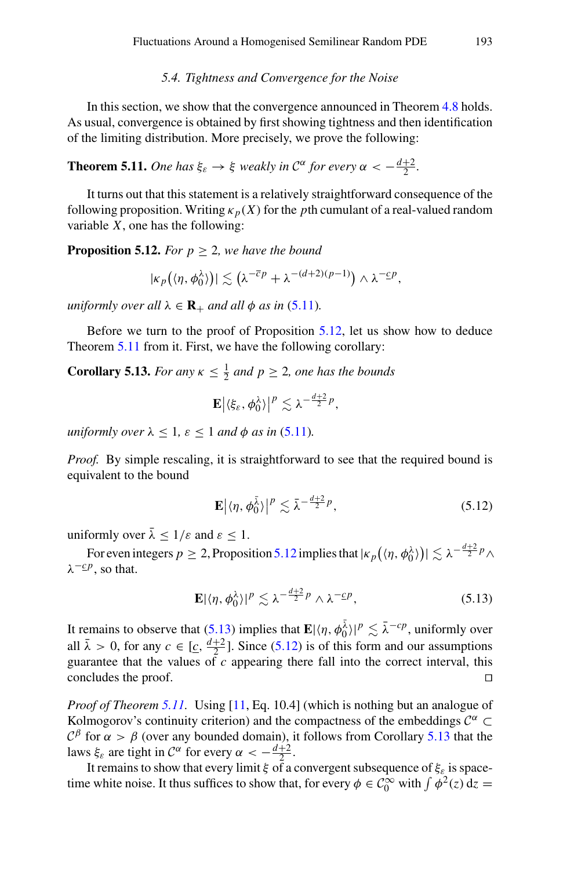## *5.4. Tightness and Convergence for the Noise*

<span id="page-42-0"></span>In this section, we show that the convergence announced in Theorem [4.8](#page-26-0) holds. As usual, convergence is obtained by first showing tightness and then identification of the limiting distribution. More precisely, we prove the following:

<span id="page-42-2"></span>**Theorem 5.11.** *One has*  $\xi_{\varepsilon} \to \xi$  *weakly in*  $C^{\alpha}$  *for every*  $\alpha < -\frac{d+2}{2}$ *.* 

It turns out that this statement is a relatively straightforward consequence of the following proposition. Writing  $\kappa_p(X)$  for the *p*th cumulant of a real-valued random variable *X*, one has the following:

**Proposition 5.12.** *For*  $p > 2$ *, we have the bound* 

<span id="page-42-3"></span>
$$
|\kappa_p(\langle \eta, \phi_0^{\lambda}\rangle)| \lesssim (\lambda^{-\overline{c}p} + \lambda^{-(d+2)(p-1)}) \wedge \lambda^{-\underline{c}p},
$$

*uniformly over all*  $\lambda \in \mathbf{R}_+$  *and all*  $\phi$  *as in* [\(5.11\)](#page-41-3)*.* 

Before we turn to the proof of Proposition [5.12,](#page-42-3) let us show how to deduce Theorem [5.11](#page-42-2) from it. First, we have the following corollary:

**Corollary 5.13.** *For any*  $\kappa \leq \frac{1}{2}$  *and*  $p \geq 2$ *, one has the bounds* 

<span id="page-42-1"></span>
$$
\mathbf{E}\big|\langle \xi_{\varepsilon}, \phi_0^{\lambda}\rangle\big|^p \lesssim \lambda^{-\frac{d+2}{2}p},
$$

*uniformly over*  $\lambda \leq 1$ ,  $\varepsilon \leq 1$  *and*  $\phi$  *as in* [\(5.11\)](#page-41-3).

*Proof.* By simple rescaling, it is straightforward to see that the required bound is equivalent to the bound

<span id="page-42-5"></span>
$$
\mathbf{E} \left| \langle \eta, \phi_0^{\bar{\lambda}} \rangle \right|^p \lesssim \bar{\lambda}^{-\frac{d+2}{2}p},\tag{5.12}
$$

uniformly over  $\bar{\lambda} \leq 1/\varepsilon$  and  $\varepsilon \leq 1$ .

For even integers  $p \ge 2$ , Proposition [5.12](#page-42-3) implies that  $|\kappa_p(\langle \eta, \phi_0^\lambda \rangle)| \lesssim \lambda^{-\frac{d+2}{2}p} \wedge$  $λ^{-\underline{c}p}$ , so that.

<span id="page-42-4"></span>
$$
\mathbf{E}|\langle\eta,\phi_0^{\lambda}\rangle|^p \lesssim \lambda^{-\frac{d+2}{2}p} \wedge \lambda^{-\underline{c}p},\tag{5.13}
$$

It remains to observe that [\(5.13\)](#page-42-4) implies that  $\mathbf{E}|\langle \eta, \phi_0^{\lambda} \rangle|^p \lesssim \bar{\lambda}^{-cp}$ , uniformly over all  $\bar{\lambda} > 0$ , for any  $c \in [\underline{c}, \frac{d+2}{2}]$ . Since [\(5.12\)](#page-42-5) is of this form and our assumptions guarantee that the values of  $c$  appearing there fall into the correct interval, this concludes the proof.

*Proof of Theorem [5.11.](#page-42-2)* Using [\[11](#page-65-8), Eq. 10.4] (which is nothing but an analogue of Kolmogorov's continuity criterion) and the compactness of the embeddings  $\mathcal{C}^{\alpha} \subset$  $C^{\beta}$  for  $\alpha > \beta$  (over any bounded domain), it follows from Corollary [5.13](#page-42-1) that the laws  $\xi_{\varepsilon}$  are tight in  $C^{\alpha}$  for every  $\alpha < -\frac{d+2}{2}$ .

It remains to show that every limit  $\xi$  of a convergent subsequence of  $\xi_{\varepsilon}$  is spacetime white noise. It thus suffices to show that, for every  $\phi \in C_0^{\infty}$  with  $\int \phi^2(z) dz =$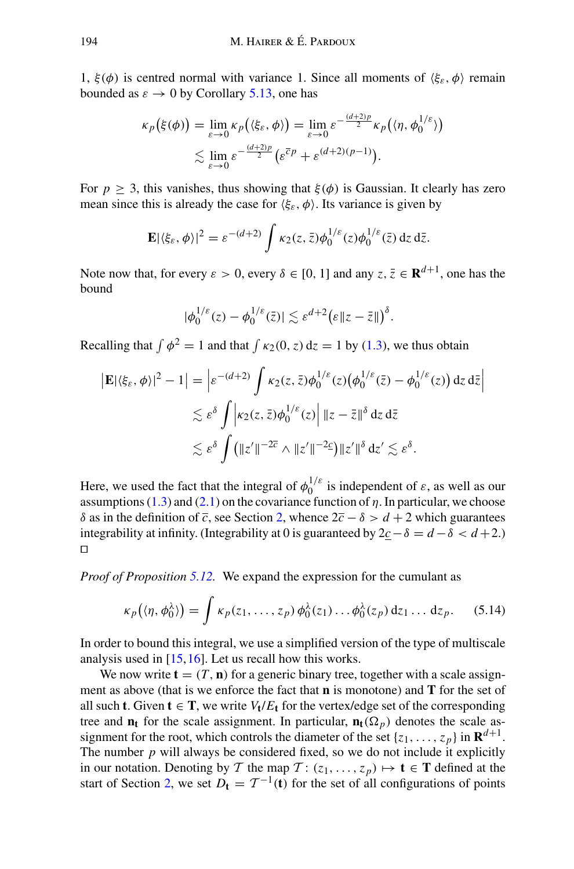1,  $\xi(\phi)$  is centred normal with variance 1. Since all moments of  $\langle \xi_{\varepsilon}, \phi \rangle$  remain bounded as  $\varepsilon \to 0$  by Corollary [5.13,](#page-42-1) one has

$$
\kappa_p(\xi(\phi)) = \lim_{\varepsilon \to 0} \kappa_p(\langle \xi_{\varepsilon}, \phi \rangle) = \lim_{\varepsilon \to 0} \varepsilon^{-\frac{(d+2)p}{2}} \kappa_p(\langle \eta, \phi_0^{1/\varepsilon} \rangle)
$$
  

$$
\lesssim \lim_{\varepsilon \to 0} \varepsilon^{-\frac{(d+2)p}{2}} (\varepsilon^{\overline{c}p} + \varepsilon^{(d+2)(p-1)}).
$$

For  $p \geq 3$ , this vanishes, thus showing that  $\xi(\phi)$  is Gaussian. It clearly has zero mean since this is already the case for  $\langle \xi_{\varepsilon}, \phi \rangle$ . Its variance is given by

$$
\mathbf{E}|\langle \xi_{\varepsilon}, \phi \rangle|^2 = \varepsilon^{-(d+2)} \int \kappa_2(z, \bar{z}) \phi_0^{1/\varepsilon}(z) \phi_0^{1/\varepsilon}(\bar{z}) dz d\bar{z}.
$$

Note now that, for every  $\varepsilon > 0$ , every  $\delta \in [0, 1]$  and any  $z, \overline{z} \in \mathbb{R}^{d+1}$ , one has the bound

$$
|\phi_0^{1/\varepsilon}(z)-\phi_0^{1/\varepsilon}(\bar{z})|\lesssim \varepsilon^{d+2}(\varepsilon\|z-\bar{z}\|)^{\delta}.
$$

Recalling that  $\int \phi^2 = 1$  and that  $\int \kappa_2(0, z) dz = 1$  by [\(1.3\)](#page-2-4), we thus obtain

$$
\begin{aligned} \left| \mathbf{E} | \langle \xi_{\varepsilon}, \phi \rangle |^2 - 1 \right| &= \left| \varepsilon^{-(d+2)} \int \kappa_2(z, \bar{z}) \phi_0^{1/\varepsilon}(z) \big( \phi_0^{1/\varepsilon}(\bar{z}) - \phi_0^{1/\varepsilon}(z) \big) \, \mathrm{d}z \, \mathrm{d}\bar{z} \right| \\ &\lesssim \varepsilon^{\delta} \int \left| \kappa_2(z, \bar{z}) \phi_0^{1/\varepsilon}(z) \right| \, \|z - \bar{z}\|^{\delta} \, \mathrm{d}z \, \mathrm{d}\bar{z} \\ &\lesssim \varepsilon^{\delta} \int \left( \|z'\|^{-2\bar{c}} \wedge \|z'\|^{-2\underline{c}} \right) \|z'\|^{\delta} \, \mathrm{d}z' \lesssim \varepsilon^{\delta} . \end{aligned}
$$

Here, we used the fact that the integral of  $\phi_0^{1/\varepsilon}$  is independent of  $\varepsilon$ , as well as our assumptions [\(1.3\)](#page-2-4) and [\(2.1\)](#page-7-1) on the covariance function of  $\eta$ . In particular, we choose δ as in the definition of  $\bar{c}$ , see Section [2,](#page-6-0) whence  $2\bar{c}$  − δ >  $d$  + 2 which guarantees integrability at infinity. (Integrability at 0 is guaranteed by  $2c - \delta = d - \delta < d + 2$ .)  $\Box$ 

*Proof of Proposition [5.12.](#page-42-3)* We expand the expression for the cumulant as

<span id="page-43-0"></span>
$$
\kappa_p(\langle \eta, \phi_0^{\lambda} \rangle) = \int \kappa_p(z_1, \dots, z_p) \, \phi_0^{\lambda}(z_1) \dots \phi_0^{\lambda}(z_p) \, dz_1 \dots dz_p. \tag{5.14}
$$

In order to bound this integral, we use a simplified version of the type of multiscale analysis used in [\[15](#page-65-5),[16\]](#page-65-16). Let us recall how this works.

We now write  $\mathbf{t} = (T, \mathbf{n})$  for a generic binary tree, together with a scale assignment as above (that is we enforce the fact that **n** is monotone) and **T** for the set of all such **t**. Given  $t \in T$ , we write  $V_t/E_t$  for the vertex/edge set of the corresponding tree and  $\mathbf{n}_t$  for the scale assignment. In particular,  $\mathbf{n}_t(\Omega_p)$  denotes the scale assignment for the root, which controls the diameter of the set  $\{z_1, \ldots, z_p\}$  in  $\mathbf{R}^{d+1}$ . The number  $p$  will always be considered fixed, so we do not include it explicitly in our notation. Denoting by *T* the map *T* :  $(z_1, \ldots, z_p) \mapsto \mathbf{t} \in \mathbf{T}$  defined at the start of Section [2,](#page-6-0) we set  $D_t = T^{-1}(t)$  for the set of all configurations of points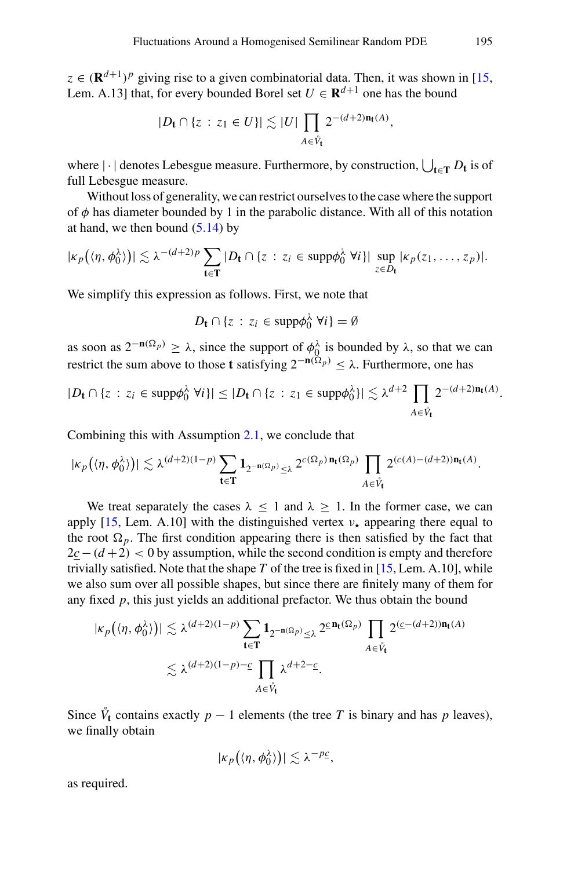$z \in (\mathbf{R}^{d+1})^p$  giving rise to a given combinatorial data. Then, it was shown in [\[15,](#page-65-5) Lem. A.13] that, for every bounded Borel set  $U \in \mathbf{R}^{d+1}$  one has the bound

$$
|D_{\mathbf{t}} \cap \{z \,:\, z_1 \in U\}| \lesssim |U| \prod_{A \in \mathring{V}_{\mathbf{t}}} 2^{-(d+2)\mathbf{n}_{\mathbf{t}}(A)},
$$

where |·| denotes Lebesgue measure. Furthermore, by construction, **<sup>t</sup>**∈**<sup>T</sup>** *<sup>D</sup>***<sup>t</sup>** is of full Lebesgue measure.

Without loss of generality, we can restrict ourselves to the case where the support of  $\phi$  has diameter bounded by 1 in the parabolic distance. With all of this notation at hand, we then bound  $(5.14)$  by

$$
|\kappa_p(\langle \eta, \phi_0^{\lambda} \rangle)| \lesssim \lambda^{-(d+2)p} \sum_{\mathbf{t} \in \mathbf{T}} |D_{\mathbf{t}} \cap \{z : z_i \in \text{supp}\phi_0^{\lambda} \ \forall i\}| \sup_{z \in D_{\mathbf{t}}} |\kappa_p(z_1, \dots, z_p)|.
$$

We simplify this expression as follows. First, we note that

$$
D_{\mathbf{t}} \cap \{z \,:\, z_i \in \mathrm{supp}\phi_0^{\lambda} \,\forall i\} = \emptyset
$$

as soon as  $2^{-n(\Omega_p)} \ge \lambda$ , since the support of  $\phi_0^{\lambda}$  is bounded by  $\lambda$ , so that we can restrict the sum above to those **t** satisfying  $2^{-n(\Omega_p)} < \lambda$ . Furthermore, one has

$$
|D_{\mathbf{t}} \cap \{z \,:\, z_i \in \mathrm{supp}\phi_0^{\lambda} \,\forall i\}| \leq |D_{\mathbf{t}} \cap \{z \,:\, z_1 \in \mathrm{supp}\phi_0^{\lambda}\}| \lesssim \lambda^{d+2} \prod_{A \in \mathring{V}_{\mathbf{t}}} 2^{-(d+2)\mathbf{n}_{\mathbf{t}}(A)}.
$$

Combining this with Assumption [2.1,](#page-7-0) we conclude that

$$
|\kappa_p\big(\langle \eta, \phi_0^\lambda \rangle\big)| \lesssim \lambda^{(d+2)(1-p)} \sum_{{\mathbf{t}} \in {\mathbf{T}}} {\mathbf{1}}_{{2^{-{\mathbf{n}}} (\Omega_p)} \leq \lambda} \, 2^{c(\Omega_p) \, {\mathbf{n}}_{{\mathbf{t}}} (\Omega_p)} \, \prod_{A \in \mathring{V}_{{\mathbf{t}}}} 2^{(c(A)-(d+2)) {\mathbf{n}}_{{\mathbf{t}}} (A)}.
$$

We treat separately the cases  $\lambda \leq 1$  and  $\lambda \geq 1$ . In the former case, we can apply [\[15](#page-65-5), Lem. A.10] with the distinguished vertex  $v_{\star}$  appearing there equal to the root  $\Omega_n$ . The first condition appearing there is then satisfied by the fact that  $2c-(d+2) < 0$  by assumption, while the second condition is empty and therefore trivially satisfied. Note that the shape *T* of the tree is fixed in [\[15](#page-65-5), Lem. A.10], while we also sum over all possible shapes, but since there are finitely many of them for any fixed *p*, this just yields an additional prefactor. We thus obtain the bound

$$
|\kappa_p(\langle \eta, \phi_0^{\lambda} \rangle)| \lesssim \lambda^{(d+2)(1-p)} \sum_{\mathbf{t} \in \mathbf{T}} \mathbf{1}_{2^{-\mathbf{n}(\Omega_p)} \leq \lambda} 2^{\underline{c} \cdot \mathbf{n}_{\mathbf{t}}(\Omega_p)} \prod_{A \in \mathring{V}_{\mathbf{t}}} 2^{(\underline{c} - (d+2))\mathbf{n}_{\mathbf{t}}(A)}
$$

$$
\lesssim \lambda^{(d+2)(1-p) - \underline{c}} \prod_{A \in \mathring{V}_{\mathbf{t}}} \lambda^{d+2-\underline{c}}.
$$

Since  $\hat{V}_t$  contains exactly  $p-1$  elements (the tree T is binary and has p leaves), we finally obtain

$$
|\kappa_p(\langle \eta, \phi_0^\lambda \rangle)| \lesssim \lambda^{-p\underline{c}},
$$

as required.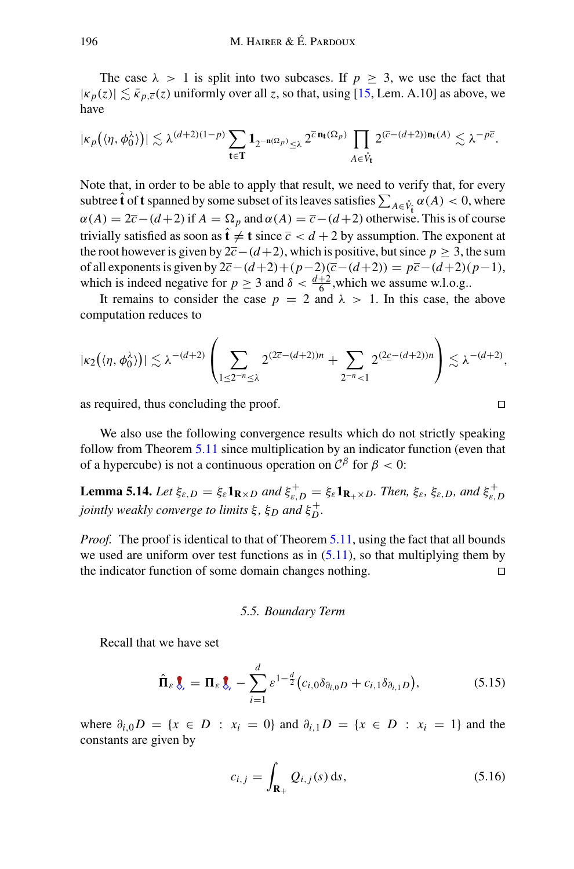The case  $\lambda > 1$  is split into two subcases. If  $p \geq 3$ , we use the fact that  $|\kappa_p(z)| \lesssim \bar{\kappa}_{p,\bar{c}}(z)$  uniformly over all *z*, so that, using [\[15](#page-65-5), Lem. A.10] as above, we have

$$
|\kappa_p(\langle \eta, \phi_0^{\lambda} \rangle)| \lesssim \lambda^{(d+2)(1-p)} \sum_{\mathbf{t} \in \mathbf{T}} \mathbf{1}_{2^{-\mathbf{n}(\Omega_p)} \leq \lambda} 2^{\overline{c} \mathbf{n}_{\mathbf{t}}(\Omega_p)} \prod_{A \in \mathring{V}_{\mathbf{t}}} 2^{(\overline{c} - (d+2))\mathbf{n}_{\mathbf{t}}(A)} \lesssim \lambda^{-p\overline{c}}.
$$

Note that, in order to be able to apply that result, we need to verify that, for every subtree **t** of **t** spanned by some subset of its leaves satisfies  $\sum_{A \in V_t} \alpha(A) < 0$ , where  $\alpha(A) = 2\overline{c} - (d+2)$  if  $A = \Omega_p$  and  $\alpha(A) = \overline{c} - (d+2)$  otherwise. This is of course trivially satisfied as soon as  $\hat{\mathbf{t}} \neq \mathbf{t}$  since  $\bar{c} < d + 2$  by assumption. The exponent at the root however is given by  $2\bar{c}$  − (*d*+2), which is positive, but since  $p \ge 3$ , the sum of all exponents is given by 2*c*−(*d*+2)+(*p*−2)(*c*−(*d*+2)) = *pc*−(*d*+2)(*p*−1), which is indeed negative for  $p \ge 3$  and  $\delta < \frac{d+2}{6}$ , which we assume w.l.o.g..

It remains to consider the case  $p = 2$  and  $\lambda > 1$ . In this case, the above computation reduces to

$$
|\kappa_2(\langle \eta, \phi_0^\lambda \rangle)| \lesssim \lambda^{-(d+2)} \left( \sum_{1 \leq 2^{-n} \leq \lambda} 2^{(2\overline{c} - (d+2))n} + \sum_{2^{-n} < 1} 2^{(2\underline{c} - (d+2))n} \right) \lesssim \lambda^{-(d+2)},
$$

as required, thus concluding the proof.

We also use the following convergence results which do not strictly speaking follow from Theorem [5.11](#page-42-2) since multiplication by an indicator function (even that of a hypercube) is not a continuous operation on  $C^{\beta}$  for  $\beta < 0$ :

**Lemma 5.14.** Let  $\xi_{\varepsilon,D} = \xi_{\varepsilon} \mathbf{1}_{\mathbf{R} \times D}$  and  $\xi_{\varepsilon,D}^+ = \xi_{\varepsilon} \mathbf{1}_{\mathbf{R}_+ \times D}$ . Then,  $\xi_{\varepsilon}, \xi_{\varepsilon,D}$ , and  $\xi_{\varepsilon,D}^+$ *jointly weakly converge to limits*  $\xi$ ,  $\xi_D$  *and*  $\xi_D^+$ .

*Proof.* The proof is identical to that of Theorem [5.11,](#page-42-2) using the fact that all bounds we used are uniform over test functions as in  $(5.11)$ , so that multiplying them by the indicator function of some domain changes nothing.

## *5.5. Boundary Term*

<span id="page-45-0"></span>Recall that we have set

<span id="page-45-3"></span>
$$
\hat{\Pi}_{\varepsilon} \hat{\xi}_{\varepsilon} = \Pi_{\varepsilon} \hat{\xi}_{\varepsilon} - \sum_{i=1}^{d} \varepsilon^{1-\frac{d}{2}} \big( c_{i,0} \delta_{\partial_{i,0} D} + c_{i,1} \delta_{\partial_{i,1} D} \big), \tag{5.15}
$$

where  $\partial_{i,0}D = \{x \in D : x_i = 0\}$  and  $\partial_{i,1}D = \{x \in D : x_i = 1\}$  and the constants are given by

<span id="page-45-1"></span>
$$
c_{i,j} = \int_{\mathbf{R}_+} Q_{i,j}(s) \, \mathrm{d}s,\tag{5.16}
$$

<span id="page-45-2"></span>
$$
\Box
$$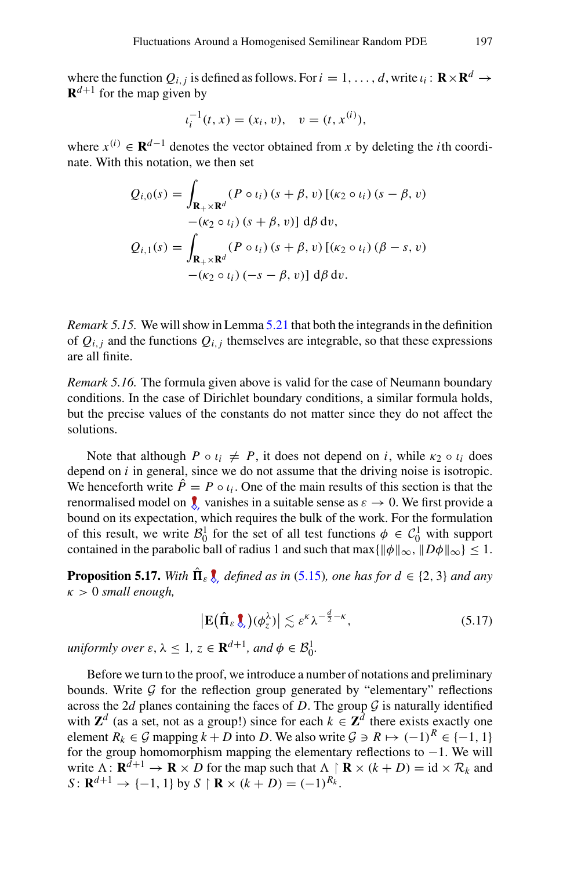where the function  $Q_{i,j}$  is defined as follows. For  $i = 1, ..., d$ , write  $\iota_i : \mathbf{R} \times \mathbf{R}^d \to$  $\mathbf{R}^{d+1}$  for the map given by

$$
u_i^{-1}(t, x) = (x_i, v), \quad v = (t, x^{(i)}),
$$

where  $x^{(i)} \in \mathbb{R}^{d-1}$  denotes the vector obtained from x by deleting the *i*th coordinate. With this notation, we then set

$$
Q_{i,0}(s) = \int_{\mathbf{R}_+ \times \mathbf{R}^d} (P \circ \iota_i) (s + \beta, v) [(\kappa_2 \circ \iota_i) (s - \beta, v)
$$

$$
-(\kappa_2 \circ \iota_i) (s + \beta, v)] d\beta dv,
$$

$$
Q_{i,1}(s) = \int_{\mathbf{R}_+ \times \mathbf{R}^d} (P \circ \iota_i) (s + \beta, v) [(\kappa_2 \circ \iota_i) (\beta - s, v)]
$$

$$
-(\kappa_2 \circ \iota_i) (-s - \beta, v)] d\beta dv.
$$

*Remark 5.15.* We will show in Lemma [5.21](#page-53-1) that both the integrands in the definition of  $Q_{i,j}$  and the functions  $Q_{i,j}$  themselves are integrable, so that these expressions are all finite.

*Remark 5.16.* The formula given above is valid for the case of Neumann boundary conditions. In the case of Dirichlet boundary conditions, a similar formula holds, but the precise values of the constants do not matter since they do not affect the solutions.

Note that although  $P \circ \iota_i \neq P$ , it does not depend on *i*, while  $\kappa_2 \circ \iota_i$  does depend on *i* in general, since we do not assume that the driving noise is isotropic. We henceforth write  $\hat{P} = P \circ \iota_i$ . One of the main results of this section is that the renormalised model on  $\ell$  vanishes in a suitable sense as  $\varepsilon \to 0$ . We first provide a bound on its expectation, which requires the bulk of the work. For the formulation of this result, we write  $\mathcal{B}_0^1$  for the set of all test functions  $\phi \in \mathcal{C}_0^1$  with support contained in the parabolic ball of radius 1 and such that  $\max\{\|\phi\|_{\infty}, \|D\phi\|_{\infty}\} \leq 1$ .

<span id="page-46-0"></span>**Proposition 5.17.** *With*  $\Pi_{\varepsilon}$   $\zeta$ *, defined as in* [\(5.15\)](#page-45-3)*, one has for*  $d \in \{2, 3\}$  *and any* κ > 0 *small enough,*

<span id="page-46-1"></span>
$$
\left| \mathbf{E} \left( \hat{\Pi}_{\varepsilon} \hat{\mathbf{X}}_{\varepsilon} \right) (\phi_{z}^{\lambda}) \right| \lesssim \varepsilon^{\kappa} \lambda^{-\frac{d}{2} - \kappa}, \tag{5.17}
$$

 $u$ *niformly over*  $\varepsilon$ ,  $\lambda \leq 1$ ,  $z \in \mathbf{R}^{d+1}$ , and  $\phi \in \mathcal{B}_0^1$ .

Before we turn to the proof, we introduce a number of notations and preliminary bounds. Write  $G$  for the reflection group generated by "elementary" reflections across the 2*d* planes containing the faces of *D*. The group  $G$  is naturally identified with  $\mathbf{Z}^d$  (as a set, not as a group!) since for each  $k \in \mathbf{Z}^d$  there exists exactly one element  $R_k \in \mathcal{G}$  mapping  $k + D$  into *D*. We also write  $\mathcal{G} \ni R \mapsto (-1)^R \in \{-1, 1\}$ for the group homomorphism mapping the elementary reflections to −1. We will write  $\Lambda: \mathbf{R}^{\tilde{d}+1} \to \mathbf{R} \times D$  for the map such that  $\Lambda \upharpoonright \mathbf{R} \times (k+D) = \mathrm{id} \times \mathcal{R}_k$  and  $S: \mathbf{R}^{d+1} \to \{-1, 1\}$  by  $S \upharpoonright \mathbf{R} \times (k+D) = (-1)^{R_k}$ .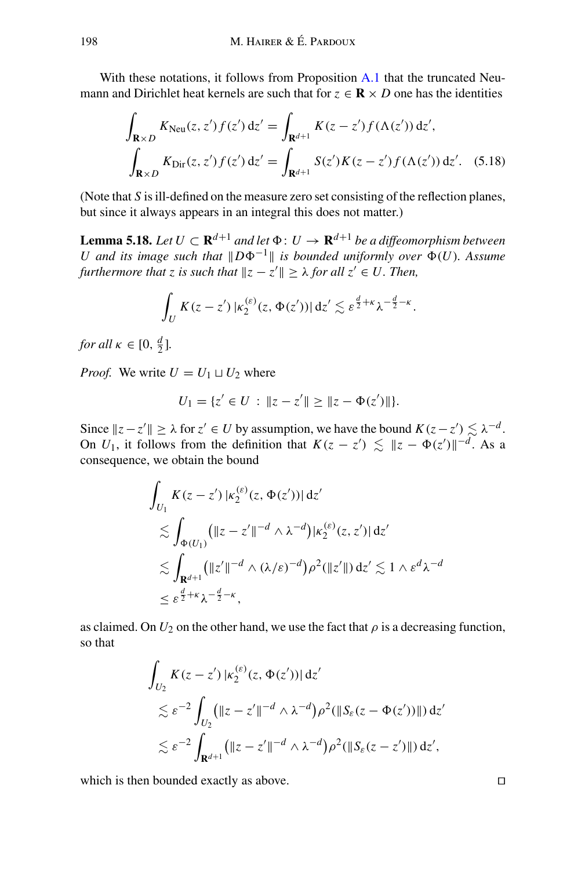With these notations, it follows from Proposition [A.1](#page-56-0) that the truncated Neumann and Dirichlet heat kernels are such that for  $z \in \mathbf{R} \times D$  one has the identities

<span id="page-47-0"></span>
$$
\int_{\mathbf{R}\times D} K_{\text{Neu}}(z, z') f(z') dz' = \int_{\mathbf{R}^{d+1}} K(z - z') f(\Lambda(z')) dz',
$$
\n
$$
\int_{\mathbf{R}\times D} K_{\text{Dir}}(z, z') f(z') dz' = \int_{\mathbf{R}^{d+1}} S(z') K(z - z') f(\Lambda(z')) dz'. \quad (5.18)
$$

<span id="page-47-1"></span>(Note that *S* is ill-defined on the measure zero set consisting of the reflection planes, but since it always appears in an integral this does not matter.)

**Lemma 5.18.** *Let*  $U \subset \mathbf{R}^{d+1}$  *and let*  $\Phi: U \to \mathbf{R}^{d+1}$  *be a diffeomorphism between U* and its image such that  $\Vert D\Phi^{-1} \Vert$  is bounded uniformly over  $\Phi(U)$ . Assume *furthermore that z is such that*  $\|z - z'\| \geq \lambda$  *for all*  $z' \in U$ *. Then,* 

$$
\int_U K(z-z')\,|\kappa_2^{(\varepsilon)}(z,\Phi(z'))|\,\mathrm{d} z'\lesssim \varepsilon^{\frac{d}{2}+\kappa}\lambda^{-\frac{d}{2}-\kappa}.
$$

*for all*  $\kappa \in [0, \frac{d}{2}]$ *.* 

*Proof.* We write  $U = U_1 \sqcup U_2$  where

$$
U_1 = \{ z' \in U : ||z - z'|| \ge ||z - \Phi(z')|| \}.
$$

Since  $||z - z'|| \ge \lambda$  for  $z' \in U$  by assumption, we have the bound  $K(z - z') \le \lambda^{-d}$ . On  $U_1$ , it follows from the definition that  $K(z - z') \lesssim ||z - \Phi(z')||^{-d}$ . As a consequence, we obtain the bound

$$
\int_{U_1} K(z - z') \left| \kappa_2^{(\varepsilon)}(z, \Phi(z')) \right| dz' \n\lesssim \int_{\Phi(U_1)} (\|z - z'\|^{-d} \wedge \lambda^{-d}) \left| \kappa_2^{(\varepsilon)}(z, z') \right| dz' \n\lesssim \int_{\mathbf{R}^{d+1}} (\|z'\|^{-d} \wedge (\lambda/\varepsilon)^{-d}) \rho^2(\|z'\|) dz' \lesssim 1 \wedge \varepsilon^d \lambda^{-d} \n\leq \varepsilon^{\frac{d}{2} + \kappa} \lambda^{-\frac{d}{2} - \kappa},
$$

as claimed. On  $U_2$  on the other hand, we use the fact that  $\rho$  is a decreasing function, so that

$$
\int_{U_2} K(z-z') \, |\kappa_2^{(\varepsilon)}(z,\Phi(z'))| \, dz' \n\lesssim \varepsilon^{-2} \int_{U_2} (\|z-z'\|^{-d} \wedge \lambda^{-d}) \rho^2(\|S_\varepsilon(z-\Phi(z'))\|) \, dz' \n\lesssim \varepsilon^{-2} \int_{\mathbf{R}^{d+1}} (\|z-z'\|^{-d} \wedge \lambda^{-d}) \rho^2(\|S_\varepsilon(z-z')\|) \, dz',
$$

<span id="page-47-2"></span>which is then bounded exactly as above.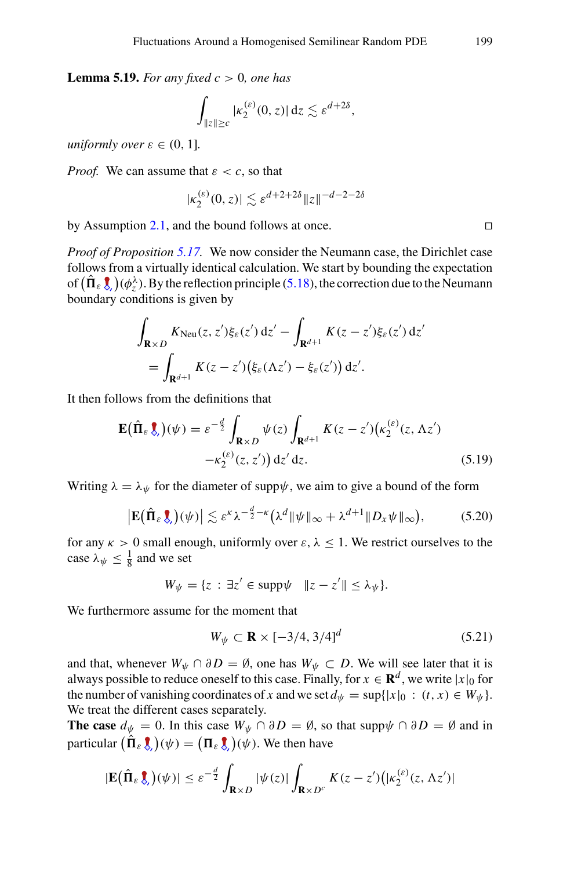**Lemma 5.19.** *For any fixed*  $c > 0$ *, one has* 

$$
\int_{\|z\| \geq c} |\kappa_2^{(\varepsilon)}(0, z)| \, \mathrm{d} z \lesssim \varepsilon^{d+2\delta},
$$

*uniformly over*  $\varepsilon \in (0, 1]$ *.* 

*Proof.* We can assume that  $\varepsilon < c$ , so that

$$
|\kappa_2^{(\varepsilon)}(0,z)| \lesssim \varepsilon^{d+2+2\delta} \|z\|^{-d-2-2\delta}
$$

by Assumption [2.1,](#page-7-0) and the bound follows at once.

*Proof of Proposition [5.17.](#page-46-0)* We now consider the Neumann case, the Dirichlet case follows from a virtually identical calculation. We start by bounding the expectation of  $(\hat{\Pi}_{\varepsilon}\hat{\bm{\xi}}_z)(\phi_z^{\lambda})$ . By the reflection principle [\(5.18\)](#page-47-0), the correction due to the Neumann boundary conditions is given by

$$
\int_{\mathbf{R}\times D} K_{\text{Neu}}(z, z') \xi_{\varepsilon}(z') \, dz' - \int_{\mathbf{R}^{d+1}} K(z - z') \xi_{\varepsilon}(z') \, dz'
$$
\n
$$
= \int_{\mathbf{R}^{d+1}} K(z - z') \big( \xi_{\varepsilon}(\Lambda z') - \xi_{\varepsilon}(z') \big) \, dz'.
$$

It then follows from the definitions that

<span id="page-48-1"></span>
$$
\mathbf{E}(\hat{\Pi}_{\varepsilon} \boldsymbol{\xi}_{\varepsilon})(\psi) = \varepsilon^{-\frac{d}{2}} \int_{\mathbf{R} \times D} \psi(z) \int_{\mathbf{R}^{d+1}} K(z - z') \big(\kappa_2^{(\varepsilon)}(z, \Lambda z')
$$

$$
-\kappa_2^{(\varepsilon)}(z, z')\big) dz' dz.
$$
(5.19)

Writing  $\lambda = \lambda_{\psi}$  for the diameter of supp $\psi$ , we aim to give a bound of the form

<span id="page-48-0"></span>
$$
\left| \mathbf{E}(\hat{\Pi}_{\varepsilon} \boldsymbol{\xi}_{\varepsilon})(\psi) \right| \lesssim \varepsilon^{\kappa} \lambda^{-\frac{d}{2} - \kappa} \big( \lambda^{d} \|\psi\|_{\infty} + \lambda^{d+1} \|D_{\varepsilon}\psi\|_{\infty} \big), \tag{5.20}
$$

for any  $\kappa > 0$  small enough, uniformly over  $\varepsilon, \lambda \leq 1$ . We restrict ourselves to the case  $\lambda_{\psi} \leq \frac{1}{8}$  and we set

$$
W_{\psi} = \{ z : \exists z' \in \text{supp}\psi \mid \|z - z'\| \le \lambda_{\psi} \}.
$$

We furthermore assume for the moment that

<span id="page-48-2"></span>
$$
W_{\psi} \subset \mathbf{R} \times [-3/4, 3/4]^d \tag{5.21}
$$

and that, whenever  $W_{\psi} \cap \partial D = \emptyset$ , one has  $W_{\psi} \subset D$ . We will see later that it is always possible to reduce oneself to this case. Finally, for  $x \in \mathbb{R}^d$ , we write  $|x|_0$  for the number of vanishing coordinates of *x* and we set  $d_{\psi} = \sup\{|x|_0 : (t, x) \in W_{\psi}\}.$ We treat the different cases separately.

**The case**  $d_{\psi} = 0$ . In this case  $W_{\psi} \cap \partial D = \emptyset$ , so that supp $\psi \cap \partial D = \emptyset$  and in particular  $(\Pi_{\varepsilon} \, \pmb{\xi}_{\varepsilon})(\psi) = (\Pi_{\varepsilon} \, \pmb{\xi}_{\varepsilon})(\psi)$ . We then have

$$
|\mathbf{E}(\hat{\Pi}_{\varepsilon}\boldsymbol{\xi}_{_{\varepsilon}})(\psi)| \leq \varepsilon^{-\frac{d}{2}} \int_{\mathbf{R}\times D} |\psi(z)| \int_{\mathbf{R}\times D^{c}} K(z-z') (|\kappa_{2}^{(\varepsilon)}(z,\Lambda z')|
$$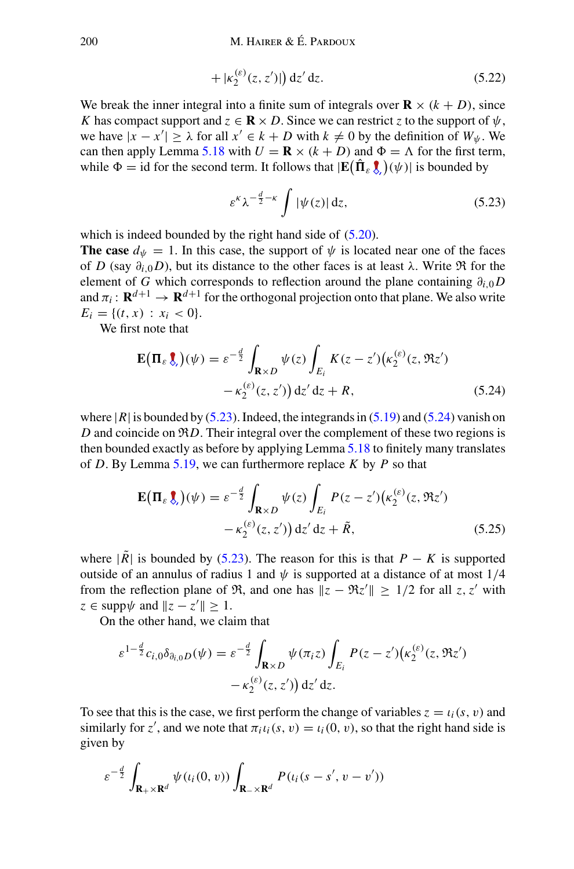$$
+ |\kappa_2^{(\varepsilon)}(z, z')| \, dz' \, dz. \tag{5.22}
$$

We break the inner integral into a finite sum of integrals over  $\mathbf{R} \times (k+D)$ , since *K* has compact support and  $z \in \mathbb{R} \times D$ . Since we can restrict *z* to the support of  $\psi$ , we have  $|x - x'| \ge \lambda$  for all  $x' \in k + D$  with  $k \ne 0$  by the definition of  $W_{\psi}$ . We can then apply Lemma [5.18](#page-47-1) with  $U = \mathbf{R} \times (k + D)$  and  $\Phi = \Lambda$  for the first term, while  $\Phi = \text{id}$  for the second term. It follows that  $|\mathbf{E}(\Pi_{\varepsilon} \bm{\xi})(\psi)|$  is bounded by

<span id="page-49-0"></span>
$$
\varepsilon^{\kappa} \lambda^{-\frac{d}{2} - \kappa} \int |\psi(z)| \, \mathrm{d} z,\tag{5.23}
$$

which is indeed bounded by the right hand side of  $(5.20)$ .

**The case**  $d_{\psi} = 1$ . In this case, the support of  $\psi$  is located near one of the faces of *D* (say  $\partial_{i,0}D$ ), but its distance to the other faces is at least  $\lambda$ . Write  $\Re$  for the element of *G* which corresponds to reflection around the plane containing  $\partial_{i,0}D$ and  $\pi_i$ :  $\mathbf{R}^{d+1} \to \mathbf{R}^{d+1}$  for the orthogonal projection onto that plane. We also write  $E_i = \{(t, x) : x_i < 0\}.$ 

We first note that

<span id="page-49-1"></span>
$$
\mathbf{E}(\Pi_{\varepsilon} \boldsymbol{\xi}_{\varepsilon})(\psi) = \varepsilon^{-\frac{d}{2}} \int_{\mathbf{R}\times D} \psi(z) \int_{E_i} K(z-z') \big( \kappa_2^{(\varepsilon)}(z, \mathfrak{R} z') - \kappa_2^{(\varepsilon)}(z, z') \big) dz' dz + R,
$$
\n(5.24)

where  $|R|$  is bounded by [\(5.23\)](#page-49-0). Indeed, the integrands in [\(5.19\)](#page-48-1) and [\(5.24\)](#page-49-1) vanish on *D* and coincide on  $\Re D$ . Their integral over the complement of these two regions is then bounded exactly as before by applying Lemma [5.18](#page-47-1) to finitely many translates of *D*. By Lemma [5.19,](#page-47-2) we can furthermore replace *K* by *P* so that

$$
\mathbf{E}(\Pi_{\varepsilon} \boldsymbol{\xi}_{\varepsilon})(\psi) = \varepsilon^{-\frac{d}{2}} \int_{\mathbf{R} \times D} \psi(z) \int_{E_i} P(z - z') \big( \kappa_2^{(\varepsilon)}(z, \mathfrak{R} z') - \kappa_2^{(\varepsilon)}(z, z') \big) dz' dz + \tilde{R},
$$
\n(5.25)

where  $|R|$  is bounded by [\(5.23\)](#page-49-0). The reason for this is that  $P - K$  is supported outside of an annulus of radius 1 and  $\psi$  is supported at a distance of at most 1/4 from the reflection plane of  $\Re$ , and one has  $\Vert z - \Re z' \Vert \ge 1/2$  for all  $z, z'$  with  $z \in \text{supp}\psi \text{ and } ||z - z'|| \geq 1.$ 

On the other hand, we claim that

$$
\varepsilon^{1-\frac{d}{2}}c_{i,0}\delta_{\partial_{i,0}D}(\psi) = \varepsilon^{-\frac{d}{2}}\int_{\mathbf{R}\times D}\psi(\pi_i z)\int_{E_i}P(z-z')\big(\kappa_2^{(\varepsilon)}(z,\Re z')\big)\\qquad \qquad -\kappa_2^{(\varepsilon)}(z,z')\big)\,\mathrm{d} z'\,\mathrm{d} z.
$$

To see that this is the case, we first perform the change of variables  $z = u_i(s, v)$  and similarly for *z'*, and we note that  $\pi_i \iota_i(s, v) = \iota_i(0, v)$ , so that the right hand side is given by

$$
\varepsilon^{-\frac{d}{2}} \int_{\mathbf{R}_+ \times \mathbf{R}^d} \psi(\iota_i(0, v)) \int_{\mathbf{R}_- \times \mathbf{R}^d} P(\iota_i(s - s', v - v'))
$$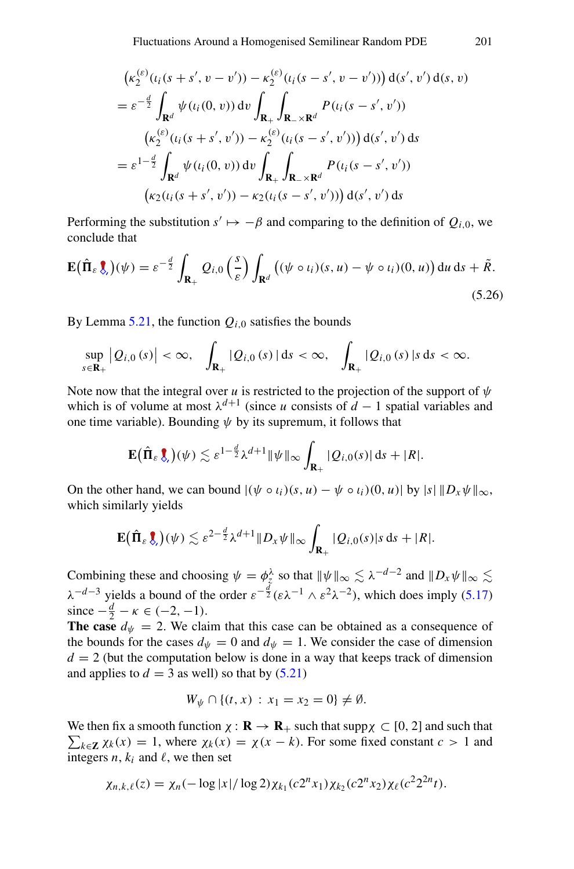$$
\begin{split}\n&\left(\kappa_2^{(\varepsilon)}(t_i(s+s',v-v')) - \kappa_2^{(\varepsilon)}(t_i(s-s',v-v'))\right) d(s',v') d(s,v) \\
&= \varepsilon^{-\frac{d}{2}} \int_{\mathbf{R}^d} \psi(t_i(0,v)) dv \int_{\mathbf{R}_+} \int_{\mathbf{R}_-\times\mathbf{R}^d} P(t_i(s-s',v')) \\
&\left(\kappa_2^{(\varepsilon)}(t_i(s+s',v')) - \kappa_2^{(\varepsilon)}(t_i(s-s',v'))\right) d(s',v') ds \\
&= \varepsilon^{1-\frac{d}{2}} \int_{\mathbf{R}^d} \psi(t_i(0,v)) dv \int_{\mathbf{R}_+} \int_{\mathbf{R}_-\times\mathbf{R}^d} P(t_i(s-s',v')) \\
&\left(\kappa_2(t_i(s+s',v')) - \kappa_2(t_i(s-s',v'))\right) d(s',v') ds\n\end{split}
$$

Performing the substitution  $s' \mapsto -\beta$  and comparing to the definition of  $Q_{i,0}$ , we conclude that

<span id="page-50-0"></span>
$$
\mathbf{E}(\hat{\Pi}_{\varepsilon}\mathbf{I}_{\varepsilon})(\psi) = \varepsilon^{-\frac{d}{2}} \int_{\mathbf{R}_{+}} Q_{i,0}\left(\frac{s}{\varepsilon}\right) \int_{\mathbf{R}^{d}} \left( (\psi \circ \iota_{i})(s, u) - \psi \circ \iota_{i})(0, u) \right) du \, ds + \tilde{R}.
$$
\n(5.26)

By Lemma  $5.21$ , the function  $Q_{i,0}$  satisfies the bounds

$$
\sup_{s\in\mathbf{R}_{+}}|Q_{i,0}(s)|<\infty, \quad \int_{\mathbf{R}_{+}}|Q_{i,0}(s)|\,\mathrm{d}s<\infty, \quad \int_{\mathbf{R}_{+}}|Q_{i,0}(s)|s\,\mathrm{d}s<\infty.
$$

Note now that the integral over *u* is restricted to the projection of the support of  $\psi$ which is of volume at most  $\lambda^{d+1}$  (since *u* consists of *d* − 1 spatial variables and one time variable). Bounding  $\psi$  by its supremum, it follows that

$$
\mathbf{E}(\hat{\Pi}_{\varepsilon}\boldsymbol{\xi}_{\varepsilon})(\psi) \lesssim \varepsilon^{1-\frac{d}{2}}\lambda^{d+1} \|\psi\|_{\infty} \int_{\mathbf{R}_{+}} |Q_{i,0}(s)| ds + |R|.
$$

On the other hand, we can bound  $|(\psi \circ \iota_i)(s, u) - \psi \circ \iota_i)(0, u)|$  by  $|s| ||D_x \psi||_{\infty}$ , which similarly yields

$$
\mathbf{E}(\hat{\Pi}_{\varepsilon}\boldsymbol{\xi}_{\varepsilon})(\psi) \lesssim \varepsilon^{2-\frac{d}{2}}\lambda^{d+1} \|D_{x}\psi\|_{\infty} \int_{\mathbf{R}_{+}} |Q_{i,0}(s)|s \,ds + |R|.
$$

Combining these and choosing  $\psi = \phi_{\zeta}^{\lambda}$  so that  $\|\psi\|_{\infty} \lesssim \lambda^{-d-2}$  and  $\|D_x\psi\|_{\infty} \lesssim$  $\lambda^{-d-3}$  yields a bound of the order  $\varepsilon^{-\frac{d}{2}}(\varepsilon \lambda^{-1} \wedge \varepsilon^2 \lambda^{-2})$ , which does imply [\(5.17\)](#page-46-1) since  $-\frac{d}{2} - \kappa \in (-2, -1)$ .

**The case**  $d_{\psi} = 2$ . We claim that this case can be obtained as a consequence of the bounds for the cases  $d_{\psi} = 0$  and  $d_{\psi} = 1$ . We consider the case of dimension  $d = 2$  (but the computation below is done in a way that keeps track of dimension and applies to  $d = 3$  as well) so that by  $(5.21)$ 

$$
W_{\psi} \cap \{(t, x) : x_1 = x_2 = 0\} \neq \emptyset.
$$

 $\sum_{k \in \mathbb{Z}} \chi_k(x) = 1$ , where  $\chi_k(x) = \chi(x - k)$ . For some fixed constant  $c > 1$  and We then fix a smooth function  $\chi : \mathbf{R} \to \mathbf{R}_+$  such that supp $\chi \subset [0, 2]$  and such that integers  $n$ ,  $k_i$  and  $\ell$ , we then set

$$
\chi_{n,k,\ell}(z) = \chi_n(-\log|x|/\log 2)\chi_{k_1}(c2^n x_1)\chi_{k_2}(c2^n x_2)\chi_{\ell}(c^22^{2n}t).
$$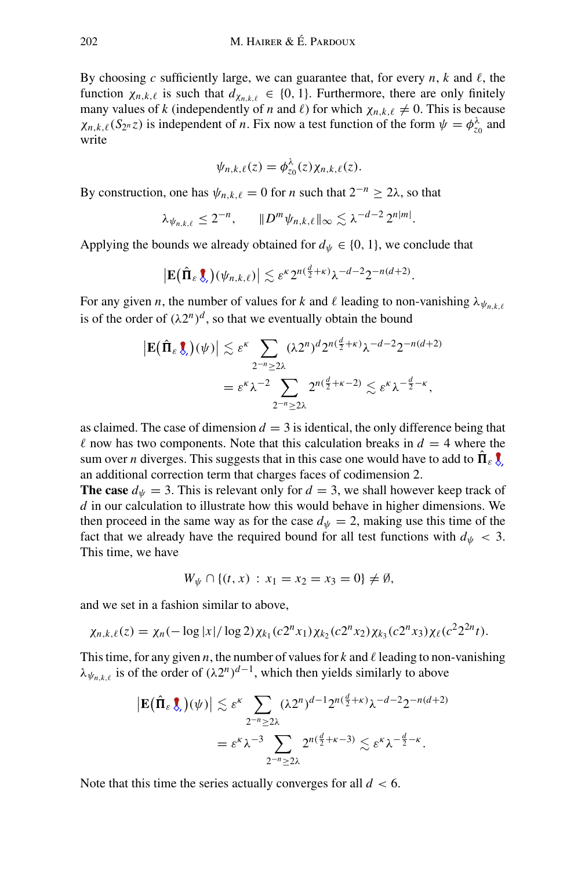By choosing *c* sufficiently large, we can guarantee that, for every *n*, *k* and  $\ell$ , the function  $\chi_{n,k,\ell}$  is such that  $d_{\chi_{n,k,\ell}} \in \{0,1\}$ . Furthermore, there are only finitely many values of *k* (independently of *n* and  $\ell$ ) for which  $\chi_{n,k,\ell} \neq 0$ . This is because  $\chi_{n,k,\ell}(S_{2^n}z)$  is independent of *n*. Fix now a test function of the form  $\psi = \phi_{z_0}^{\lambda}$  and write

$$
\psi_{n,k,\ell}(z)=\phi_{z_0}^{\lambda}(z)\chi_{n,k,\ell}(z).
$$

By construction, one has  $\psi_{n,k,\ell} = 0$  for *n* such that  $2^{-n} \geq 2\lambda$ , so that

$$
\lambda_{\psi_{n,k,\ell}} \leq 2^{-n}, \qquad \|D^m \psi_{n,k,\ell}\|_{\infty} \lesssim \lambda^{-d-2} 2^{n|m|}.
$$

Applying the bounds we already obtained for  $d_{\psi} \in \{0, 1\}$ , we conclude that

$$
\left|\mathbf{E}\big(\hat{\Pi}_{\varepsilon}\right)\left(\psi_{n,k,\ell}\right)\right| \lesssim \varepsilon^{\kappa} 2^{n(\frac{d}{2}+\kappa)}\lambda^{-d-2} 2^{-n(d+2)}.
$$

For any given *n*, the number of values for *k* and  $\ell$  leading to non-vanishing  $\lambda_{\psi_{n,k,\ell}}$ is of the order of  $(\lambda 2^n)^d$ , so that we eventually obtain the bound

$$
\left| \mathbf{E}(\hat{\Pi}_{\varepsilon} \boldsymbol{\xi}_{\varepsilon})(\psi) \right| \lesssim \varepsilon^{\kappa} \sum_{2^{-n} \ge 2\lambda} (\lambda 2^{n})^{d} 2^{n(\frac{d}{2}+\kappa)} \lambda^{-d-2} 2^{-n(d+2)}
$$

$$
= \varepsilon^{\kappa} \lambda^{-2} \sum_{2^{-n} \ge 2\lambda} 2^{n(\frac{d}{2}+\kappa-2)} \lesssim \varepsilon^{\kappa} \lambda^{-\frac{d}{2}-\kappa},
$$

as claimed. The case of dimension  $d = 3$  is identical, the only difference being that  $\ell$  now has two components. Note that this calculation breaks in  $d = 4$  where the sum over *n* diverges. This suggests that in this case one would have to add to  $\Pi_{\varepsilon}$ an additional correction term that charges faces of codimension 2.

**The case**  $d_{\psi} = 3$ . This is relevant only for  $d = 3$ , we shall however keep track of *d* in our calculation to illustrate how this would behave in higher dimensions. We then proceed in the same way as for the case  $d_{\psi} = 2$ , making use this time of the fact that we already have the required bound for all test functions with  $d_{\psi} < 3$ . This time, we have

$$
W_{\psi} \cap \{(t, x) : x_1 = x_2 = x_3 = 0\} \neq \emptyset,
$$

and we set in a fashion similar to above,

$$
\chi_{n,k,\ell}(z) = \chi_n(-\log|x|/\log 2)\chi_{k_1}(c2^n x_1)\chi_{k_2}(c2^n x_2)\chi_{k_3}(c2^n x_3)\chi_{\ell}(c^2 2^{2n} t).
$$

This time, for any given *n*, the number of values for  $k$  and  $\ell$  leading to non-vanishing  $\lambda_{\psi_{n,k,\ell}}$  is of the order of  $(\lambda 2^n)^{d-1}$ , which then yields similarly to above

$$
\left| \mathbf{E}(\hat{\Pi}_{\varepsilon} \boldsymbol{\xi}_{\varepsilon})(\psi) \right| \lesssim \varepsilon^{\kappa} \sum_{2^{-n} \ge 2\lambda} (\lambda 2^{n})^{d-1} 2^{n(\frac{d}{2}+\kappa)} \lambda^{-d-2} 2^{-n(d+2)}
$$

$$
= \varepsilon^{\kappa} \lambda^{-3} \sum_{2^{-n} \ge 2\lambda} 2^{n(\frac{d}{2}+\kappa-3)} \lesssim \varepsilon^{\kappa} \lambda^{-\frac{d}{2}-\kappa}.
$$

Note that this time the series actually converges for all *d* < 6.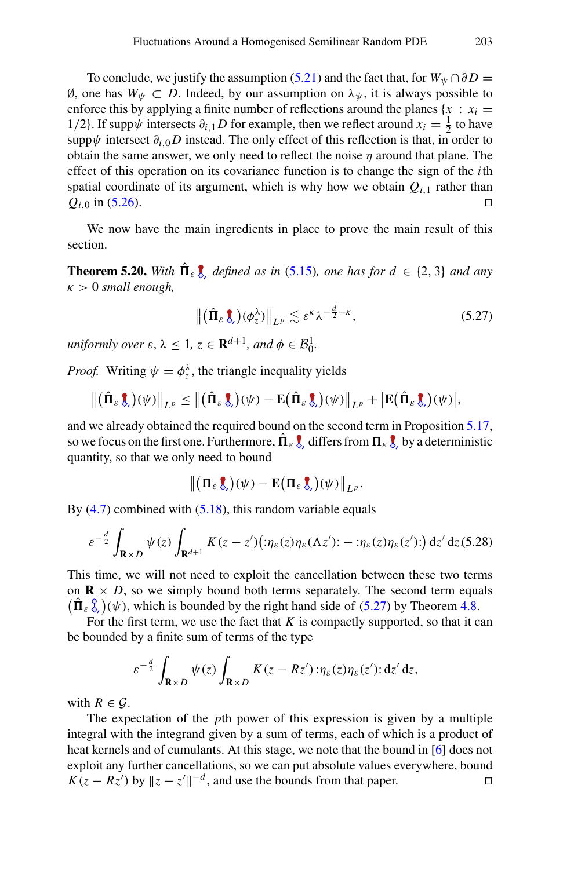To conclude, we justify the assumption [\(5.21\)](#page-48-2) and the fact that, for  $W_{\psi} \cap \partial D =$  $\emptyset$ , one has  $W_{\psi}$  ⊂ *D*. Indeed, by our assumption on  $\lambda_{\psi}$ , it is always possible to enforce this by applying a finite number of reflections around the planes  ${x : x_i =$ 1/2}. If supp $\psi$  intersects  $\partial_{i,1}D$  for example, then we reflect around  $x_i = \frac{1}{2}$  to have supp $\psi$  intersect  $\partial_i$  <sub>0</sub>*D* instead. The only effect of this reflection is that, in order to obtain the same answer, we only need to reflect the noise  $\eta$  around that plane. The effect of this operation on its covariance function is to change the sign of the *i*th spatial coordinate of its argument, which is why how we obtain  $Q_{i,1}$  rather than  $Q_{i,0}$  in [\(5.26\)](#page-50-0).

<span id="page-52-0"></span>We now have the main ingredients in place to prove the main result of this section.

**Theorem 5.20.** *With*  $\Pi_{\varepsilon}$ , *defined as in* [\(5.15\)](#page-45-3)*, one has for*  $d \in \{2, 3\}$  *and any* κ > 0 *small enough,*

<span id="page-52-1"></span>
$$
\left\| \left( \hat{\Pi}_{\varepsilon} \hat{\mathbf{g}}_{\varepsilon} \right) (\phi_{\varepsilon}^{\lambda}) \right\|_{L^{p}} \lesssim \varepsilon^{\kappa} \lambda^{-\frac{d}{2} - \kappa}, \tag{5.27}
$$

 $u$ *niformly over*  $\varepsilon$ ,  $\lambda \leq 1$ ,  $z \in \mathbf{R}^{d+1}$ , and  $\phi \in \mathcal{B}_0^1$ .

*Proof.* Writing  $\psi = \phi_z^{\lambda}$ , the triangle inequality yields

$$
\left\| \left( \hat{\Pi}_{\varepsilon} \hat{\xi}_{\varepsilon} \right) (\psi) \right\|_{L^{p}} \leq \left\| \left( \hat{\Pi}_{\varepsilon} \hat{\xi}_{\varepsilon} \right) (\psi) - \mathbf{E} \left( \hat{\Pi}_{\varepsilon} \hat{\xi}_{\varepsilon} \right) (\psi) \right\|_{L^{p}} + \left| \mathbf{E} \left( \hat{\Pi}_{\varepsilon} \hat{\xi}_{\varepsilon} \right) (\psi) \right|,
$$

and we already obtained the required bound on the second term in Proposition [5.17,](#page-46-0) so we focus on the first one. Furthermore,  $\Pi_\varepsilon$   $\bar{\pmb{\xi}}_c$  differs from  $\Pi_\varepsilon$   $\bar{\pmb{\xi}}_c$  by a deterministic quantity, so that we only need to bound

$$
\left\| \left( \Pi_{\varepsilon} \, \underline{\xi}_{\varepsilon} \right) (\psi) - \mathbf{E} \big( \Pi_{\varepsilon} \, \underline{\xi}_{\varepsilon} \big) (\psi) \right\|_{L^p}.
$$

By  $(4.7)$  combined with  $(5.18)$ , this random variable equals

$$
\varepsilon^{-\frac{d}{2}}\int_{\mathbf{R}\times D}\psi(z)\int_{\mathbf{R}^{d+1}}K(z-z')\big(\pi_{\varepsilon}(z)\eta_{\varepsilon}(\Lambda z')\big)-\pi_{\varepsilon}(z)\eta_{\varepsilon}(z')\big)\,\mathrm{d} z'\,\mathrm{d} z(5.28)
$$

This time, we will not need to exploit the cancellation between these two terms on  $\mathbf{R} \times D$ , so we simply bound both terms separately. The second term equals  $(\Pi_{\varepsilon} \xi) (\psi)$ , which is bounded by the right hand side of [\(5.27\)](#page-52-1) by Theorem [4.8.](#page-26-0)

For the first term, we use the fact that  $K$  is compactly supported, so that it can be bounded by a finite sum of terms of the type

$$
\varepsilon^{-\frac{d}{2}}\int_{\mathbf{R}\times D}\psi(z)\int_{\mathbf{R}\times D}K(z-Rz')\cdot\eta_{\varepsilon}(z)\eta_{\varepsilon}(z')\cdot\mathrm{d} z'\,\mathrm{d} z,
$$

with  $R \in \mathcal{G}$ .

The expectation of the *p*th power of this expression is given by a multiple integral with the integrand given by a sum of terms, each of which is a product of heat kernels and of cumulants. At this stage, we note that the bound in [\[6\]](#page-65-13) does not exploit any further cancellations, so we can put absolute values everywhere, bound  $K(z - Rz')$  by  $||z - z'||^{-d}$ , and use the bounds from that paper.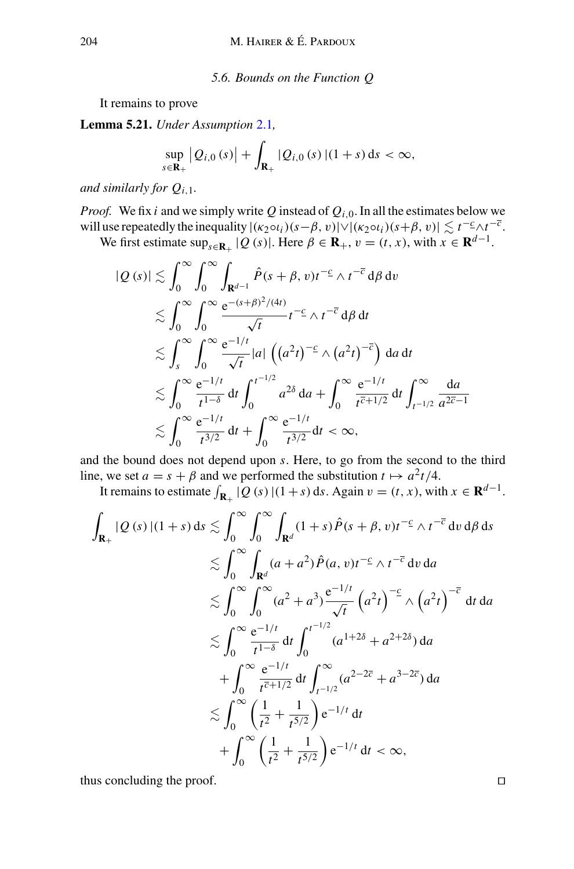# <span id="page-53-1"></span>*5.6. Bounds on the Function Q*

<span id="page-53-0"></span>It remains to prove

**Lemma 5.21.** *Under Assumption* [2.1](#page-7-0)*,*

$$
\sup_{s\in\mathbf{R}_{+}}|Q_{i,0}(s)|+\int_{\mathbf{R}_{+}}|Q_{i,0}(s)|(1+s)\,\mathrm{d}s<\infty,
$$

*and similarly for Qi*,1*.*

*Proof.* We fix *i* and we simply write *Q* instead of  $Q_i$ <sub>0</sub>. In all the estimates below we will use repeatedly the inequality  $|((\kappa_2 \circ \iota_i)(s-\beta, v)| \vee |((\kappa_2 \circ \iota_i)(s+\beta, v)| \lesssim t^{-c} \wedge t^{-\overline{c}}$ .

We first estimate  $\sup_{s \in \mathbf{R}_+} |Q(s)|$ . Here  $\beta \in \mathbf{R}_+$ ,  $v = (t, x)$ , with  $x \in \mathbf{R}^{d-1}$ .

$$
|Q(s)| \lesssim \int_0^\infty \int_0^\infty \int_{\mathbf{R}^{d-1}} \hat{P}(s+\beta, v)t^{-\frac{c}{2}} \wedge t^{-\overline{c}} d\beta dv
$$
  
\n
$$
\lesssim \int_0^\infty \int_0^\infty \frac{e^{-(s+\beta)^2/(4t)}}{\sqrt{t}} t^{-\frac{c}{2}} \wedge t^{-\overline{c}} d\beta dt
$$
  
\n
$$
\lesssim \int_s^\infty \int_0^\infty \frac{e^{-1/t}}{\sqrt{t}} |a| \left( (a^2 t)^{-\frac{c}{2}} \wedge (a^2 t)^{-\overline{c}} \right) da dt
$$
  
\n
$$
\lesssim \int_0^\infty \frac{e^{-1/t}}{t^{1-\delta}} dt \int_0^{t^{-1/2}} a^{2\delta} da + \int_0^\infty \frac{e^{-1/t}}{t^{\overline{c}+1/2}} dt \int_{t^{-1/2}}^\infty \frac{da}{a^{2\overline{c}-1}}
$$
  
\n
$$
\lesssim \int_0^\infty \frac{e^{-1/t}}{t^{3/2}} dt + \int_0^\infty \frac{e^{-1/t}}{t^{3/2}} dt < \infty,
$$

and the bound does not depend upon *s*. Here, to go from the second to the third line, we set  $a = s + \beta$  and we performed the substitution  $t \mapsto a^2t/4$ .

It remains to estimate  $\int_{\mathbf{R}_+} |Q(s)| (1 + s) ds$ . Again  $v = (t, x)$ , with  $x \in \mathbf{R}^{d-1}$ .

$$
\int_{\mathbf{R}_{+}} |Q(s)| (1+s) ds \lesssim \int_{0}^{\infty} \int_{0}^{\infty} \int_{\mathbf{R}^{d}} (1+s) \hat{P}(s+\beta, v) t^{-\epsilon} \wedge t^{-\overline{c}} dv d\beta ds
$$
  
\n
$$
\lesssim \int_{0}^{\infty} \int_{\mathbf{R}^{d}} (a+a^{2}) \hat{P}(a, v) t^{-\epsilon} \wedge t^{-\overline{c}} dv da
$$
  
\n
$$
\lesssim \int_{0}^{\infty} \int_{0}^{\infty} (a^{2}+a^{3}) \frac{e^{-1/t}}{\sqrt{t}} (a^{2}t)^{-\epsilon} \wedge (a^{2}t)^{-\overline{c}} dt da
$$
  
\n
$$
\lesssim \int_{0}^{\infty} \frac{e^{-1/t}}{t^{1-\delta}} dt \int_{0}^{t^{-1/2}} (a^{1+2\delta}+a^{2+2\delta}) da
$$
  
\n
$$
+ \int_{0}^{\infty} \frac{e^{-1/t}}{t^{\overline{c}+1/2}} dt \int_{t^{-1/2}}^{\infty} (a^{2-2\overline{c}}+a^{3-2\overline{c}}) da
$$
  
\n
$$
\lesssim \int_{0}^{\infty} \left(\frac{1}{t^{2}}+\frac{1}{t^{5/2}}\right) e^{-1/t} dt
$$
  
\n
$$
+ \int_{0}^{\infty} \left(\frac{1}{t^{2}}+\frac{1}{t^{5/2}}\right) e^{-1/t} dt < \infty,
$$

thus concluding the proof.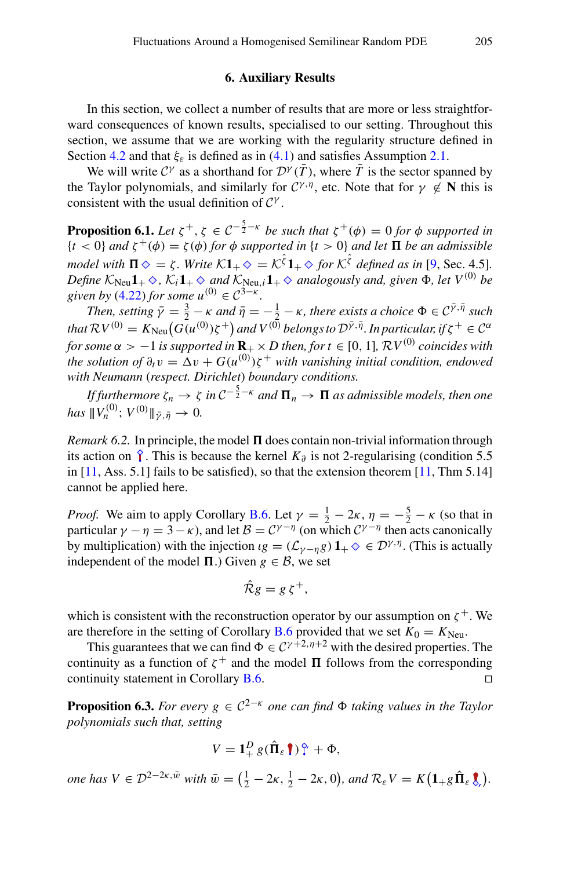# **6. Auxiliary Results**

<span id="page-54-0"></span>In this section, we collect a number of results that are more or less straightforward consequences of known results, specialised to our setting. Throughout this section, we assume that we are working with the regularity structure defined in Section [4.2](#page-18-0) and that  $\xi_{\varepsilon}$  is defined as in [\(4.1\)](#page-15-1) and satisfies Assumption [2.1.](#page-7-0)

We will write  $C^{\gamma}$  as a shorthand for  $D^{\gamma}(\bar{T})$ , where  $\bar{T}$  is the sector spanned by the Taylor polynomials, and similarly for  $C^{\gamma,\eta}$ , etc. Note that for  $\gamma \notin N$  this is consistent with the usual definition of *<sup>C</sup>*<sup>γ</sup> .

<span id="page-54-1"></span>**Proposition 6.1.** *Let*  $\zeta^+$ ,  $\zeta \in C^{-\frac{5}{2} - \kappa}$  *be such that*  $\zeta^+(\phi) = 0$  *for*  $\phi$  *supported in*  ${t < 0}$  *and*  ${\zeta^+(\phi) = \zeta(\phi)}$  *for*  $\phi$  *supported in*  ${t > 0}$  *and let*  $\Pi$  *be an admissible model with*  $\Pi \otimes = \zeta$ *. Write*  $K\mathbf{1}_{+} \otimes = K^{\zeta} \mathbf{1}_{+} \otimes$  for  $K^{\zeta}$  defined as in [\[9,](#page-65-3) Sec. 4.5]*. Define*  $K_{\text{Neu}}\mathbf{1}_{+}\diamondsuit$ ,  $K_i\mathbf{1}_{+}\diamondsuit$  and  $K_{\text{Neu}}$ ,  $\mathbf{1}_{+}\diamondsuit$  analogously and, given  $\Phi$ , let  $V^{(0)}$  be *given by* [\(4.22\)](#page-27-2) *for some*  $u^{(0)} \in C^{3-\kappa}$ *.* 

*Then, setting*  $\bar{\gamma} = \frac{3}{2} - \kappa$  *and*  $\bar{\eta} = -\frac{1}{2} - \kappa$ *, there exists a choice*  $\Phi \in C^{\bar{\gamma}, \bar{\eta}}$  *such*  $t$ hat  $\mathcal{R}V^{(0)}=K_{\text{Neu}}\big(G(u^{(0)})\zeta^{+}\big)$  and  $V^{(0)}$  belongs to  $\mathcal{D}^{\bar{\gamma},\bar{\eta}}.$  In particular, if  $\zeta^{+}\in\mathcal{C}^{\alpha}$ *for some*  $\alpha > -1$  *is supported in*  $\mathbf{R}_{+} \times D$  *then, for*  $t \in [0, 1]$ *,*  $\mathcal{R}V^{(0)}$  *coincides with the solution of*  $\partial_t v = \Delta v + G(u^{(0)})\zeta^+$  *with vanishing initial condition, endowed with Neumann* (*respect. Dirichlet*) *boundary conditions.*

*If furthermore*  $\zeta_n \to \zeta$  *in*  $C^{-\frac{5}{2} - \kappa}$  *and*  $\Pi_n \to \Pi$  *as admissible models, then one*  $has \, \|V_n^{(0)}; V^{(0)}\|_{\bar{\gamma},\bar{\eta}} \to 0.$ 

*Remark 6.2.* In principle, the model  $\Pi$  does contain non-trivial information through its action on  $\hat{\ }$ . This is because the kernel  $K_{\partial}$  is not 2-regularising (condition 5.5 in  $[11, Ass. 5.1]$  $[11, Ass. 5.1]$  fails to be satisfied), so that the extension theorem  $[11, Thm 5.14]$ cannot be applied here.

*Proof.* We aim to apply Corollary [B.6.](#page-61-1) Let  $\gamma = \frac{1}{2} - 2\kappa$ ,  $\eta = -\frac{5}{2} - \kappa$  (so that in particular  $\gamma - \eta = 3 - \kappa$ ), and let  $B = C^{\gamma - \eta}$  (on which  $C^{\gamma - \eta}$  then acts canonically by multiplication) with the injection  $\iota g = (\mathcal{L}_{\gamma - n}g) \mathbf{1}_{+} \diamondsuit \in \mathcal{D}^{\gamma, \eta}$ . (This is actually independent of the model  $\Pi$ .) Given  $g \in \mathcal{B}$ , we set

$$
\hat{\mathcal{R}}g = g\,\zeta^+,
$$

which is consistent with the reconstruction operator by our assumption on  $\zeta^+$ . We are therefore in the setting of Corollary [B.6](#page-61-1) provided that we set  $K_0 = K_{\text{Neu}}$ .

This guarantees that we can find  $\Phi \in C^{\gamma+2,\eta+2}$  with the desired properties. The continuity as a function of  $\zeta^+$  and the model  $\Pi$  follows from the corresponding continuity statement in Corollary [B.6.](#page-61-1)

<span id="page-54-2"></span>**Proposition 6.3.** *For every*  $g \in C^{2-\kappa}$  *one can find*  $\Phi$  *taking values in the Taylor polynomials such that, setting*

$$
V = \mathbf{1}_+^D g(\hat{\Pi}_\varepsilon \, \boldsymbol{\rvert}) \, \boldsymbol{\rvert}^0 + \Phi,
$$

*one has*  $V \in \mathcal{D}^{2-2\kappa, \bar{w}}$  *with*  $\bar{w} = (\frac{1}{2} - 2\kappa, \frac{1}{2} - 2\kappa, 0)$ *, and*  $\mathcal{R}_{\varepsilon}V = K(\mathbf{1}_{+}g\hat{\mathbf{\Pi}}_{\varepsilon}\mathbf{\hat{\xi}}_{\varepsilon})$ *.*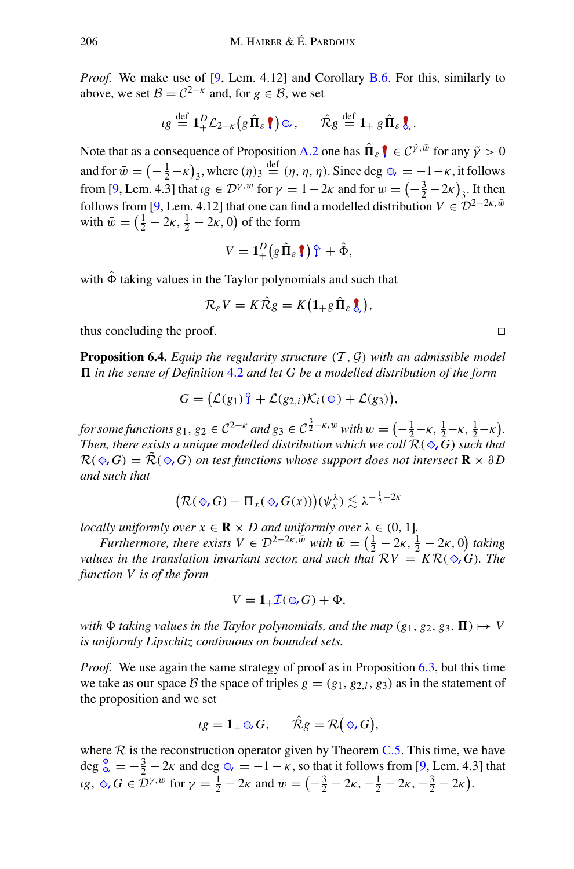*Proof.* We make use of [\[9](#page-65-3), Lem. 4.12] and Corollary [B.6.](#page-61-1) For this, similarly to above, we set  $B = C^{2-\kappa}$  and, for  $g \in B$ , we set

$$
\iota g \stackrel{\text{def}}{=} \mathbf{1}_+^D \mathcal{L}_{2-\kappa}(g \hat{\Pi}_{\varepsilon} \mathbf{I}) \odot, \qquad \hat{\mathcal{R}} g \stackrel{\text{def}}{=} \mathbf{1}_+ g \hat{\Pi}_{\varepsilon} \mathbf{I},
$$

Note that as a consequence of Proposition [A.2](#page-57-1) one has  $\hat{\Pi}_{\varepsilon} \parallel \in C^{\tilde{\gamma}, \tilde{w}}$  for any  $\tilde{\gamma} > 0$ and for  $\tilde{w} = \left(-\frac{1}{2} - \kappa\right)_3$ , where  $(\eta)_3 \stackrel{\text{def}}{=} (\eta, \eta, \eta)$ . Since deg  $\odot$ ,  $= -1 - \kappa$ , it follows from [\[9](#page-65-3), Lem. 4.3] that  $\iota g \in \mathcal{D}^{\gamma,w}$  for  $\gamma = 1 - 2\kappa$  and for  $w = \left(-\frac{3}{2} - 2\kappa\right)_3$ . It then follows from [\[9,](#page-65-3) Lem. 4.12] that one can find a modelled distribution  $V \in \mathcal{D}^{2-2\kappa,\bar{w}}$ with  $\bar{w} = (\frac{1}{2} - 2\kappa, \frac{1}{2} - 2\kappa, 0)$  of the form

$$
V = \mathbf{1}_+^D(g\,\hat{\Pi}_\varepsilon\,\hat{\P})\,\hat{Y} + \hat{\Phi},
$$

with  $\hat{\Phi}$  taking values in the Taylor polynomials and such that

$$
\mathcal{R}_{\varepsilon}V=K\hat{\mathcal{R}}g=K\big(1_{+}g\,\hat{\Pi}_{\varepsilon}\,\hat{\zeta}_{,}\big),
$$

<span id="page-55-0"></span>thus concluding the proof.  $\Box$ 

**Proposition 6.4.** *Equip the regularity structure*  $(T, \mathcal{G})$  *with an admissible model*  $\Pi$  *in the sense of Definition* [4.2](#page-20-1) *and let G be a modelled distribution of the form* 

$$
G = (\mathcal{L}(g_1)\hat{L} + \mathcal{L}(g_{2,i})\mathcal{K}_i(\circlearrowleft) + \mathcal{L}(g_3)),
$$

*for some functions g*<sub>1</sub>, *g*<sub>2</sub> ∈  $C^{2-\kappa}$  *and g*<sub>3</sub> ∈  $C^{\frac{3}{2}-\kappa,w}$  *with*  $w = \left(-\frac{1}{2}-\kappa, \frac{1}{2}-\kappa, \frac{1}{2}-\kappa\right)$ . *Then, there exists a unique modelled distribution which we call*  $\overline{R}(\diamondsuit_{\mathbf{G}})$  such that  $\mathcal{R}(\diamondsuit G) = \mathcal{R}(\diamondsuit G)$  *on test functions whose support does not intersect* **R**  $\times \partial D$ *and such that*

$$
\big(\mathcal{R}(\diamondsuit, G) - \Pi_x(\diamondsuit, G(x))\big)(\psi_x^{\lambda}) \lesssim \lambda^{-\frac{1}{2}-2\kappa}
$$

*locally uniformly over*  $x \in \mathbf{R} \times D$  *and uniformly over*  $\lambda \in (0, 1]$ *.* 

*Furthermore, there exists*  $V \in \mathcal{D}^{2-2\kappa,\bar{w}}$  *with*  $\bar{w} = \left(\frac{1}{2} - 2\kappa, \frac{1}{2} - 2\kappa, 0\right)$  *taking values in the translation invariant sector, and such that*  $RV = KR(\diamond, G)$ . The *function V is of the form*

$$
V = \mathbf{1}_{+} \mathcal{I}(\bigcirc, G) + \Phi,
$$

*with*  $\Phi$  *taking values in the Taylor polynomials, and the map*  $(g_1, g_2, g_3, \Pi) \mapsto V$ *is uniformly Lipschitz continuous on bounded sets.*

*Proof.* We use again the same strategy of proof as in Proposition [6.3,](#page-54-2) but this time we take as our space *B* the space of triples  $g = (g_1, g_2, i, g_3)$  as in the statement of the proposition and we set

$$
lg = 1_+ \odot G, \qquad \hat{\mathcal{R}}g = \mathcal{R}(\diamondsuit, G),
$$

where  $R$  is the reconstruction operator given by Theorem  $C.5$ . This time, we have deg  $\frac{8}{6} = -\frac{3}{2} - 2\kappa$  and deg  $\circledcirc$  =  $-1 - \kappa$ , so that it follows from [\[9](#page-65-3), Lem. 4.3] that  $\iota$ *g*,  $\diamondsuit$ ,  $G \in \mathcal{D}^{\gamma,w}$  for  $\gamma = \frac{1}{2} - 2\kappa$  and  $w = \left(-\frac{3}{2} - 2\kappa, -\frac{1}{2} - 2\kappa, -\frac{3}{2} - 2\kappa\right)$ .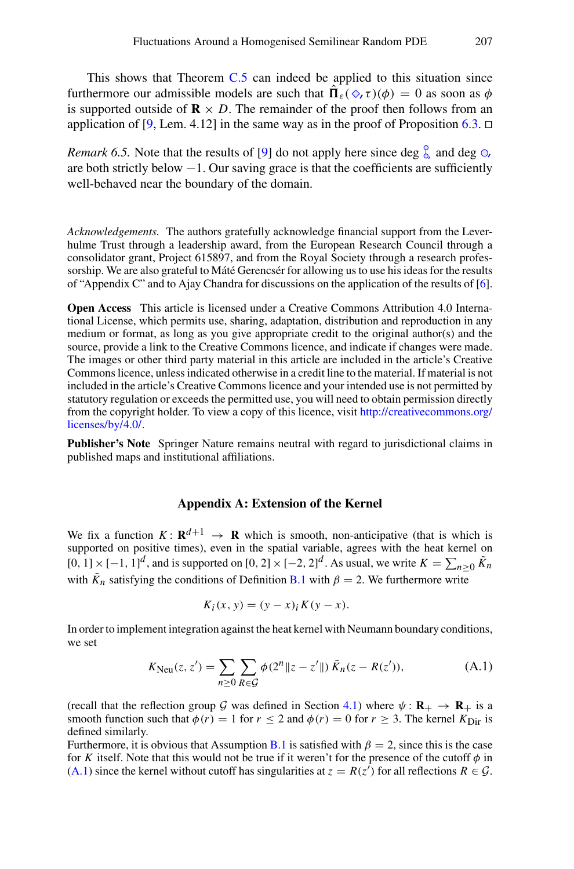This shows that Theorem  $C.5$  can indeed be applied to this situation since furthermore our admissible models are such that  $\Pi_{\varepsilon}(\diamondsuit, \tau)(\phi) = 0$  as soon as  $\phi$ is supported outside of  $\mathbf{R} \times D$ . The remainder of the proof then follows from an application of [\[9](#page-65-3), Lem. 4.12] in the same way as in the proof of Proposition [6.3.](#page-54-2)  $\Box$ 

*Remark 6.5.* Note that the results of [\[9](#page-65-3)] do not apply here since deg  $\frac{8}{6}$  and deg  $\frac{8}{6}$ , are both strictly below −1. Our saving grace is that the coefficients are sufficiently well-behaved near the boundary of the domain.

*Acknowledgements.* The authors gratefully acknowledge financial support from the Leverhulme Trust through a leadership award, from the European Research Council through a consolidator grant, Project 615897, and from the Royal Society through a research professorship. We are also grateful to Máté Gerencsér for allowing us to use his ideas for the results of "Appendix C" and to Ajay Chandra for discussions on the application of the results of [\[6](#page-65-13)].

**Open Access** This article is licensed under a Creative Commons Attribution 4.0 International License, which permits use, sharing, adaptation, distribution and reproduction in any medium or format, as long as you give appropriate credit to the original author(s) and the source, provide a link to the Creative Commons licence, and indicate if changes were made. The images or other third party material in this article are included in the article's Creative Commons licence, unless indicated otherwise in a credit line to the material. If material is not included in the article's Creative Commons licence and your intended use is not permitted by statutory regulation or exceeds the permitted use, you will need to obtain permission directly from the copyright holder. To view a copy of this licence, visit [http://creativecommons.org/](http://creativecommons.org/licenses/by/4.0/) [licenses/by/4.0/.](http://creativecommons.org/licenses/by/4.0/)

**Publisher's Note** Springer Nature remains neutral with regard to jurisdictional claims in published maps and institutional affiliations.

#### **Appendix A: Extension of the Kernel**

We fix a function  $K: \mathbf{R}^{d+1} \to \mathbf{R}$  which is smooth, non-anticipative (that is which is supported on positive times), even in the spatial variable, agrees with the heat kernel on [0, 1]  $\times$  [−1, 1]<sup>*d*</sup>, and is supported on [0, 2]  $\times$  [−2, 2]<sup>*d*</sup>. As usual, we write *K* =  $\sum_{n\geq0}$   $\tilde{K}_n$ with  $\tilde{K}_n$  satisfying the conditions of Definition [B.1](#page-56-0) with  $\beta = 2$ . We furthermore write

$$
K_i(x, y) = (y - x)_i K(y - x).
$$

In order to implement integration against the heat kernel with Neumann boundary conditions, we set

<span id="page-56-1"></span>
$$
K_{\text{Neu}}(z, z') = \sum_{n \ge 0} \sum_{R \in \mathcal{G}} \phi(2^n \|z - z'\|) \tilde{K}_n(z - R(z')), \tag{A.1}
$$

(recall that the reflection group *G* was defined in Section [4.1\)](#page-16-0) where  $\psi : \mathbf{R}_{+} \to \mathbf{R}_{+}$  is a smooth function such that  $\phi(r) = 1$  for  $r \le 2$  and  $\phi(r) = 0$  for  $r \ge 3$ . The kernel  $K_{\text{Dir}}$  is defined similarly.

<span id="page-56-0"></span>Furthermore, it is obvious that Assumption [B.1](#page-56-0) is satisfied with  $\beta = 2$ , since this is the case for *K* itself. Note that this would not be true if it weren't for the presence of the cutoff  $\phi$  in  $(A.1)$  since the kernel without cutoff has singularities at  $z = R(z')$  for all reflections  $R \in \mathcal{G}$ .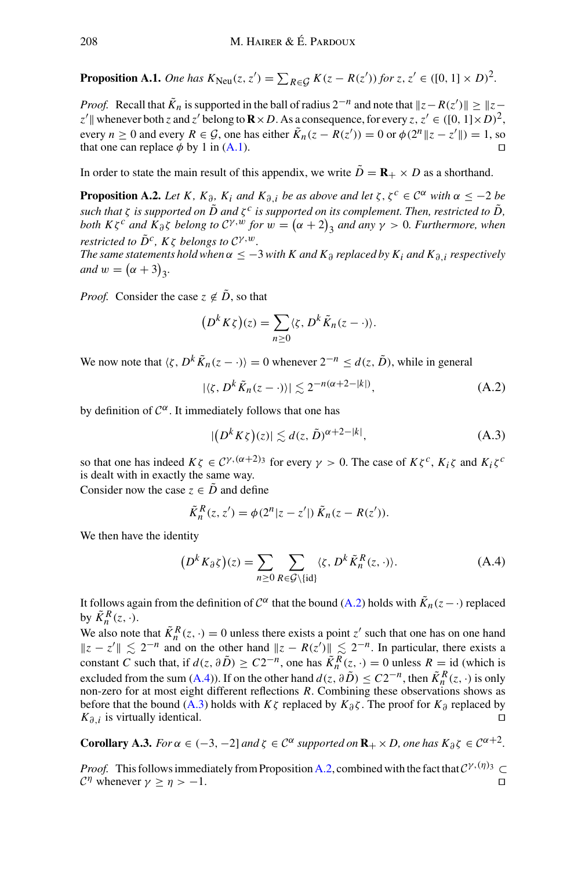**Proposition A.1.** *One has*  $K_{\text{Neu}}(z, z') = \sum_{R \in \mathcal{G}} K(z - R(z'))$  *for*  $z, z' \in ([0, 1] \times D)^2$ .

*Proof.* Recall that  $\tilde{K}_n$  is supported in the ball of radius  $2^{-n}$  and note that  $\|z - R(z')\| \geq \|z - z'\|$ *z*' || whenever both *z* and *z*' belong to **R**×*D*. As a consequence, for every *z*, *z*' ∈ ([0, 1]×*D*)<sup>2</sup>, every  $n \ge 0$  and every  $R \in \mathcal{G}$ , one has either  $\tilde{K}_n(z - R(z')) = 0$  or  $\phi(2^n ||z - z'||) = 1$ , so that one can replace  $\phi$  by 1 in [\(A.1\)](#page-56-1).

<span id="page-57-1"></span>In order to state the main result of this appendix, we write  $\tilde{D} = \mathbf{R}_{+} \times D$  as a shorthand.

**Proposition A.2.** *Let K*,  $K_{\partial}$ ,  $K_i$  *and*  $K_{\partial}$ *i be as above and let*  $\zeta$ ,  $\zeta^c \in C^{\alpha}$  *with*  $\alpha \leq -2$  *be such that*  $\zeta$  *is supported on*  $\tilde{D}$  *and*  $\zeta^c$  *is supported on its complement. Then, restricted to*  $\tilde{D}$ *, both*  $K\zeta^c$  *and*  $K_{\partial}\zeta$  *belong to*  $C^{\gamma,\hat{w}}$  *for*  $w = (\alpha + 2)_3$  *and any*  $\gamma > 0$ *. Furthermore, when restricted to*  $\tilde{D}^c$ ,  $K\zeta$  *belongs to*  $\mathcal{C}^{\gamma,w}$ *.* 

*The same statements hold when*  $\alpha \leq -3$  *with K and*  $K_{\partial}$  *replaced by*  $K_i$  *and*  $K_{\partial}$  *i respectively*  $and w = (\alpha + 3)_3.$ 

*Proof.* Consider the case  $z \notin \tilde{D}$ , so that

$$
(D^k K \zeta)(z) = \sum_{n \geq 0} \langle \zeta, D^k \tilde{K}_n(z - \cdot) \rangle.
$$

We now note that  $\langle \zeta, D^k \tilde{K}_n(z - \cdot) \rangle = 0$  whenever  $2^{-n} < d(z, \tilde{D})$ , while in general

<span id="page-57-4"></span>
$$
|\langle \zeta, D^k \tilde{K}_n(z-\cdot)\rangle| \lesssim 2^{-n(\alpha+2-|k|)},\tag{A.2}
$$

by definition of  $C^{\alpha}$ . It immediately follows that one has

<span id="page-57-3"></span>
$$
|(D^k K \zeta)(z)| \lesssim d(z, \tilde{D})^{\alpha+2-|k|}, \tag{A.3}
$$

so that one has indeed  $K\zeta \in C^{\gamma, (\alpha+2)_{3}}$  for every  $\gamma > 0$ . The case of  $K\zeta^{c}$ ,  $K_{i}\zeta$  and  $K_{i}\zeta^{c}$ is dealt with in exactly the same way.

Consider now the case  $z \in \tilde{D}$  and define

$$
\tilde{K}_n^R(z, z') = \phi(2^n |z - z'|) \tilde{K}_n(z - R(z')).
$$

We then have the identity

<span id="page-57-5"></span>
$$
(D^{k} K_{\partial} \zeta)(z) = \sum_{n \ge 0} \sum_{R \in \mathcal{G} \setminus \{\text{id}\}} \langle \zeta, D^{k} \tilde{K}_{n}^{R}(z, \cdot) \rangle. \tag{A.4}
$$

It follows again from the definition of  $C^{\alpha}$  that the bound [\(A.2\)](#page-57-4) holds with  $\tilde{K}_n(z - \cdot)$  replaced by  $\tilde{K}_n^R(z, \cdot)$ .

We also note that  $\tilde{K}_n^R(z, \cdot) = 0$  unless there exists a point  $z'$  such that one has on one hand  $\|z - z'\|$  ≤ 2<sup>−*n*</sup> and on the other hand  $\|z - R(z')\|$  ≤ 2<sup>−*n*</sup>. In particular, there exists a constant *C* such that, if  $d(z, \partial \tilde{D}) \ge C2^{-n}$ , one has  $\tilde{K}_n^R(z, \cdot) = 0$  unless  $R = id$  (which is excluded from the sum [\(A.4\)](#page-57-5)). If on the other hand  $d(z, \partial \tilde{D}) \leq C2^{-n}$ , then  $\tilde{K}_n^R(z, \cdot)$  is only non-zero for at most eight different reflections *R*. Combining these observations shows as before that the bound [\(A.3\)](#page-57-3) holds with *K* $\zeta$  replaced by  $K_{\partial} \zeta$ . The proof for  $K_{\partial}$  replaced by  $K_{\partial}$  is virtually identical. *K*∂,*<sup>i</sup>* is virtually identical.

<span id="page-57-0"></span>**Corollary A.3.** *For*  $\alpha \in (-3, -2]$  *and*  $\zeta \in C^{\alpha}$  *supported on*  $\mathbf{R}_{+} \times D$ *, one has*  $K_{\partial} \zeta \in C^{\alpha+2}$ *.* 

<span id="page-57-2"></span>*Proof.* This follows immediately from Proposition [A.2,](#page-57-1) combined with the fact that  $C^{\gamma,(\eta)}$  ⊂ *C*<sup>η</sup> whenever  $\gamma \geq \eta > -1$ .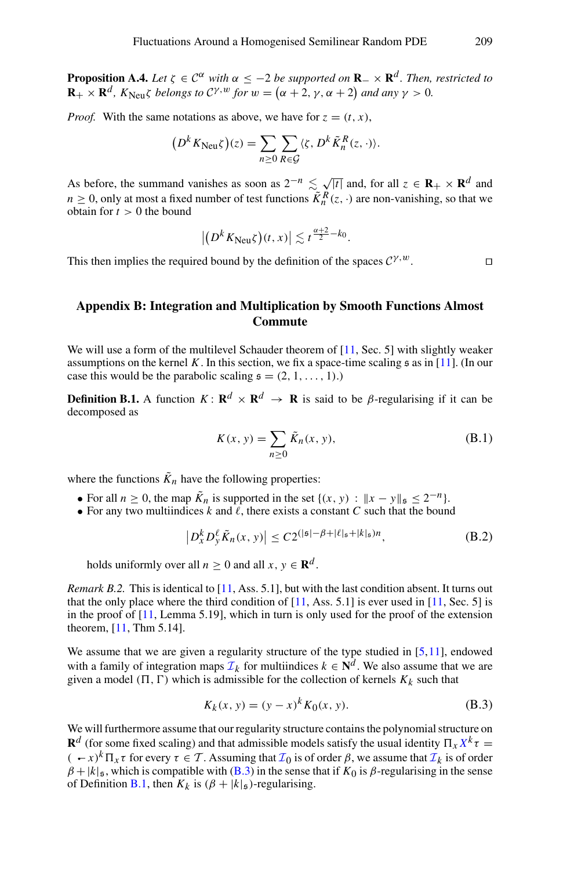**Proposition A.4.** *Let*  $\zeta \in C^{\alpha}$  *with*  $\alpha \le -2$  *be supported on*  $\mathbf{R}_-\times \mathbf{R}^d$ *. Then, restricted to*  $\mathbf{R}_+ \times \mathbf{R}^d$ ,  $K_{\text{Neu}}\zeta$  *belongs to*  $C^{\gamma,w}$  *for*  $w = (\alpha + 2, \gamma, \alpha + 2)$  *and any*  $\gamma > 0$ *.* 

*Proof.* With the same notations as above, we have for  $z = (t, x)$ ,

$$
(D^{k} K_{\text{Neu}} \zeta)(z) = \sum_{n \geq 0} \sum_{R \in \mathcal{G}} \langle \zeta, D^{k} \tilde{K}_{n}^{R}(z, \cdot) \rangle.
$$

As before, the summand vanishes as soon as  $2^{-n} \leq \sqrt{|t|}$  and, for all  $z \in \mathbb{R}_+ \times \mathbb{R}^d$  and *n*  $\geq$  0, only at most a fixed number of test functions  $\tilde{K}_n^R(z, \cdot)$  are non-vanishing, so that we obtain for  $t > 0$  the bound

$$
\left|\left(D^k K_{\text{Neu}}\zeta\right)(t,x)\right| \lesssim t^{\frac{\alpha+2}{2}-k_0}.
$$

This then implies the required bound by the definition of the spaces  $\mathcal{C}^{\gamma, w}$ .

# **Appendix B: Integration and Multiplication by Smooth Functions Almost Commute**

We will use a form of the multilevel Schauder theorem of [\[11](#page-65-8), Sec. 5] with slightly weaker assumptions on the kernel K. In this section, we fix a space-time scaling  $\frak{s}$  as in [\[11\]](#page-65-8). (In our case this would be the parabolic scaling  $\mathfrak{s} = (2, 1, \ldots, 1)$ .

**Definition B.1.** A function  $K: \mathbb{R}^d \times \mathbb{R}^d \to \mathbb{R}$  is said to be  $\beta$ -regularising if it can be decomposed as

$$
K(x, y) = \sum_{n \ge 0} \tilde{K}_n(x, y),
$$
 (B.1)

where the functions  $\tilde{K}_n$  have the following properties:

- For all  $n \geq 0$ , the map  $\tilde{K}_n$  is supported in the set  $\{(x, y) : ||x y||_{\mathfrak{s}} \leq 2^{-n}\}.$
- For any two multiindices  $k$  and  $\ell$ , there exists a constant  $C$  such that the bound

$$
\left| D_x^k D_y^\ell \tilde{K}_n(x, y) \right| \le C 2^{(|\mathfrak{s}| - \beta + |\ell|_{\mathfrak{s}} + |k|_{\mathfrak{s}})n}, \tag{B.2}
$$

holds uniformly over all  $n > 0$  and all  $x, y \in \mathbb{R}^d$ .

*Remark B.2.* This is identical to  $[11, Ass. 5.1]$  $[11, Ass. 5.1]$ , but with the last condition absent. It turns out that the only place where the third condition of  $[11, Ass. 5.1]$  $[11, Ass. 5.1]$  is ever used in  $[11, Sec. 5]$  is in the proof of [\[11,](#page-65-8) Lemma 5.19], which in turn is only used for the proof of the extension theorem, [\[11](#page-65-8), Thm 5.14].

We assume that we are given a regularity structure of the type studied in  $[5,11]$  $[5,11]$  $[5,11]$ , endowed with a family of integration maps  $\mathcal{I}_k$  for multiindices  $k \in \mathbb{N}^d$ . We also assume that we are given a model  $(\Pi, \Gamma)$  which is admissible for the collection of kernels  $K_k$  such that

$$
K_k(x, y) = (y - x)^k K_0(x, y).
$$
 (B.3)

We will furthermore assume that our regularity structure contains the polynomial structure on **R**<sup>*d*</sup> (for some fixed scaling) and that admissible models satisfy the usual identity  $\prod_x X^k \tau =$  $(-x)^k \Pi_x \tau$  for every  $\tau \in \mathcal{T}$ . Assuming that  $\mathcal{I}_0$  is of order  $\beta$ , we assume that  $\mathcal{I}_k$  is of order  $\beta + |k|$ <sub>5</sub>, which is compatible with [\(B.3\)](#page-57-3) in the sense that if  $K_0$  is  $\beta$ -regularising in the sense of Definition [B.1,](#page-56-0) then  $K_k$  is  $(\beta + |k|_{\mathfrak{s}})$ -regularising.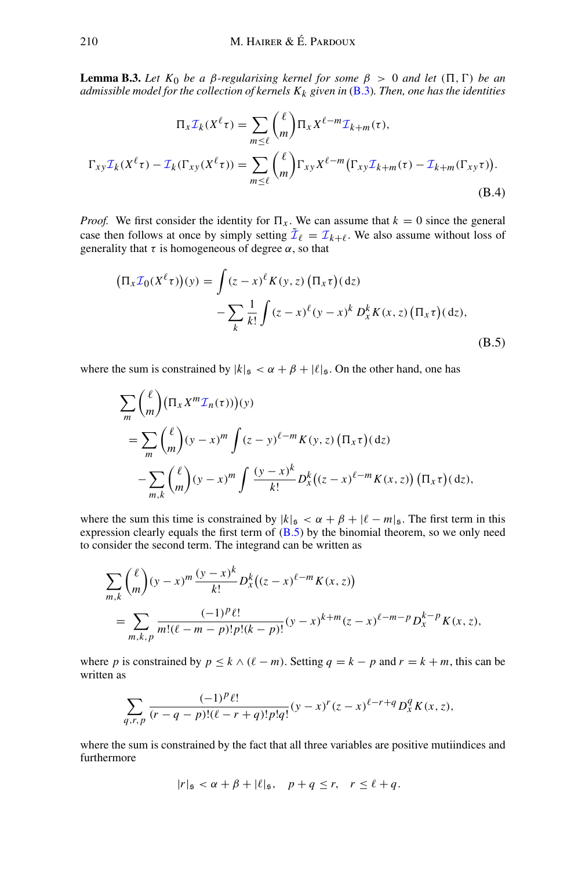**Lemma B.3.** Let  $K_0$  be a  $\beta$ -regularising kernel for some  $\beta > 0$  and let  $(\Pi, \Gamma)$  be an *admissible model for the collection of kernels Kk given in* [\(B.3\)](#page-57-3)*. Then, one has the identities*

$$
\Pi_x \mathcal{I}_k(X^\ell \tau) = \sum_{m \le \ell} {\ell \choose m} \Pi_x X^{\ell - m} \mathcal{I}_{k+m}(\tau),
$$
  

$$
\Gamma_{xy} \mathcal{I}_k(X^\ell \tau) - \mathcal{I}_k(\Gamma_{xy}(X^\ell \tau)) = \sum_{m \le \ell} {\ell \choose m} \Gamma_{xy} X^{\ell - m} (\Gamma_{xy} \mathcal{I}_{k+m}(\tau) - \mathcal{I}_{k+m}(\Gamma_{xy} \tau)).
$$
  
(B.4)

*Proof.* We first consider the identity for  $\Pi_x$ . We can assume that  $k = 0$  since the general case then follows at once by simply setting  $\tilde{\mathcal{I}}_{\ell} = \mathcal{I}_{k+\ell}$ . We also assume without loss of generality that  $\tau$  is homogeneous of degree  $\alpha$ , so that

<span id="page-59-0"></span>
$$
\left(\Pi_x \mathcal{I}_0(X^\ell \tau)\right)(y) = \int (z - x)^\ell K(y, z) \left(\Pi_x \tau\right)(dz)
$$

$$
-\sum_k \frac{1}{k!} \int (z - x)^\ell (y - x)^k D_x^k K(x, z) \left(\Pi_x \tau\right)(dz),
$$
(B.5)

where the sum is constrained by  $|k|_{\mathfrak{s}} < \alpha + \beta + |\ell|_{\mathfrak{s}}$ . On the other hand, one has

$$
\sum_{m} {\ell \choose m} (\Pi_x X^m \mathcal{I}_n(\tau)) (y)
$$
  
= 
$$
\sum_{m} {\ell \choose m} (y-x)^m \int (z-y)^{\ell-m} K(y, z) (\Pi_x \tau) (dz)
$$
  

$$
- \sum_{m,k} {\ell \choose m} (y-x)^m \int \frac{(y-x)^k}{k!} D_x^k ((z-x)^{\ell-m} K(x, z)) (\Pi_x \tau) (dz),
$$

where the sum this time is constrained by  $|k|_{\mathfrak{s}} < \alpha + \beta + |\ell - m|_{\mathfrak{s}}$ . The first term in this expression clearly equals the first term of  $(B.5)$  by the binomial theorem, so we only need to consider the second term. The integrand can be written as

$$
\sum_{m,k} \binom{\ell}{m} (y-x)^m \frac{(y-x)^k}{k!} D_x^k ((z-x)^{\ell-m} K(x, z))
$$
  
= 
$$
\sum_{m,k,p} \frac{(-1)^p \ell!}{m! (\ell-m-p)! p! (k-p)!} (y-x)^{k+m} (z-x)^{\ell-m-p} D_x^{k-p} K(x, z),
$$

where *p* is constrained by  $p \le k \wedge (\ell - m)$ . Setting  $q = k - p$  and  $r = k + m$ , this can be written as

$$
\sum_{q,r,p} \frac{(-1)^p \ell!}{(r-q-p)!(\ell-r+q)!p!q!} (y-x)^r (z-x)^{\ell-r+q} D_x^q K(x,z),
$$

where the sum is constrained by the fact that all three variables are positive mutiindices and furthermore

$$
|r|_{\mathfrak{s}} < \alpha + \beta + |\ell|_{\mathfrak{s}}, \quad p + q \le r, \quad r \le \ell + q.
$$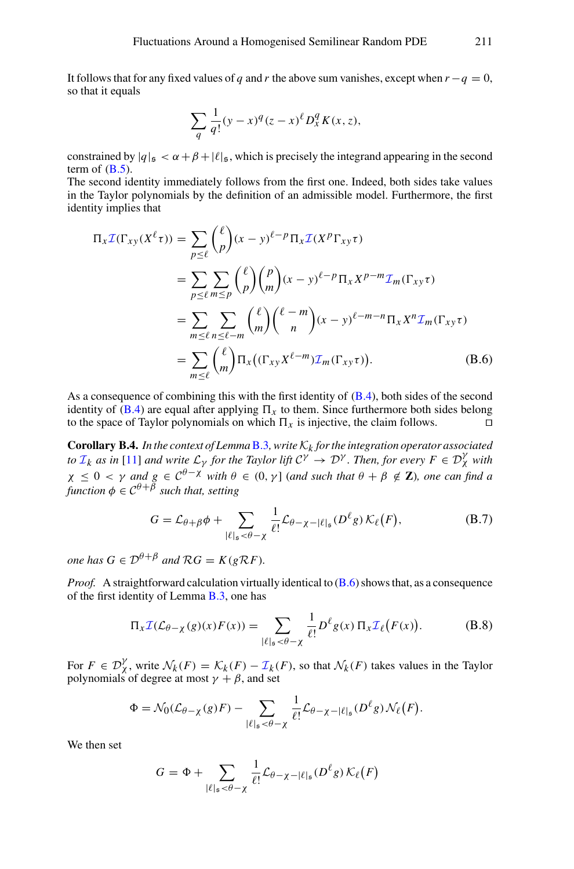It follows that for any fixed values of *q* and *r* the above sum vanishes, except when  $r - q = 0$ , so that it equals

$$
\sum_{q} \frac{1}{q!} (y-x)^q (z-x)^{\ell} D_x^q K(x,z),
$$

constrained by  $|q|_{\mathfrak{s}} < \alpha + \beta + |\ell|_{\mathfrak{s}}$ , which is precisely the integrand appearing in the second term of  $(B.5)$ .

The second identity immediately follows from the first one. Indeed, both sides take values in the Taylor polynomials by the definition of an admissible model. Furthermore, the first identity implies that

<span id="page-60-0"></span>
$$
\Pi_x \mathcal{I}(\Gamma_{xy}(X^{\ell}\tau)) = \sum_{p \leq \ell} {\ell \choose p} (x - y)^{\ell-p} \Pi_x \mathcal{I}(X^p \Gamma_{xy} \tau)
$$
  
\n
$$
= \sum_{p \leq \ell} \sum_{m \leq p} {\ell \choose p} {\ell \choose m} (x - y)^{\ell-p} \Pi_x X^{p-m} \mathcal{I}_m(\Gamma_{xy} \tau)
$$
  
\n
$$
= \sum_{m \leq \ell} \sum_{n \leq \ell-m} {\ell \choose m} {\ell-m \choose n} (x - y)^{\ell-m-n} \Pi_x X^n \mathcal{I}_m(\Gamma_{xy} \tau)
$$
  
\n
$$
= \sum_{m \leq \ell} {\ell \choose m} \Pi_x((\Gamma_{xy} X^{\ell-m}) \mathcal{I}_m(\Gamma_{xy} \tau)). \tag{B.6}
$$

As a consequence of combining this with the first identity of  $(B.4)$ , both sides of the second identity of [\(B.4\)](#page-57-5) are equal after applying  $\Pi_x$  to them. Since furthermore both sides belong to the space of Taylor polynomials on which  $\Pi_x$  is injective, the claim follows. to the space of Taylor polynomials on which  $\Pi_x$  is injective, the claim follows.

**Corollary B.4.** In the context of Lemma [B.3](#page-57-0), write  $K_k$  for the integration operator associated *to*  $I_k$  *as in* [\[11](#page-65-8)] *and write*  $L_\gamma$  *for the Taylor lift*  $C^\gamma \to \mathcal{D}^\gamma$ *. Then, for every*  $F \in \mathcal{D}_\chi^\gamma$  *with*  $\chi \leq 0 < \gamma$  and  $g \in C^{\theta-\chi}$  with  $\theta \in (0, \gamma]$  (and such that  $\theta + \beta \notin \mathbb{Z}$ ), one can find a  $f$ *unction*  $\phi \in C^{\theta+\beta}$  *such that, setting* 

<span id="page-60-2"></span>
$$
G = \mathcal{L}_{\theta + \beta} \phi + \sum_{|\ell|_{\mathfrak{s}} < \theta - \chi} \frac{1}{\ell!} \mathcal{L}_{\theta - \chi - |\ell|_{\mathfrak{s}}}(D^{\ell} g) \, \mathcal{K}_{\ell}(F),\tag{B.7}
$$

*one has*  $G \in \mathcal{D}^{\theta + \beta}$  *and*  $\mathcal{R}G = K(g\mathcal{R}F)$ *.* 

*Proof.* A straightforward calculation virtually identical to [\(B.6\)](#page-60-0) shows that, as a consequence of the first identity of Lemma [B.3,](#page-57-0) one has

<span id="page-60-1"></span>
$$
\Pi_x \mathcal{I}(\mathcal{L}_{\theta - \chi}(g)(x)F(x)) = \sum_{|\ell|_s < \theta - \chi} \frac{1}{\ell!} D^{\ell} g(x) \, \Pi_x \mathcal{I}_{\ell}(F(x)). \tag{B.8}
$$

For  $F \in \mathcal{D}_\chi^{\gamma}$ , write  $\mathcal{N}_k(F) = \mathcal{K}_k(F) - \mathcal{I}_k(F)$ , so that  $\mathcal{N}_k(F)$  takes values in the Taylor polynomials of degree at most  $\gamma + \beta$ , and set

$$
\Phi = \mathcal{N}_0(\mathcal{L}_{\theta-\chi}(g)F) - \sum_{|\ell|_{\mathfrak{s}} < \theta-\chi} \frac{1}{\ell!} \mathcal{L}_{\theta-\chi-|\ell|_{\mathfrak{s}}}(D^\ell g) \mathcal{N}_\ell(F).
$$

We then set

$$
G = \Phi + \sum_{|\ell|_{\mathfrak{s}} < \theta - \chi} \frac{1}{\ell!} \mathcal{L}_{\theta - \chi - |\ell|_{\mathfrak{s}}}(D^{\ell}g) \, \mathcal{K}_{\ell}(F)
$$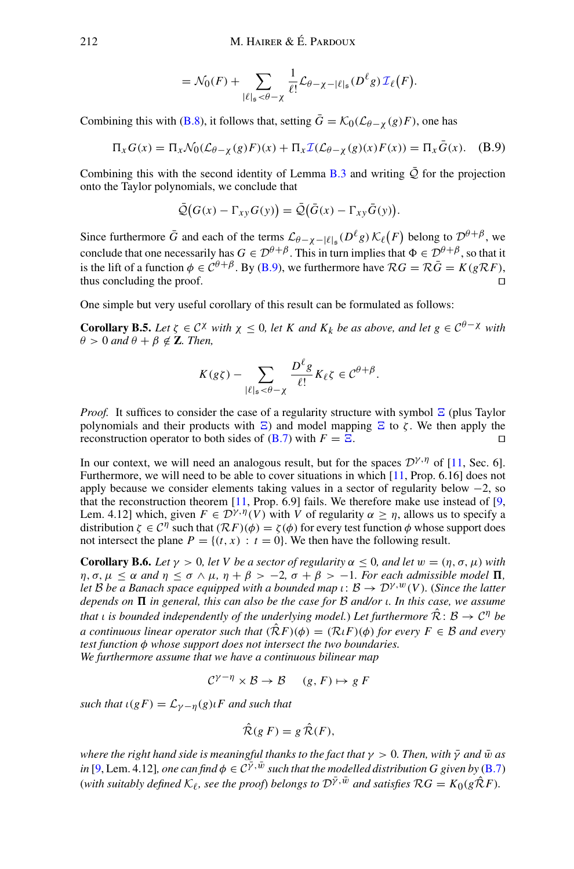$$
= \mathcal{N}_0(F) + \sum_{|\ell|_{\mathfrak{s}} < \theta - \chi} \frac{1}{\ell!} \mathcal{L}_{\theta - \chi - |\ell|_{\mathfrak{s}}}(D^\ell g) \mathcal{I}_{\ell}(F).
$$

Combining this with [\(B.8\)](#page-60-1), it follows that, setting  $\bar{G} = \mathcal{K}_0(\mathcal{L}_{\theta-\gamma}(g)F)$ , one has

<span id="page-61-2"></span>
$$
\Pi_x G(x) = \Pi_x \mathcal{N}_0(\mathcal{L}_{\theta - \chi}(g)F)(x) + \Pi_x \mathcal{I}(\mathcal{L}_{\theta - \chi}(g)(x)F(x)) = \Pi_x \bar{G}(x).
$$
 (B.9)

Combining this with the second identity of Lemma [B.3](#page-57-0) and writing  $\overline{Q}$  for the projection onto the Taylor polynomials, we conclude that

$$
\overline{Q}(G(x) - \Gamma_{xy}G(y)) = \overline{Q}(\overline{G}(x) - \Gamma_{xy}\overline{G}(y)).
$$

Since furthermore  $\bar{G}$  and each of the terms  $\mathcal{L}_{\theta-\chi-|\ell|_s}(D^{\ell}g) \mathcal{K}_{\ell}(F)$  belong to  $\mathcal{D}^{\theta+\beta}$ , we conclude that one necessarily has  $G \in \mathcal{D}^{\theta+\beta}$ . This in turn implies that  $\Phi \in \mathcal{D}^{\theta+\beta}$ , so that it is the lift of a function  $\phi \in C^{\theta+\beta}$ . By [\(B.9\)](#page-61-2), we furthermore have  $\mathcal{R}G = \mathcal{R}\bar{G} = K(g\mathcal{R}F)$ , thus concluding the proof thus concluding the proof.

One simple but very useful corollary of this result can be formulated as follows:

**Corollary B.5.** *Let*  $\zeta \in C^{\chi}$  *with*  $\chi \leq 0$ *, let* K and K<sub>k</sub> be as above, and let  $g \in C^{\theta-\chi}$  *with*  $\theta > 0$  and  $\theta + \beta \notin \mathbb{Z}$ *. Then,* 

<span id="page-61-0"></span>
$$
K(g\zeta) - \sum_{|\ell|_s < \theta - \chi} \frac{D^\ell g}{\ell!} K_\ell \zeta \in \mathcal{C}^{\theta + \beta}.
$$

*Proof.* It suffices to consider the case of a regularity structure with symbol  $\Sigma$  (plus Taylor polynomials and their products with  $\Xi$ ) and model mapping  $\Xi$  to  $\zeta$ . We then apply the reconstruction operator to both sides of  $(B.7)$  with  $F = \overline{E}$ .

In our context, we will need an analogous result, but for the spaces  $\mathcal{D}^{\gamma,\eta}$  of [\[11](#page-65-8), Sec. 6]. Furthermore, we will need to be able to cover situations in which [\[11,](#page-65-8) Prop. 6.16] does not apply because we consider elements taking values in a sector of regularity below  $-2$ , so that the reconstruction theorem  $[11,$  $[11,$  Prop. 6.9] fails. We therefore make use instead of  $[9,$ Lem. 4.12] which, given  $F \in \mathcal{D}^{\gamma,\eta}(V)$  with V of regularity  $\alpha > \eta$ , allows us to specify a distribution  $\zeta \in C^{\eta}$  such that  $(\mathcal{R}F)(\phi) = \zeta(\phi)$  for every test function  $\phi$  whose support does not intersect the plane  $P = \{(t, x) : t = 0\}$ . We then have the following result.

**Corollary B.6.** Let  $\gamma > 0$ , let V be a sector of regularity  $\alpha \leq 0$ , and let  $w = (\eta, \sigma, \mu)$  with  $\eta, \sigma, \mu \leq \alpha$  and  $\eta \leq \sigma \wedge \mu, \eta + \beta > -2, \sigma + \beta > -1$ *. For each admissible model*  $\Pi$ *, let B be a Banach space equipped with a bounded map*  $\iota: \mathcal{B} \to \mathcal{D}^{\gamma,w}(V)$ *. (Since the latter* depends on **Π** in general, this can also be the case for *B* and/or *ι*. In this case, we assume *that i is bounded independently of the underlying model.) Let furthermore*  $\hat{\mathcal{R}}$ :  $\mathcal{B} \to \mathcal{C}^{\eta}$  *be a continuous linear operator such that*  $(\hat{\mathcal{R}}F)(\phi) = (\mathcal{R} \iota F)(\phi)$  *for every*  $F \in \mathcal{B}$  *and every test function* φ *whose support does not intersect the two boundaries.*

*We furthermore assume that we have a continuous bilinear map*

<span id="page-61-1"></span>
$$
\mathcal{C}^{\gamma - \eta} \times \mathcal{B} \to \mathcal{B} \quad (g, F) \mapsto g F
$$

*such that*  $\iota(gF) = \mathcal{L}_{\gamma - \eta}(g) \iota F$  *and such that* 

$$
\hat{\mathcal{R}}(g\ F) = g\ \hat{\mathcal{R}}(F),
$$

*where the right hand side is meaningful thanks to the fact that*  $\gamma > 0$ *. Then, with*  $\bar{\gamma}$  *and*  $\bar{w}$  *as in* [\[9](#page-65-3), Lem. 4.12]*, one can find*  $\phi \in C^{\gamma, w}$  *such that the modelled distribution G given by* [\(B.7\)](#page-60-2) (*with suitably defined*  $K_{\ell}$ *, see the proof*) *belongs to*  $\mathcal{D}^{\bar{Y},\bar{w}}$  *and satisfies*  $\mathcal{R}G = K_0(g\hat{\mathcal{R}}F)$ *.*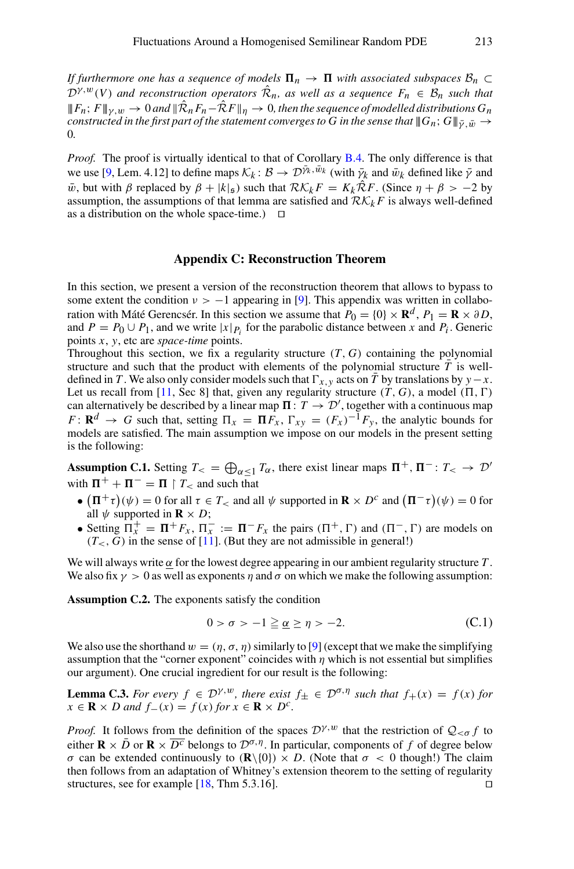*If furthermore one has a sequence of models*  $\Pi_n \to \Pi$  *with associated subspaces*  $\mathcal{B}_n \subset$  $\mathcal{D}^{\gamma,w}(V)$  *and reconstruction operators*  $\hat{\mathcal{R}}_n$ *, as well as a sequence*  $F_n \in \mathcal{B}_n$  *such that*  $||F_n; F||_{V,w} \to 0$  and  $||\hat{\mathcal{R}}_n F_n - \hat{\mathcal{R}} F||_n \to 0$ , then the sequence of modelled distributions  $G_n$ *constructed in the first part of the statement converges to G in the sense that*  $||G_n; G||_{\bar{v}, \bar{w}} \rightarrow$ 0*.*

*Proof.* The proof is virtually identical to that of Corollary [B.4.](#page-57-2) The only difference is that we use [\[9,](#page-65-3) Lem. 4.12] to define maps  $K_k : \mathcal{B} \to \mathcal{D}^{\bar{\gamma}_k, \bar{w}_k}$  (with  $\bar{\gamma}_k$  and  $\bar{w}_k$  defined like  $\bar{\gamma}$  and  $\overline{w}$ , but with β replaced by  $β + |k|_5$ ) such that  $\mathcal{RK}_kF = K_k\hat{\mathcal{R}}F$ . (Since  $η + β > -2$  by assumption, the assumptions of that lemma are satisfied and  $\mathcal{RK}_k F$  is always well-defined as a distribution on the whole space-time.)  $\Box$ 

#### **Appendix C: Reconstruction Theorem**

In this section, we present a version of the reconstruction theorem that allows to bypass to some extent the condition  $\nu > -1$  appearing in [\[9](#page-65-3)]. This appendix was written in collaboration with Máté Gerencsér. In this section we assume that  $P_0 = \{0\} \times \mathbb{R}^d$ ,  $P_1 = \mathbb{R} \times \partial D$ , and  $P = P_0 \cup P_1$ , and we write  $|x|_{P_i}$  for the parabolic distance between *x* and  $P_i$ . Generic points *x*, *y*, etc are *space-time* points.

Throughout this section, we fix a regularity structure  $(T, G)$  containing the polynomial structure and such that the product with elements of the polynomial structure  $\overline{T}$  is welldefined in *T*. We also only consider models such that  $\Gamma_{x,y}$  acts on  $\overline{T}$  by translations by  $y - x$ . Let us recall from [\[11,](#page-65-8) Sec 8] that, given any regularity structure  $(T, G)$ , a model  $(\Pi, \Gamma)$ can alternatively be described by a linear map  $\Pi: T \to \mathcal{D}'$ , together with a continuous map  $F: \mathbf{R}^d \to G$  such that, setting  $\Pi_x = \Pi F_x$ ,  $\Gamma_{xy} = (F_x)^{-1} F_y$ , the analytic bounds for models are satisfied. The main assumption we impose on our models in the present setting is the following:

**Assumption C.1.** Setting  $T_0 = \bigoplus_{\alpha \leq 1} T_\alpha$ , there exist linear maps  $\Pi^+$ ,  $\Pi^-$ :  $T_0 \to \mathcal{D}'$ with  $\Pi^+ + \Pi^- = \Pi \restriction T_<$  and such that

- $(\Pi^+\tau)(\psi) = 0$  for all  $\tau \in T_<$  and all  $\psi$  supported in  $\mathbf{R} \times D^c$  and  $(\Pi^-\tau)(\psi) = 0$  for all  $\psi$  supported in  $\mathbf{R} \times D$ ;
- Setting  $\Pi_X^+ = \Pi^+ F_X$ ,  $\Pi_X^- := \Pi^- F_X$  the pairs  $(\Pi^+, \Gamma)$  and  $(\Pi^-, \Gamma)$  are models on  $(T<sub>lt</sub>, G)$  in the sense of [\[11](#page-65-8)]. (But they are not admissible in general!)

We will always write  $\alpha$  for the lowest degree appearing in our ambient regularity structure *T*. We also fix  $\gamma > 0$  as well as exponents  $\eta$  and  $\sigma$  on which we make the following assumption:

**Assumption C.2.** The exponents satisfy the condition

$$
0 > \sigma > -1 \geq \underline{\alpha} \geq \eta > -2. \tag{C.1}
$$

We also use the shorthand  $w = (\eta, \sigma, \eta)$  similarly to [\[9\]](#page-65-3) (except that we make the simplifying assumption that the "corner exponent" coincides with  $\eta$  which is not essential but simplifies our argument). One crucial ingredient for our result is the following:

**Lemma C.3.** For every  $f \in \mathcal{D}^{\gamma,w}$ , there exist  $f_{\pm} \in \mathcal{D}^{\sigma,\eta}$  such that  $f_{+}(x) = f(x)$  for  $x \in \mathbf{R} \times D$  and  $f_-(x) = f(x)$  for  $x \in \mathbf{R} \times D^c$ .

*Proof.* It follows from the definition of the spaces  $\mathcal{D}^{\gamma,w}$  that the restriction of  $\mathcal{Q}_{< \sigma} f$  to either  $\mathbf{R} \times \bar{D}$  or  $\mathbf{R} \times \overline{D^c}$  belongs to  $\mathcal{D}^{\sigma,\eta}$ . In particular, components of f of degree below σ can be extended continuously to (**R**\{0}) × *D*. (Note that σ < 0 though!) The claim then follows from an adaptation of Whitney's extension theorem to the setting of regularity structures, see for example [\[18,](#page-65-17) Thm 5.3.16].  $\square$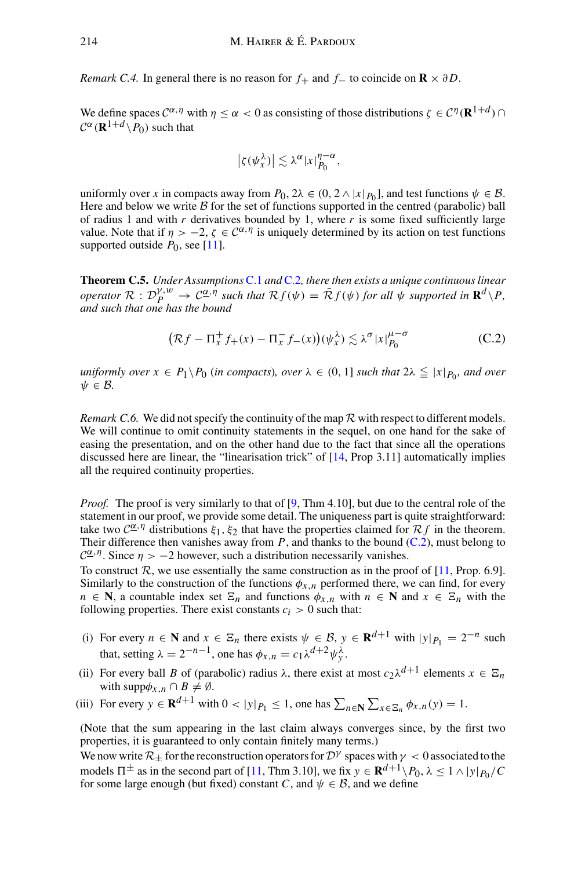*Remark C.4.* In general there is no reason for  $f_{+}$  and  $f_{-}$  to coincide on  $\mathbf{R} \times \partial D$ .

We define spaces  $\mathcal{C}^{\alpha,\eta}$  with  $n \leq \alpha < 0$  as consisting of those distributions  $\zeta \in \mathcal{C}^{\eta}(\mathbf{R}^{1+d}) \cap$  $C^{\alpha}$  (**R**<sup>1+*d*</sup>)</sub> $P_0$ ) such that

$$
\left|\zeta(\psi_x^{\lambda})\right| \lesssim \lambda^{\alpha} |x|_{P_0}^{\eta-\alpha},
$$

uniformly over *x* in compacts away from  $P_0$ ,  $2\lambda \in (0, 2 \wedge |x|_{P_0}]$ , and test functions  $\psi \in \mathcal{B}$ . Here and below we write *B* for the set of functions supported in the centred (parabolic) ball of radius 1 and with  $r$  derivatives bounded by 1, where  $r$  is some fixed sufficiently large value. Note that if  $\eta > -2$ ,  $\zeta \in C^{\alpha, \eta}$  is uniquely determined by its action on test functions supported outside  $P_0$ , see [\[11](#page-65-8)].

**Theorem C.5.** *Under Assumptions* [C.1](#page-56-0) *and* [C.2](#page-57-1)*, there then exists a unique continuous linear operator*  $\mathcal{R}: \mathcal{D}_{P}^{\gamma,w} \to \mathcal{C}^{\underline{\alpha},\eta}$  *such that*  $\mathcal{R}f(\psi) = \tilde{\mathcal{R}}f(\psi)$  *for all*  $\psi$  *supported in*  $\mathbf{R}^{d} \backslash P$ *, and such that one has the bound*

$$
\left(\mathcal{R}f - \Pi_x^+ f_+(x) - \Pi_x^- f_-(x)\right)(\psi_x^{\lambda}) \lesssim \lambda^{\sigma} |x|_{P_0}^{\mu - \sigma}
$$
\n(C.2)

*uniformly over*  $x \in P_1 \backslash P_0$  (*in compacts*)*, over*  $\lambda \in (0, 1]$  *such that*  $2\lambda \leq |x|_{P_0}$ *, and over*  $\psi \in \mathcal{B}$ *.* 

*Remark C.6.* We did not specify the continuity of the map *R* with respect to different models. We will continue to omit continuity statements in the sequel, on one hand for the sake of easing the presentation, and on the other hand due to the fact that since all the operations discussed here are linear, the "linearisation trick" of [\[14,](#page-65-1) Prop 3.11] automatically implies all the required continuity properties.

*Proof.* The proof is very similarly to that of [\[9,](#page-65-3) Thm 4.10], but due to the central role of the statement in our proof, we provide some detail. The uniqueness part is quite straightforward: take two  $C^{\alpha, \eta}$  distributions  $\xi_1, \xi_2$  that have the properties claimed for  $\mathcal{R} f$  in the theorem. Their difference then vanishes away from *P*, and thanks to the bound [\(C.2\)](#page-57-4), must belong to  $C^{\alpha, \eta}$ . Since  $\eta > -2$  however, such a distribution necessarily vanishes.

To construct  $\mathcal{R}$ , we use essentially the same construction as in the proof of [\[11,](#page-65-8) Prop. 6.9]. Similarly to the construction of the functions  $\phi_{x,n}$  performed there, we can find, for every  $n \in \mathbb{N}$ , a countable index set  $\mathbb{E}_n$  and functions  $\phi_{x,n}$  with  $n \in \mathbb{N}$  and  $x \in \mathbb{E}_n$  with the following properties. There exist constants  $c_i > 0$  such that:

- (i) For every  $n \in \mathbb{N}$  and  $x \in \mathbb{E}_n$  there exists  $\psi \in \mathcal{B}$ ,  $y \in \mathbb{R}^{d+1}$  with  $|y|_{P_1} = 2^{-n}$  such that, setting  $\lambda = 2^{-n-1}$ , one has  $\phi_{x,n} = c_1 \lambda^{d+2} \psi_y^{\lambda}$ .
- (ii) For every ball *B* of (parabolic) radius  $\lambda$ , there exist at most  $c_2\lambda^{d+1}$  elements  $x \in \mathbb{E}_n$ with  $\text{supp}\phi_{X,n} \cap B \neq \emptyset$ .
- (iii) For every  $y \in \mathbf{R}^{d+1}$  with  $0 < |y|_{P_1} \le 1$ , one has  $\sum_{n \in \mathbf{N}} \sum_{x \in \Xi_n} \phi_{x,n}(y) = 1$ .

(Note that the sum appearing in the last claim always converges since, by the first two properties, it is guaranteed to only contain finitely many terms.)

We now write  $\mathcal{R}_\pm$  for the reconstruction operators for  $\mathcal{D}^\gamma$  spaces with  $\gamma < 0$  associated to the models  $\Pi^{\pm}$  as in the second part of [\[11,](#page-65-8) Thm 3.10], we fix  $y \in \mathbb{R}^{d+1} \setminus P_0$ ,  $\lambda \leq 1 \wedge |y|_{P_0}/C$ for some large enough (but fixed) constant *C*, and  $\psi \in \mathcal{B}$ , and we define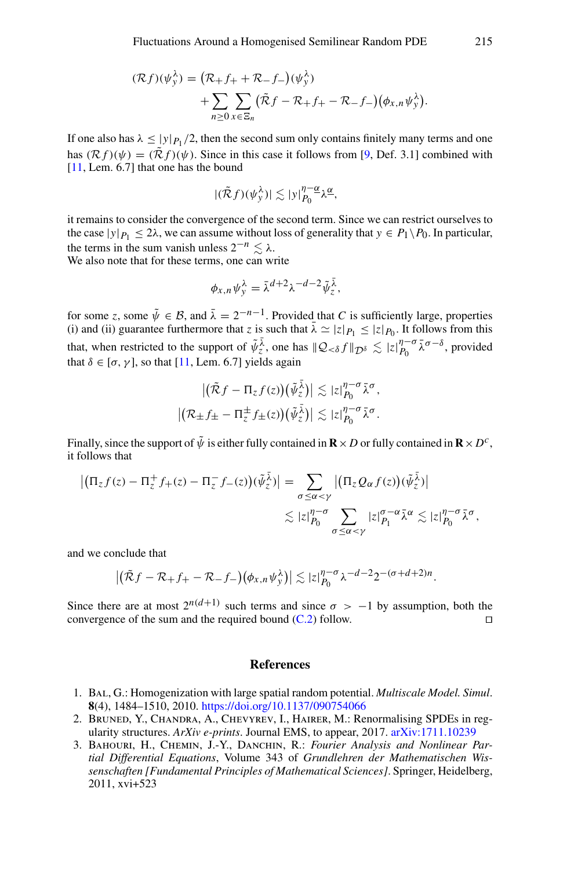$$
(\mathcal{R}f)(\psi_{\mathbf{y}}^{\lambda}) = (\mathcal{R}_{+}f_{+} + \mathcal{R}_{-}f_{-})(\psi_{\mathbf{y}}^{\lambda}) + \sum_{n \geq 0} \sum_{x \in \Xi_{n}} (\tilde{\mathcal{R}}f - \mathcal{R}_{+}f_{+} - \mathcal{R}_{-}f_{-})(\phi_{x,n}\psi_{\mathbf{y}}^{\lambda}).
$$

If one also has  $\lambda \le |y|_P$ , /2, then the second sum only contains finitely many terms and one has  $(R f)(\psi) = (\tilde{R} f)(\psi)$ . Since in this case it follows from [\[9,](#page-65-3) Def. 3.1] combined with [\[11,](#page-65-8) Lem. 6.7] that one has the bound

$$
|(\tilde{\mathcal{R}}f)(\psi_{y}^{\lambda})| \lesssim |y|_{P_0}^{\eta-\underline{\alpha}}\lambda^{\underline{\alpha}},
$$

it remains to consider the convergence of the second term. Since we can restrict ourselves to the case  $|y|_{P_1} \le 2\lambda$ , we can assume without loss of generality that  $y \in P_1 \setminus P_0$ . In particular, the terms in the sum vanish unless  $2^{-n} \lesssim \lambda$ .

We also note that for these terms, one can write

$$
\phi_{x,n}\psi_y^{\lambda} = \bar{\lambda}^{d+2}\lambda^{-d-2}\tilde{\psi}_z^{\bar{\lambda}},
$$

for some *z*, some  $\tilde{\psi} \in \mathcal{B}$ , and  $\bar{\lambda} = 2^{-n-1}$ . Provided that *C* is sufficiently large, properties (i) and (ii) guarantee furthermore that *z* is such that  $\bar{\lambda} \simeq |z|_{P_1} \leq |z|_{P_0}$ . It follows from this that, when restricted to the support of  $\tilde{\psi}^{\bar{\lambda}}$ , one has  $\|\mathcal{Q}_{<} \delta f\|_{\mathcal{D}^{\delta}} \lesssim |z|_{P_0}^{\eta-\sigma} \bar{\lambda}^{\sigma-\delta}$ , provided that  $\delta \in [\sigma, \gamma]$ , so that [\[11,](#page-65-8) Lem. 6.7] yields again

$$
\left| \left( \tilde{\mathcal{R}} f - \Pi_z f(z) \right) \left( \tilde{\psi}_z^{\bar{\lambda}} \right) \right| \lesssim |z|_{P_0}^{\eta - \sigma} \bar{\lambda}^{\sigma},
$$
  

$$
\left| \left( \mathcal{R}_{\pm} f_{\pm} - \Pi_z^{\pm} f_{\pm}(z) \right) \left( \tilde{\psi}_z^{\bar{\lambda}} \right) \right| \lesssim |z|_{P_0}^{\eta - \sigma} \bar{\lambda}^{\sigma}.
$$

Finally, since the support of  $\tilde{\psi}$  is either fully contained in  $\mathbf{R} \times D$  or fully contained in  $\mathbf{R} \times D^c$ , it follows that

$$
\left| \left( \Pi_z f(z) - \Pi_z^+ f_+(z) - \Pi_z^- f_-(z) \right) (\tilde{\psi}_z^{\tilde{\lambda}}) \right| = \sum_{\sigma \leq \alpha < \gamma} \left| \left( \Pi_z Q_\alpha f(z) \right) (\tilde{\psi}_z^{\tilde{\lambda}}) \right|
$$
\n
$$
\lesssim |z|_{P_0}^{\eta - \sigma} \sum_{\sigma \leq \alpha < \gamma} |z|_{P_1}^{\sigma - \alpha} \tilde{\lambda}^\alpha \lesssim |z|_{P_0}^{\eta - \sigma} \tilde{\lambda}^\sigma,
$$

and we conclude that

$$
\left| \left( \tilde{\mathcal{R}} f - \mathcal{R}_+ f_+ - \mathcal{R}_- f_- \right) \left( \phi_{x,n} \psi_y^{\lambda} \right) \right| \lesssim |z|_{P_0}^{\eta-\sigma} \lambda^{-d-2} 2^{-(\sigma+d+2)n}.
$$

Since there are at most  $2^{n(d+1)}$  such terms and since  $\sigma > -1$  by assumption, both the convergence of the sum and the required bound (C 2) follow convergence of the sum and the required bound  $(C.2)$  follow.

#### <span id="page-64-0"></span>**References**

- <span id="page-64-1"></span>1. Bal, G.: Homogenization with large spatial random potential. *Multiscale Model. Simul*. **8**(4), 1484–1510, 2010. <https://doi.org/10.1137/090754066>
- <span id="page-64-2"></span>2. Bruned, Y., Chandra, A., Chevyrev, I., Hairer, M.: Renormalising SPDEs in regularity structures. *ArXiv e-prints*. Journal EMS, to appear, 2017. [arXiv:1711.10239](http://arxiv.org/abs/1711.10239)
- <span id="page-64-3"></span>3. Bahouri, H., Chemin, J.-Y., Danchin, R.: *Fourier Analysis and Nonlinear Partial Differential Equations*, Volume 343 of *Grundlehren der Mathematischen Wissenschaften [Fundamental Principles of Mathematical Sciences]*. Springer, Heidelberg, 2011, xvi+523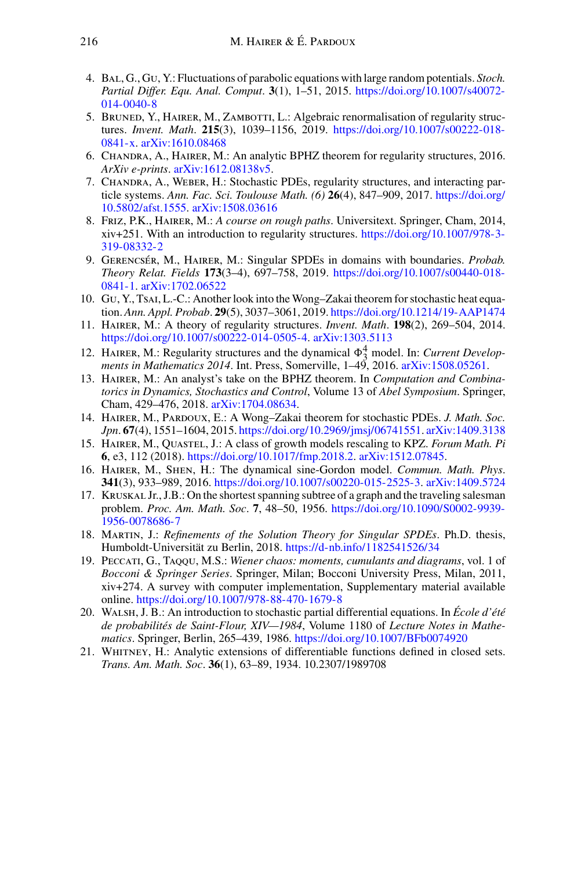- <span id="page-65-2"></span>4. Bal, G., Gu, Y.: Fluctuations of parabolic equations with large random potentials. *Stoch. Partial Differ. Equ. Anal. Comput*. **3**(1), 1–51, 2015. [https://doi.org/10.1007/s40072-](https://doi.org/10.1007/s40072-014-0040-8) [014-0040-8](https://doi.org/10.1007/s40072-014-0040-8)
- <span id="page-65-12"></span>5. BRUNED, Y., HAIRER, M., ZAMBOTTI, L.: Algebraic renormalisation of regularity structures. *Invent. Math*. **215**(3), 1039–1156, 2019. [https://doi.org/10.1007/s00222-018-](https://doi.org/10.1007/s00222-018-0841-x) [0841-x.](https://doi.org/10.1007/s00222-018-0841-x) [arXiv:1610.08468](http://arxiv.org/abs/1610.08468)
- <span id="page-65-13"></span>6. Chandra, A., Hairer, M.: An analytic BPHZ theorem for regularity structures, 2016. *ArXiv e-prints*. [arXiv:1612.08138v5.](http://arxiv.org/abs/1612.08138v5)
- <span id="page-65-9"></span>7. Chandra, A., Weber, H.: Stochastic PDEs, regularity structures, and interacting particle systems. *Ann. Fac. Sci. Toulouse Math. (6)* **26**(4), 847–909, 2017. [https://doi.org/](https://doi.org/10.5802/afst.1555) [10.5802/afst.1555.](https://doi.org/10.5802/afst.1555) [arXiv:1508.03616](http://arxiv.org/abs/1508.03616)
- <span id="page-65-10"></span>8. Friz, P.K., Hairer, M.: *A course on rough paths*. Universitext. Springer, Cham, 2014, xiv+251. With an introduction to regularity structures. [https://doi.org/10.1007/978-3-](https://doi.org/10.1007/978-3-319-08332-2) [319-08332-2](https://doi.org/10.1007/978-3-319-08332-2)
- <span id="page-65-3"></span>9. Gerencsér, M., Hairer, M.: Singular SPDEs in domains with boundaries. *Probab. Theory Relat. Fields* **173**(3–4), 697–758, 2019. [https://doi.org/10.1007/s00440-018-](https://doi.org/10.1007/s00440-018-0841-1) [0841-1.](https://doi.org/10.1007/s00440-018-0841-1) [arXiv:1702.06522](http://arxiv.org/abs/1702.06522)
- <span id="page-65-0"></span>10. Gu, Y., Tsai, L.-C.: Another look into the Wong–Zakai theorem for stochastic heat equation. *Ann. Appl. Probab*. **29**(5), 3037–3061, 2019. <https://doi.org/10.1214/19-AAP1474>
- <span id="page-65-8"></span>11. Hairer, M.: A theory of regularity structures. *Invent. Math*. **198**(2), 269–504, 2014. [https://doi.org/10.1007/s00222-014-0505-4.](https://doi.org/10.1007/s00222-014-0505-4) [arXiv:1303.5113](http://arxiv.org/abs/1303.5113)
- <span id="page-65-11"></span>12. HAIRER, M.: Regularity structures and the dynamical  $\Phi_4^4$  model. In: *Current Developments in Mathematics 2014*. Int. Press, Somerville, 1–49, 2016. [arXiv:1508.05261.](http://arxiv.org/abs/1508.05261)
- <span id="page-65-14"></span>13. Hairer, M.: An analyst's take on the BPHZ theorem. In *Computation and Combinatorics in Dynamics, Stochastics and Control*, Volume 13 of *Abel Symposium*. Springer, Cham, 429–476, 2018. [arXiv:1704.08634.](http://arxiv.org/abs/1704.08634)
- <span id="page-65-1"></span>14. Hairer, M., Pardoux, E.: A Wong–Zakai theorem for stochastic PDEs. *J. Math. Soc. Jpn*. **67**(4), 1551–1604, 2015. [https://doi.org/10.2969/jmsj/06741551.](https://doi.org/10.2969/jmsj/06741551) [arXiv:1409.3138](http://arxiv.org/abs/1409.3138)
- <span id="page-65-5"></span>15. Hairer, M., Quastel, J.: A class of growth models rescaling to KPZ. *Forum Math. Pi* **6**, e3, 112 (2018). [https://doi.org/10.1017/fmp.2018.2.](https://doi.org/10.1017/fmp.2018.2) [arXiv:1512.07845.](http://arxiv.org/abs/1512.07845)
- <span id="page-65-16"></span>16. Hairer, M., Shen, H.: The dynamical sine-Gordon model. *Commun. Math. Phys*. **341**(3), 933–989, 2016. [https://doi.org/10.1007/s00220-015-2525-3.](https://doi.org/10.1007/s00220-015-2525-3) [arXiv:1409.5724](http://arxiv.org/abs/1409.5724)
- <span id="page-65-6"></span>17. Kruskal Jr., J.B.: On the shortest spanning subtree of a graph and the traveling salesman problem. *Proc. Am. Math. Soc*. **7**, 48–50, 1956. [https://doi.org/10.1090/S0002-9939-](https://doi.org/10.1090/S0002-9939-1956-0078686-7) [1956-0078686-7](https://doi.org/10.1090/S0002-9939-1956-0078686-7)
- <span id="page-65-17"></span>18. Martin, J.: *Refinements of the Solution Theory for Singular SPDEs*. Ph.D. thesis, Humboldt-Universität zu Berlin, 2018. <https://d-nb.info/1182541526/34>
- <span id="page-65-7"></span>19. Peccati, G., Taqqu, M.S.: *Wiener chaos: moments, cumulants and diagrams*, vol. 1 of *Bocconi & Springer Series*. Springer, Milan; Bocconi University Press, Milan, 2011, xiv+274. A survey with computer implementation, Supplementary material available online. <https://doi.org/10.1007/978-88-470-1679-8>
- <span id="page-65-4"></span>20. Walsh, J. B.: An introduction to stochastic partial differential equations. In *École d'été de probabilités de Saint-Flour, XIV—1984*, Volume 1180 of *Lecture Notes in Mathematics*. Springer, Berlin, 265–439, 1986. <https://doi.org/10.1007/BFb0074920>
- <span id="page-65-15"></span>21. Whitney, H.: Analytic extensions of differentiable functions defined in closed sets. *Trans. Am. Math. Soc*. **36**(1), 63–89, 1934. 10.2307/1989708